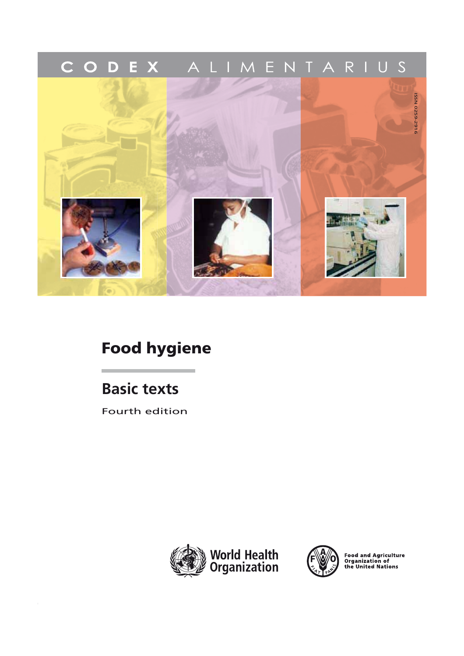

## **Food hygiene**

## **Basic texts**

Fourth edition





Food and Agriculture<br>Organization of<br>the United Nations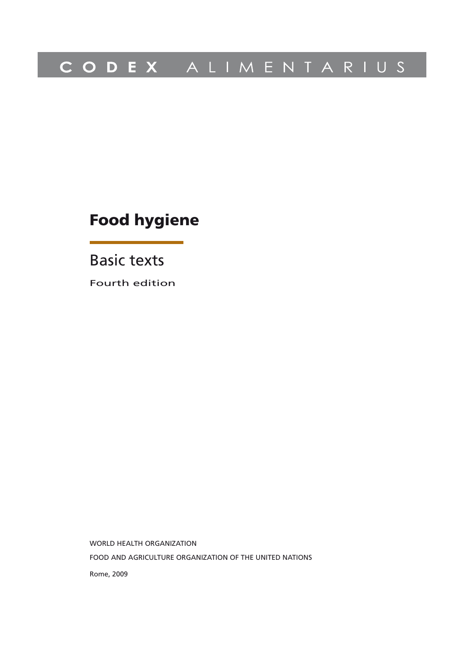# CODEX ALIMENTARIUS

## **Food hygiene**

Basic texts

Fourth edition

WORLD HEALTH ORGANIZATION FOOD AND AGRICULTURE ORGANIZATION OF THE UNITED NATIONS Rome, 2009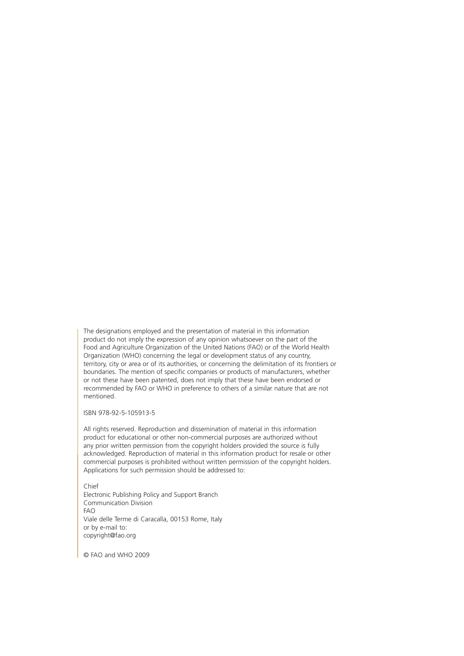The designations employed and the presentation of material in this information product do not imply the expression of any opinion whatsoever on the part of the Food and Agriculture Organization of the United Nations (FAO) or of the World Health Organization (WHO) concerning the legal or development status of any country, territory, city or area or of its authorities, or concerning the delimitation of its frontiers or boundaries. The mention of specific companies or products of manufacturers, whether or not these have been patented, does not imply that these have been endorsed or recommended by FAO or WHO in preference to others of a similar nature that are not mentioned.

#### ISBN 978-92-5-105913-5

All rights reserved. Reproduction and dissemination of material in this information product for educational or other non-commercial purposes are authorized without any prior written permission from the copyright holders provided the source is fully acknowledged. Reproduction of material in this information product for resale or other commercial purposes is prohibited without written permission of the copyright holders. Applications for such permission should be addressed to:

Chief Electronic Publishing Policy and Support Branch Communication Division FAO Viale delle Terme di Caracalla, 00153 Rome, Italy or by e-mail to: copyright@fao.org

© FAO and WHO 2009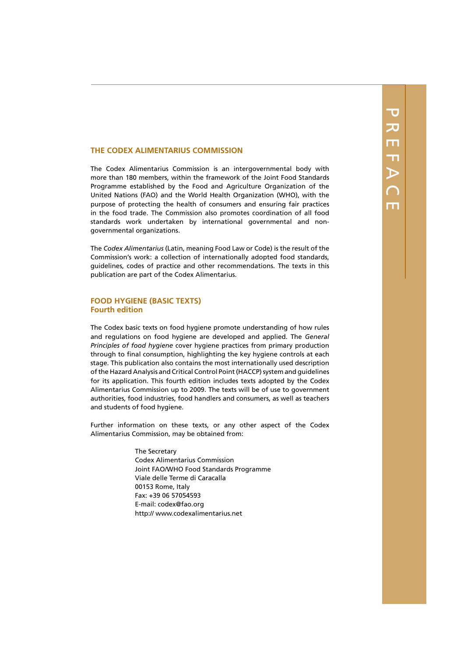#### **THE CODEX ALIMENTARIUS COMMISSION**

The Codex Alimentarius Commission is an intergovernmental body with more than 180 members, within the framework of the Joint Food Standards Programme established by the Food and Agriculture Organization of the United Nations (FAO) and the World Health Organization (WHO), with the purpose of protecting the health of consumers and ensuring fair practices in the food trade. The Commission also promotes coordination of all food standards work undertaken by international governmental and nongovernmental organizations.

The *Codex Alimentarius* (Latin, meaning Food Law or Code) is the result of the Commission's work: a collection of internationally adopted food standards, guidelines, codes of practice and other recommendations. The texts in this publication are part of the Codex Alimentarius.

#### **FOOD HYGIENE (BASIC TEXTS) Fourth edition**

The Codex basic texts on food hygiene promote understanding of how rules and regulations on food hygiene are developed and applied. The *General Principles of food hygiene* cover hygiene practices from primary production through to final consumption, highlighting the key hygiene controls at each stage. This publication also contains the most internationally used description of the Hazard Analysis and Critical Control Point (HACCP) system and guidelines for its application. This fourth edition includes texts adopted by the Codex Alimentarius Commission up to 2009. The texts will be of use to government authorities, food industries, food handlers and consumers, as well as teachers and students of food hygiene.

Further information on these texts, or any other aspect of the Codex Alimentarius Commission, may be obtained from:

> The Secretary Codex Alimentarius Commission Joint FAO/WHO Food Standards Programme Viale delle Terme di Caracalla 00153 Rome, Italy Fax: +39 06 57054593 E-mail: codex@fao.org http:// www.codexalimentarius.net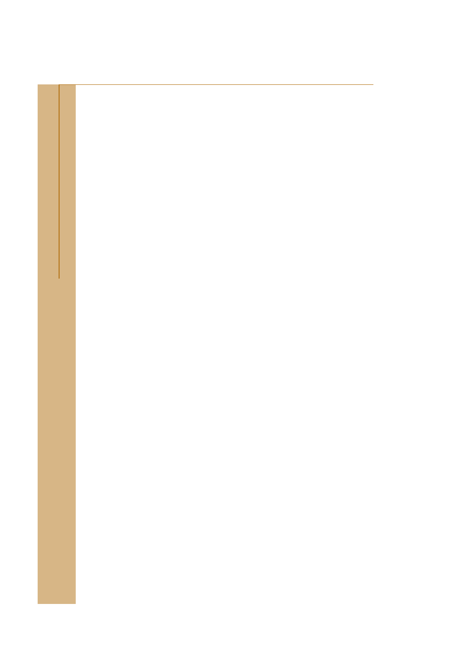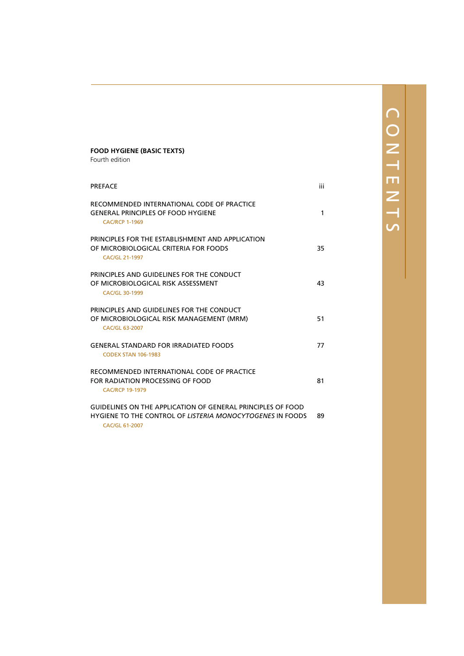#### **FOOD HYGIENE (BASIC TEXTS)** Fourth edition

| <b>PRFFACF</b>                                                                                                                  | iii |
|---------------------------------------------------------------------------------------------------------------------------------|-----|
|                                                                                                                                 |     |
| RECOMMENDED INTERNATIONAL CODE OF PRACTICE<br><b>GENERAL PRINCIPLES OF FOOD HYGIENE</b><br><b>CAC/RCP 1-1969</b>                | 1   |
| PRINCIPLES FOR THE ESTABLISHMENT AND APPLICATION<br>OF MICROBIOLOGICAL CRITERIA FOR FOODS<br>CAC/GL 21-1997                     | 35  |
| PRINCIPLES AND GUIDELINES FOR THE CONDUCT<br>OF MICROBIOLOGICAL RISK ASSESSMENT<br>CAC/GL 30-1999                               | 43  |
| PRINCIPLES AND GUIDELINES FOR THE CONDUCT<br>OF MICROBIOLOGICAL RISK MANAGEMENT (MRM)<br>CAC/GL 63-2007                         | 51  |
| <b>GENERAL STANDARD FOR IRRADIATED FOODS</b><br><b>CODEX STAN 106-1983</b>                                                      | 77  |
| RECOMMENDED INTERNATIONAL CODE OF PRACTICE<br>FOR RADIATION PROCESSING OF FOOD<br><b>CAC/RCP 19-1979</b>                        | 81  |
| GUIDELINES ON THE APPLICATION OF GENERAL PRINCIPLES OF FOOD<br><b>HYGIENE TO THE CONTROL OF LISTERIA MONOCYTOGENES IN FOODS</b> | 89  |

CAC/GL 61-2007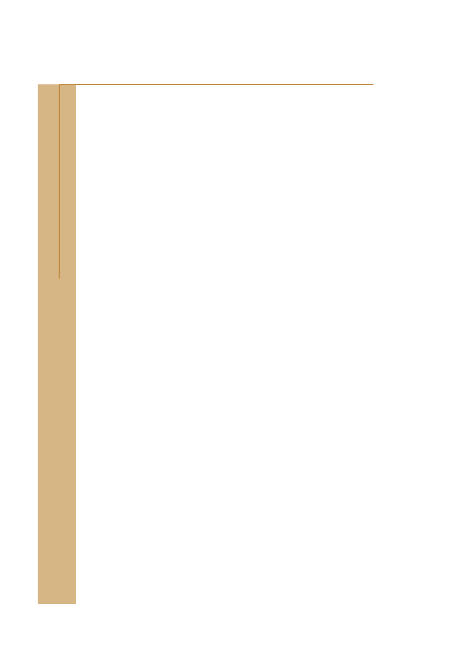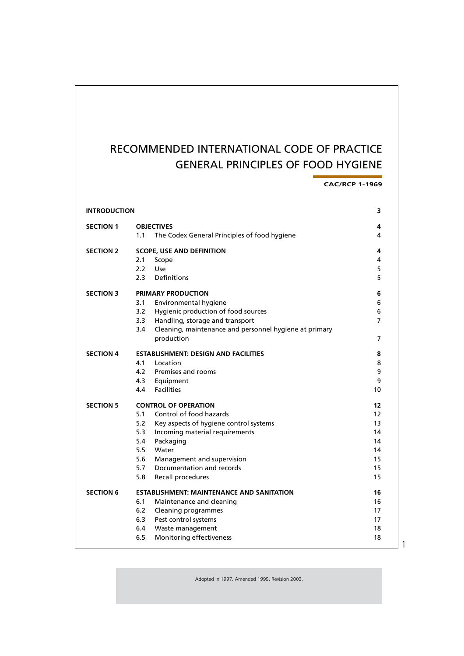### RECOMMENDED INTERNATIONAL CODE OF PRACTICE GENERAL PRINCIPLES OF FOOD HYGIENE

**CAC/RCP 1-1969**

| <b>INTRODUCTION</b> |                                                               | 3              |
|---------------------|---------------------------------------------------------------|----------------|
| <b>SECTION 1</b>    | <b>OBJECTIVES</b>                                             | 4              |
|                     | 1.1<br>The Codex General Principles of food hygiene           | 4              |
| <b>SECTION 2</b>    | <b>SCOPE, USE AND DEFINITION</b>                              | 4              |
|                     | 2.1<br>Scope                                                  | 4              |
|                     | 2.2<br>Use                                                    | 5              |
|                     | Definitions<br>2.3                                            | 5              |
| <b>SECTION 3</b>    | <b>PRIMARY PRODUCTION</b>                                     | 6              |
|                     | 3.1<br>Environmental hygiene                                  | 6              |
|                     | 3.2<br>Hygienic production of food sources                    | 6              |
|                     | 3.3<br>Handling, storage and transport                        | $\overline{7}$ |
|                     | 3.4<br>Cleaning, maintenance and personnel hygiene at primary |                |
|                     | production                                                    | 7              |
| <b>SECTION 4</b>    | <b>ESTABLISHMENT: DESIGN AND FACILITIES</b>                   | 8              |
|                     | 4.1<br>Location                                               | 8              |
|                     | 4.2<br>Premises and rooms                                     | 9              |
|                     | 4.3<br>Equipment                                              | 9              |
|                     | <b>Facilities</b><br>4.4                                      | 10             |
| <b>SECTION 5</b>    | <b>CONTROL OF OPERATION</b>                                   | 12             |
|                     | 5.1<br>Control of food hazards                                | 12             |
|                     | 5.2<br>Key aspects of hygiene control systems                 | 13             |
|                     | 5.3<br>Incoming material requirements                         | 14             |
|                     | 5.4<br>Packaging                                              | 14             |
|                     | 5.5<br>Water                                                  | 14             |
|                     | 5.6<br>Management and supervision                             | 15             |
|                     | 5.7<br>Documentation and records                              | 15             |
|                     | 5.8<br>Recall procedures                                      | 15             |
| <b>SECTION 6</b>    | <b>ESTABLISHMENT: MAINTENANCE AND SANITATION</b>              | 16             |
|                     | 6.1<br>Maintenance and cleaning                               | 16             |
|                     | 6.2<br>Cleaning programmes                                    | 17             |
|                     | 6.3<br>Pest control systems                                   | 17             |
|                     | 6.4<br>Waste management                                       | 18             |
|                     | 6.5<br>Monitoring effectiveness                               | 18             |
|                     |                                                               |                |

Adopted in 1997. Amended 1999. Revision 2003.

1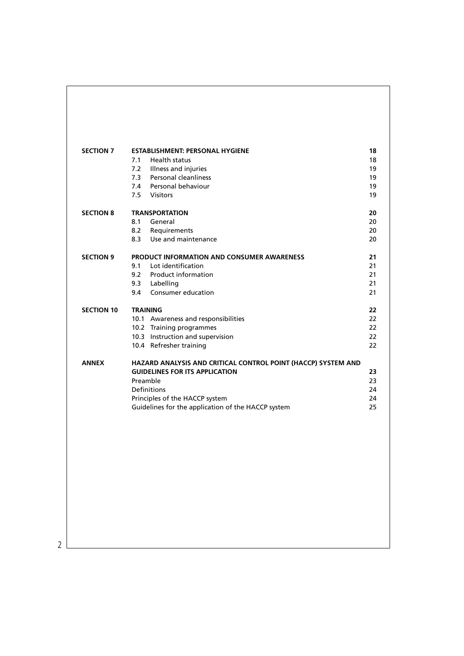| <b>SECTION 7</b>  | <b>ESTABLISHMENT: PERSONAL HYGIENE</b><br>7.1 Health status   | 18<br>18 |
|-------------------|---------------------------------------------------------------|----------|
|                   | 7.2 Illness and injuries                                      | 19       |
|                   | 7.3 Personal cleanliness                                      | 19       |
|                   | 7.4 Personal behaviour                                        | 19       |
|                   | 7.5 Visitors                                                  | 19       |
| <b>SECTION 8</b>  | <b>TRANSPORTATION</b>                                         | 20       |
|                   | 8.1 General                                                   | 20       |
|                   | 8.2 Requirements<br>8.3 Use and maintenance                   | 20<br>20 |
|                   |                                                               |          |
| <b>SECTION 9</b>  | PRODUCT INFORMATION AND CONSUMER AWARENESS                    | 21       |
|                   | 9.1<br>Lot identification                                     | 21       |
|                   | 9.2 Product information<br>9.3 Labelling                      | 21<br>21 |
|                   | 9.4 Consumer education                                        | 21       |
|                   |                                                               |          |
| <b>SECTION 10</b> | <b>TRAINING</b>                                               | 22       |
|                   | 10.1 Awareness and responsibilities                           | 22       |
|                   | 10.2 Training programmes                                      | 22<br>22 |
|                   | 10.3 Instruction and supervision<br>10.4 Refresher training   | 22       |
|                   |                                                               |          |
| <b>ANNEX</b>      | HAZARD ANALYSIS AND CRITICAL CONTROL POINT (HACCP) SYSTEM AND |          |
|                   | <b>GUIDELINES FOR ITS APPLICATION</b><br>Preamble             | 23<br>23 |
|                   | <b>Definitions</b>                                            | 24       |
|                   | Principles of the HACCP system                                | 24       |
|                   |                                                               |          |

2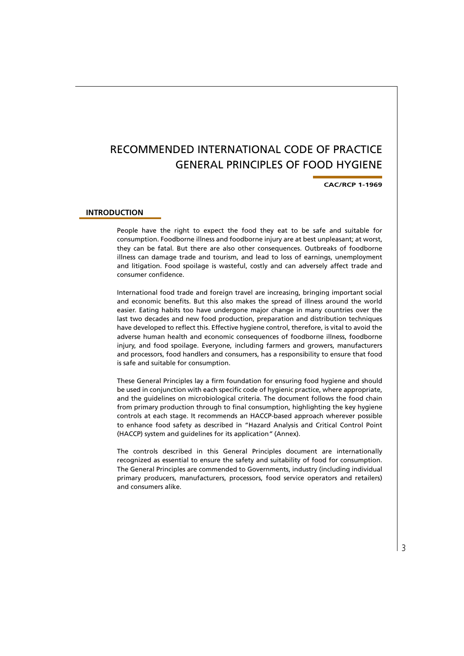### RECOMMENDED INTERNATIONAL CODE OF PRACTICE GENERAL PRINCIPLES OF FOOD HYGIENE

**CAC/RCP 1-1969**

#### **INTRODUCTION**

People have the right to expect the food they eat to be safe and suitable for consumption. Foodborne illness and foodborne injury are at best unpleasant; at worst, they can be fatal. But there are also other consequences. Outbreaks of foodborne illness can damage trade and tourism, and lead to loss of earnings, unemployment and litigation. Food spoilage is wasteful, costly and can adversely affect trade and consumer confidence.

International food trade and foreign travel are increasing, bringing important social and economic benefits. But this also makes the spread of illness around the world easier. Eating habits too have undergone major change in many countries over the last two decades and new food production, preparation and distribution techniques have developed to reflect this. Effective hygiene control, therefore, is vital to avoid the adverse human health and economic consequences of foodborne illness, foodborne injury, and food spoilage. Everyone, including farmers and growers, manufacturers and processors, food handlers and consumers, has a responsibility to ensure that food is safe and suitable for consumption.

These General Principles lay a firm foundation for ensuring food hygiene and should be used in conjunction with each specific code of hygienic practice, where appropriate, and the guidelines on microbiological criteria. The document follows the food chain from primary production through to final consumption, highlighting the key hygiene controls at each stage. It recommends an HACCP-based approach wherever possible to enhance food safety as described in "Hazard Analysis and Critical Control Point (HACCP) system and guidelines for its application*"* (Annex).

The controls described in this General Principles document are internationally recognized as essential to ensure the safety and suitability of food for consumption. The General Principles are commended to Governments, industry (including individual primary producers, manufacturers, processors, food service operators and retailers) and consumers alike.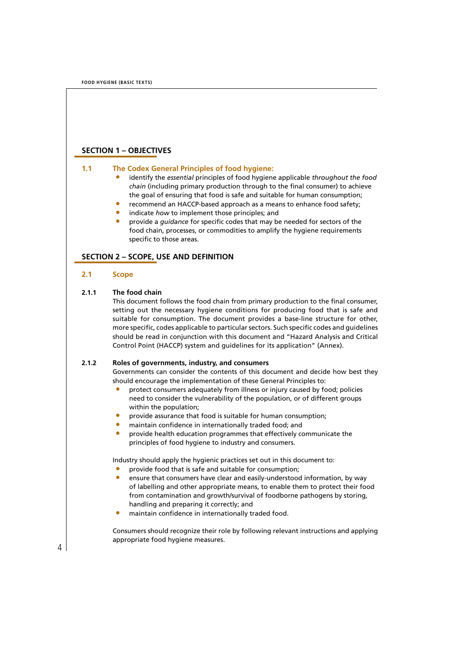#### **SECTION 1 – OBJECTIVES**

#### **1.1 The Codex General Principles of food hygiene:**

- t identify the *essential* principles of food hygiene applicable *throughout the food chain* (including primary production through to the final consumer) to achieve the goal of ensuring that food is safe and suitable for human consumption;
- t recommend an HACCP-based approach as a means to enhance food safety;
- indicate how to implement those principles; and
- provide a *guidance* for specific codes that may be needed for sectors of the food chain, processes, or commodities to amplify the hygiene requirements specific to those areas.

#### **SECTION 2 – SCOPE, USE AND DEFINITION**

#### **2.1 Scope**

#### **2.1.1 The food chain**

This document follows the food chain from primary production to the final consumer, setting out the necessary hygiene conditions for producing food that is safe and suitable for consumption. The document provides a base-line structure for other, more specific, codes applicable to particular sectors. Such specific codes and guidelines should be read in conjunction with this document and "Hazard Analysis and Critical Control Point (HACCP) system and guidelines for its application" (Annex).

#### **2.1.2 Roles of governments, industry, and consumers**

Governments can consider the contents of this document and decide how best they should encourage the implementation of these General Principles to:

- protect consumers adequately from illness or injury caused by food; policies need to consider the vulnerability of the population, or of different groups within the population;
- provide assurance that food is suitable for human consumption;
- maintain confidence in internationally traded food; and
- provide health education programmes that effectively communicate the principles of food hygiene to industry and consumers.

Industry should apply the hygienic practices set out in this document to:

- provide food that is safe and suitable for consumption;
- ensure that consumers have clear and easily-understood information, by way of labelling and other appropriate means, to enable them to protect their food from contamination and growth/survival of foodborne pathogens by storing, handling and preparing it correctly; and
- **•** maintain confidence in internationally traded food.

Consumers should recognize their role by following relevant instructions and applying appropriate food hygiene measures.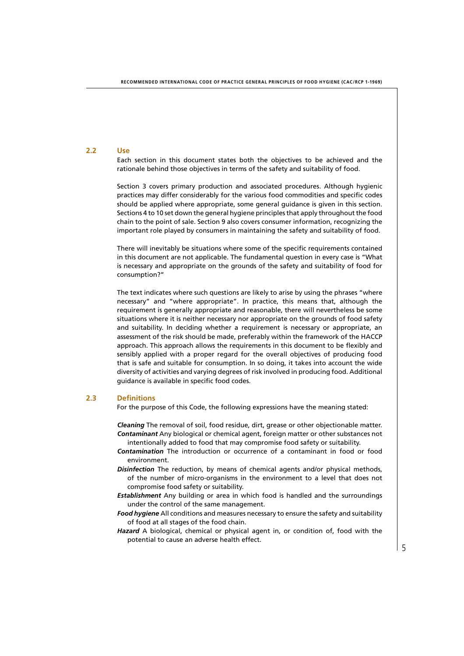#### **2.2 Use**

Each section in this document states both the objectives to be achieved and the rationale behind those objectives in terms of the safety and suitability of food.

Section 3 covers primary production and associated procedures. Although hygienic practices may differ considerably for the various food commodities and specific codes should be applied where appropriate, some general guidance is given in this section. Sections 4 to 10 set down the general hygiene principles that apply throughout the food chain to the point of sale. Section 9 also covers consumer information, recognizing the important role played by consumers in maintaining the safety and suitability of food.

There will inevitably be situations where some of the specific requirements contained in this document are not applicable. The fundamental question in every case is "What is necessary and appropriate on the grounds of the safety and suitability of food for consumption?"

The text indicates where such questions are likely to arise by using the phrases "where necessary" and "where appropriate". In practice, this means that, although the requirement is generally appropriate and reasonable, there will nevertheless be some situations where it is neither necessary nor appropriate on the grounds of food safety and suitability. In deciding whether a requirement is necessary or appropriate, an assessment of the risk should be made, preferably within the framework of the HACCP approach. This approach allows the requirements in this document to be flexibly and sensibly applied with a proper regard for the overall objectives of producing food that is safe and suitable for consumption. In so doing, it takes into account the wide diversity of activities and varying degrees of risk involved in producing food. Additional guidance is available in specific food codes.

#### **2.3 Definitions**

For the purpose of this Code, the following expressions have the meaning stated:

*Cleaning* The removal of soil, food residue, dirt, grease or other objectionable matter. *Contaminant* Any biological or chemical agent, foreign matter or other substances not intentionally added to food that may compromise food safety or suitability.

- *Contamination* The introduction or occurrence of a contaminant in food or food environment.
- *Disinfection* The reduction, by means of chemical agents and/or physical methods, of the number of micro-organisms in the environment to a level that does not compromise food safety or suitability.
- *Establishment* Any building or area in which food is handled and the surroundings under the control of the same management.
- *Food hygiene* All conditions and measures necessary to ensure the safety and suitability of food at all stages of the food chain.
- *Hazard* A biological, chemical or physical agent in, or condition of, food with the potential to cause an adverse health effect.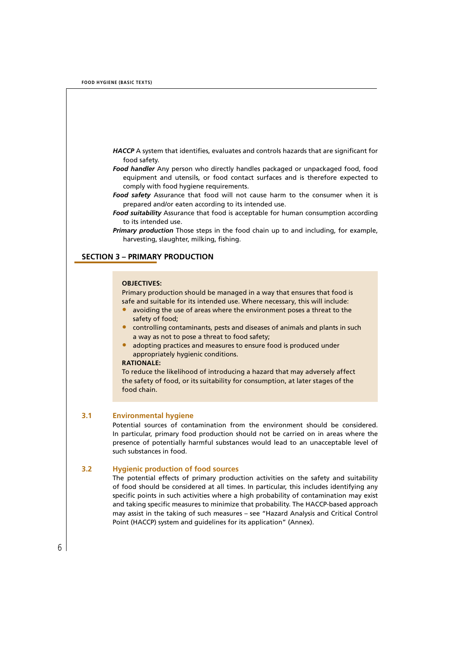- *HACCP* A system that identifies, evaluates and controls hazards that are significant for food safety.
- *Food handler* Any person who directly handles packaged or unpackaged food, food equipment and utensils, or food contact surfaces and is therefore expected to comply with food hygiene requirements.
- *Food safety* Assurance that food will not cause harm to the consumer when it is prepared and/or eaten according to its intended use.
- *Food suitability* Assurance that food is acceptable for human consumption according to its intended use.
- *Primary production* Those steps in the food chain up to and including, for example, harvesting, slaughter, milking, fishing.

#### **SECTION 3 – PRIMARY PRODUCTION**

#### **OBJECTIVES:**

Primary production should be managed in a way that ensures that food is safe and suitable for its intended use. Where necessary, this will include:

- avoiding the use of areas where the environment poses a threat to the safety of food;
- controlling contaminants, pests and diseases of animals and plants in such a way as not to pose a threat to food safety;
- adopting practices and measures to ensure food is produced under appropriately hygienic conditions.

#### **RATIONALE:**

To reduce the likelihood of introducing a hazard that may adversely affect the safety of food, or its suitability for consumption, at later stages of the food chain.

#### **3.1 Environmental hygiene**

Potential sources of contamination from the environment should be considered. In particular, primary food production should not be carried on in areas where the presence of potentially harmful substances would lead to an unacceptable level of such substances in food.

#### **3.2 Hygienic production of food sources**

The potential effects of primary production activities on the safety and suitability of food should be considered at all times. In particular, this includes identifying any specific points in such activities where a high probability of contamination may exist and taking specific measures to minimize that probability. The HACCP-based approach may assist in the taking of such measures – see "Hazard Analysis and Critical Control Point (HACCP) system and guidelines for its application" (Annex).

6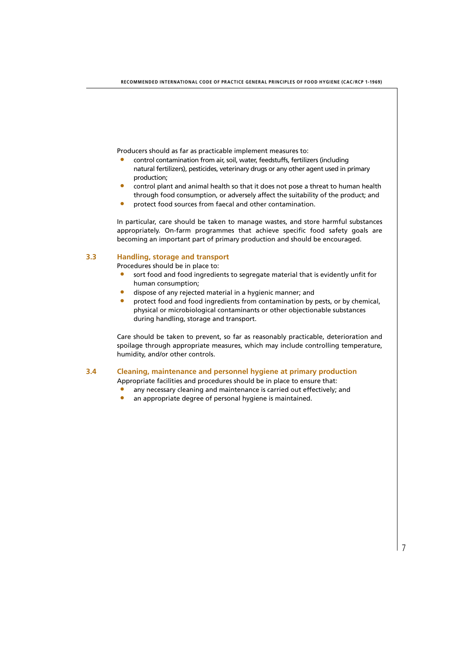Producers should as far as practicable implement measures to:

- t control contamination from air, soil, water, feedstuffs, fertilizers (including natural fertilizers), pesticides, veterinary drugs or any other agent used in primary production;
- $\bullet$  control plant and animal health so that it does not pose a threat to human health through food consumption, or adversely affect the suitability of the product; and
- protect food sources from faecal and other contamination.

In particular, care should be taken to manage wastes, and store harmful substances appropriately. On-farm programmes that achieve specific food safety goals are becoming an important part of primary production and should be encouraged.

#### **3.3 Handling, storage and transport**

Procedures should be in place to:

- $\bullet$  sort food and food ingredients to segregate material that is evidently unfit for human consumption;
- $\bullet$  dispose of any rejected material in a hygienic manner; and  $\bullet$  arctect food and food incredients from contamination by
- protect food and food ingredients from contamination by pests, or by chemical, physical or microbiological contaminants or other objectionable substances during handling, storage and transport.

Care should be taken to prevent, so far as reasonably practicable, deterioration and spoilage through appropriate measures, which may include controlling temperature, humidity, and/or other controls.

#### **3.4 Cleaning, maintenance and personnel hygiene at primary production**

- Appropriate facilities and procedures should be in place to ensure that:
- any necessary cleaning and maintenance is carried out effectively; and<br>• an appropriate degree of personal bygiene is maintained
- an appropriate degree of personal hygiene is maintained.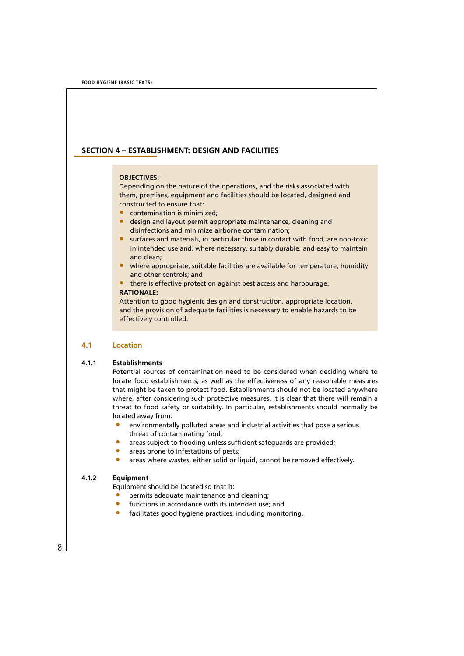#### **SECTION 4 – ESTABLISHMENT: DESIGN AND FACILITIES**

#### **OBJECTIVES:**

Depending on the nature of the operations, and the risks associated with them, premises, equipment and facilities should be located, designed and constructed to ensure that:

- $\bullet$  contamination is minimized;
- **•** design and layout permit appropriate maintenance, cleaning and disinfections and minimize airborne contamination;
- $\bullet$  surfaces and materials, in particular those in contact with food, are non-toxic in intended use and, where necessary, suitably durable, and easy to maintain and clean;
- where appropriate, suitable facilities are available for temperature, humidity and other controls; and
- there is effective protection against pest access and harbourage. **RATIONALE:**

Attention to good hygienic design and construction, appropriate location, and the provision of adequate facilities is necessary to enable hazards to be effectively controlled.

#### **4.1 Location**

#### **4.1.1 Establishments**

Potential sources of contamination need to be considered when deciding where to locate food establishments, as well as the effectiveness of any reasonable measures that might be taken to protect food. Establishments should not be located anywhere where, after considering such protective measures, it is clear that there will remain a threat to food safety or suitability. In particular, establishments should normally be located away from:

- environmentally polluted areas and industrial activities that pose a serious threat of contaminating food;
- areas subject to flooding unless sufficient safeguards are provided;
- $\bullet$  areas prone to infestations of pests;<br> $\bullet$  areas where wastes either solid or li
- areas where wastes, either solid or liquid, cannot be removed effectively.

#### **4.1.2 Equipment**

Equipment should be located so that it:

- permits adequate maintenance and cleaning;
- $\bullet$  functions in accordance with its intended use; and
- facilitates good hygiene practices, including monitoring.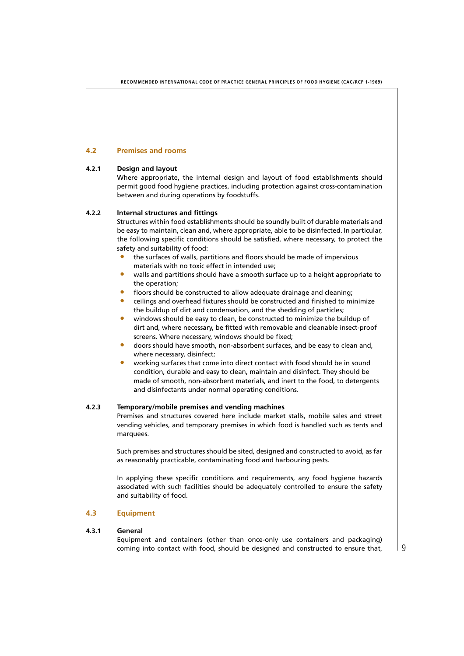#### **4.2 Premises and rooms**

#### **4.2.1 Design and layout**

Where appropriate, the internal design and layout of food establishments should permit good food hygiene practices, including protection against cross-contamination between and during operations by foodstuffs.

#### **4.2.2 Internal structures and fittings**

Structures within food establishments should be soundly built of durable materials and be easy to maintain, clean and, where appropriate, able to be disinfected. In particular, the following specific conditions should be satisfied, where necessary, to protect the safety and suitability of food:

- the surfaces of walls, partitions and floors should be made of impervious materials with no toxic effect in intended use;
- walls and partitions should have a smooth surface up to a height appropriate to the operation;
- $\bullet$  floors should be constructed to allow adequate drainage and cleaning;
- t ceilings and overhead fixtures should be constructed and finished to minimize the buildup of dirt and condensation, and the shedding of particles;
- windows should be easy to clean, be constructed to minimize the buildup of dirt and, where necessary, be fitted with removable and cleanable insect-proof screens. Where necessary, windows should be fixed;
- doors should have smooth, non-absorbent surfaces, and be easy to clean and, where necessary, disinfect;
- working surfaces that come into direct contact with food should be in sound condition, durable and easy to clean, maintain and disinfect. They should be made of smooth, non-absorbent materials, and inert to the food, to detergents and disinfectants under normal operating conditions.

#### **4.2.3 Temporary/mobile premises and vending machines**

Premises and structures covered here include market stalls, mobile sales and street vending vehicles, and temporary premises in which food is handled such as tents and marquees.

Such premises and structures should be sited, designed and constructed to avoid, as far as reasonably practicable, contaminating food and harbouring pests.

In applying these specific conditions and requirements, any food hygiene hazards associated with such facilities should be adequately controlled to ensure the safety and suitability of food.

#### **4.3 Equipment**

#### **4.3.1 General**

Equipment and containers (other than once-only use containers and packaging) coming into contact with food, should be designed and constructed to ensure that,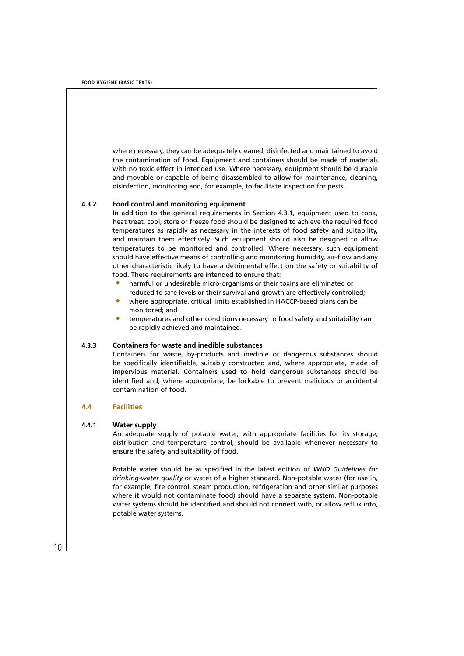where necessary, they can be adequately cleaned, disinfected and maintained to avoid the contamination of food. Equipment and containers should be made of materials with no toxic effect in intended use. Where necessary, equipment should be durable and movable or capable of being disassembled to allow for maintenance, cleaning, disinfection, monitoring and, for example, to facilitate inspection for pests.

#### **4.3.2 Food control and monitoring equipment**

In addition to the general requirements in Section 4.3.1, equipment used to cook, heat treat, cool, store or freeze food should be designed to achieve the required food temperatures as rapidly as necessary in the interests of food safety and suitability, and maintain them effectively. Such equipment should also be designed to allow temperatures to be monitored and controlled. Where necessary, such equipment should have effective means of controlling and monitoring humidity, air-flow and any other characteristic likely to have a detrimental effect on the safety or suitability of food. These requirements are intended to ensure that:

- harmful or undesirable micro-organisms or their toxins are eliminated or reduced to safe levels or their survival and growth are effectively controlled;
- where appropriate, critical limits established in HACCP-based plans can be monitored; and
- temperatures and other conditions necessary to food safety and suitability can be rapidly achieved and maintained.

#### **4.3.3 Containers for waste and inedible substances**

Containers for waste, by-products and inedible or dangerous substances should be specifically identifiable, suitably constructed and, where appropriate, made of impervious material. Containers used to hold dangerous substances should be identified and, where appropriate, be lockable to prevent malicious or accidental contamination of food.

#### **4.4 Facilities**

#### **4.4.1 Water supply**

An adequate supply of potable water, with appropriate facilities for its storage, distribution and temperature control, should be available whenever necessary to ensure the safety and suitability of food.

Potable water should be as specified in the latest edition of *WHO Guidelines for drinking-water quality* or water of a higher standard. Non-potable water (for use in, for example, fire control, steam production, refrigeration and other similar purposes where it would not contaminate food) should have a separate system. Non-potable water systems should be identified and should not connect with, or allow reflux into, potable water systems.

 $10<sup>-10</sup>$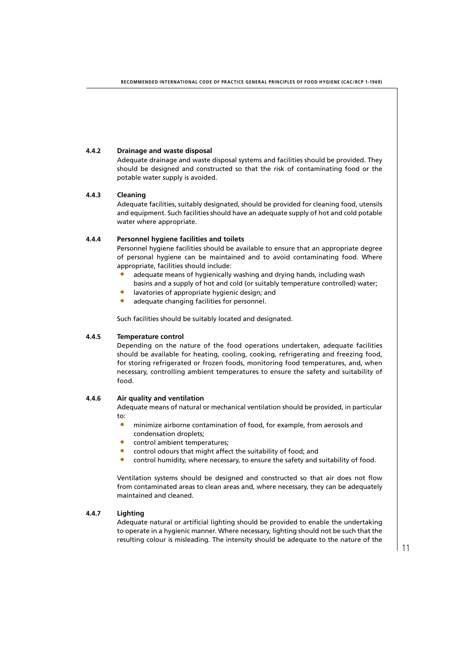#### **4.4.2 Drainage and waste disposal**

Adequate drainage and waste disposal systems and facilities should be provided. They should be designed and constructed so that the risk of contaminating food or the potable water supply is avoided.

#### **4.4.3 Cleaning**

Adequate facilities, suitably designated, should be provided for cleaning food, utensils and equipment. Such facilities should have an adequate supply of hot and cold potable water where appropriate.

#### **4.4.4 Personnel hygiene facilities and toilets**

Personnel hygiene facilities should be available to ensure that an appropriate degree of personal hygiene can be maintained and to avoid contaminating food. Where appropriate, facilities should include:

- adequate means of hygienically washing and drying hands, including wash basins and a supply of hot and cold (or suitably temperature controlled) water;
- 
- $\bullet$  lavatories of appropriate hygienic design; and adequate changing facilities for personnel.

Such facilities should be suitably located and designated.

#### **4.4.5 Temperature control**

Depending on the nature of the food operations undertaken, adequate facilities should be available for heating, cooling, cooking, refrigerating and freezing food, for storing refrigerated or frozen foods, monitoring food temperatures, and, when necessary, controlling ambient temperatures to ensure the safety and suitability of food.

#### **4.4.6 Air quality and ventilation**

Adequate means of natural or mechanical ventilation should be provided, in particular to:

- **•** minimize airborne contamination of food, for example, from aerosols and condensation droplets;
- control ambient temperatures;<br>• control odours that might affect
- control odours that might affect the suitability of food; and<br>• control bumidity where persessive to onsure the safety and
- control humidity, where necessary, to ensure the safety and suitability of food.

Ventilation systems should be designed and constructed so that air does not flow from contaminated areas to clean areas and, where necessary, they can be adequately maintained and cleaned.

#### **4.4.7 Lighting**

Adequate natural or artificial lighting should be provided to enable the undertaking to operate in a hygienic manner. Where necessary, lighting should not be such that the resulting colour is misleading. The intensity should be adequate to the nature of the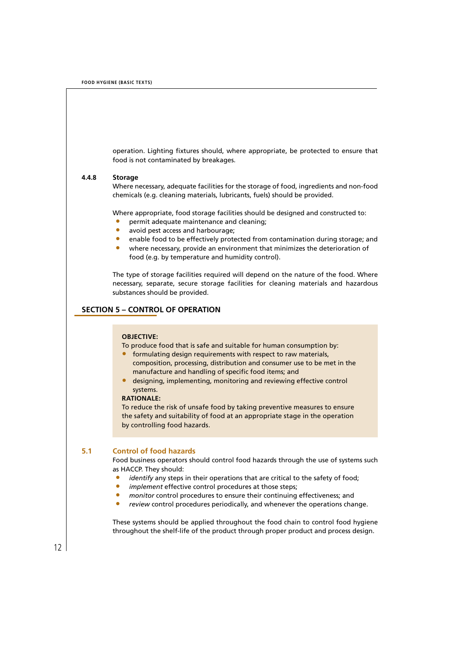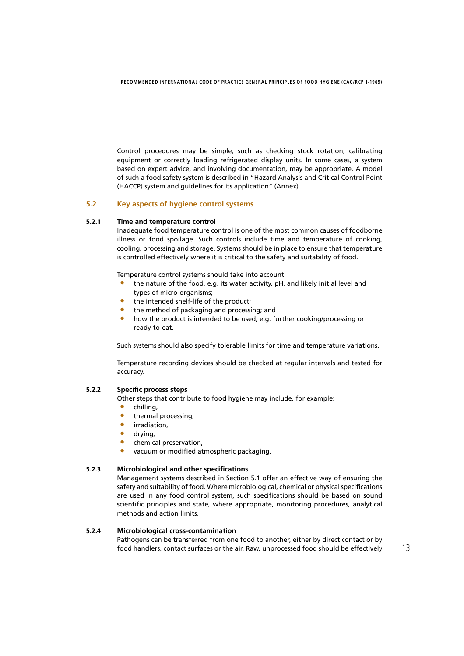Control procedures may be simple, such as checking stock rotation, calibrating equipment or correctly loading refrigerated display units. In some cases, a system based on expert advice, and involving documentation, may be appropriate. A model of such a food safety system is described in "Hazard Analysis and Critical Control Point (HACCP) system and guidelines for its application" (Annex).

#### **5.2 Key aspects of hygiene control systems**

#### **5.2.1 Time and temperature control**

Inadequate food temperature control is one of the most common causes of foodborne illness or food spoilage. Such controls include time and temperature of cooking, cooling, processing and storage. Systems should be in place to ensure that temperature is controlled effectively where it is critical to the safety and suitability of food.

Temperature control systems should take into account:

- $\bullet$  the nature of the food, e.g. its water activity, pH, and likely initial level and types of micro-organisms;
- $\bullet$  the intended shelf-life of the product;<br> $\bullet$  the method of packaging and processi
- $\bullet$  the method of packaging and processing; and  $\bullet$  how the product is intended to be used e.g. for
- how the product is intended to be used, e.g. further cooking/processing or ready-to-eat.

Such systems should also specify tolerable limits for time and temperature variations.

Temperature recording devices should be checked at regular intervals and tested for accuracy.

#### **5.2.2 Specific process steps**

Other steps that contribute to food hygiene may include, for example:

- $\bullet$  chilling,
- $\bullet$  thermal processing,
- $\bullet$  irradiation,
- $\bullet$  drying,
- $\bullet$  chemical preservation,
- vacuum or modified atmospheric packaging.

#### **5.2.3 Microbiological and other specifications**

Management systems described in Section 5.1 offer an effective way of ensuring the safety and suitability of food. Where microbiological, chemical or physical specifications are used in any food control system, such specifications should be based on sound scientific principles and state, where appropriate, monitoring procedures, analytical methods and action limits.

#### **5.2.4 Microbiological cross-contamination**

Pathogens can be transferred from one food to another, either by direct contact or by food handlers, contact surfaces or the air. Raw, unprocessed food should be effectively

 $\vert$  13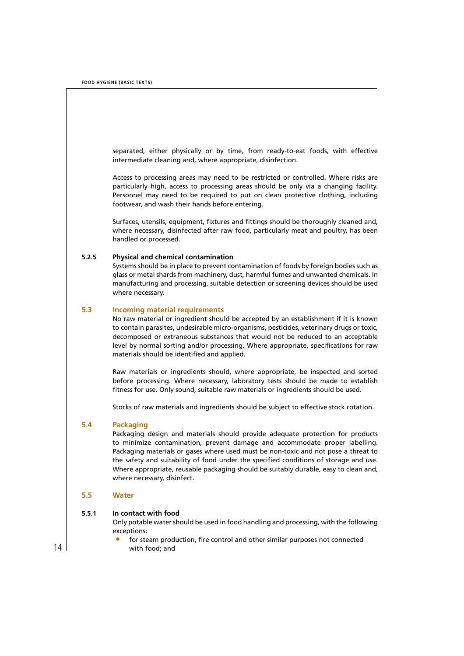separated, either physically or by time, from ready-to-eat foods, with effective intermediate cleaning and, where appropriate, disinfection.

Access to processing areas may need to be restricted or controlled. Where risks are particularly high, access to processing areas should be only via a changing facility. Personnel may need to be required to put on clean protective clothing, including footwear, and wash their hands before entering.

Surfaces, utensils, equipment, fixtures and fittings should be thoroughly cleaned and, where necessary, disinfected after raw food, particularly meat and poultry, has been handled or processed.

#### **5.2.5 Physical and chemical contamination**

Systems should be in place to prevent contamination of foods by foreign bodies such as glass or metal shards from machinery, dust, harmful fumes and unwanted chemicals. In manufacturing and processing, suitable detection or screening devices should be used where necessary.

#### **5.3 Incoming material requirements**

No raw material or ingredient should be accepted by an establishment if it is known to contain parasites, undesirable micro-organisms, pesticides, veterinary drugs or toxic, decomposed or extraneous substances that would not be reduced to an acceptable level by normal sorting and/or processing. Where appropriate, specifications for raw materials should be identified and applied.

Raw materials or ingredients should, where appropriate, be inspected and sorted before processing. Where necessary, laboratory tests should be made to establish fitness for use. Only sound, suitable raw materials or ingredients should be used.

Stocks of raw materials and ingredients should be subject to effective stock rotation.

#### **5.4 Packaging**

Packaging design and materials should provide adequate protection for products to minimize contamination, prevent damage and accommodate proper labelling. Packaging materials or gases where used must be non-toxic and not pose a threat to the safety and suitability of food under the specified conditions of storage and use. Where appropriate, reusable packaging should be suitably durable, easy to clean and, where necessary, disinfect.

#### **5.5 Water**

#### **5.5.1 In contact with food**

Only potable water should be used in food handling and processing, with the following exceptions:

for steam production, fire control and other similar purposes not connected with food; and

 $14$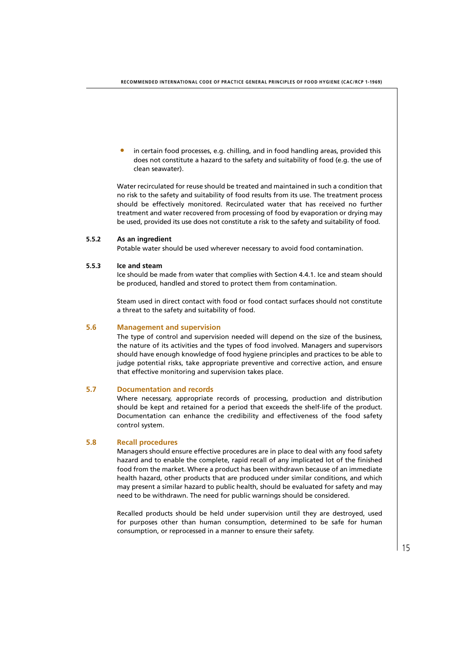in certain food processes, e.g. chilling, and in food handling areas, provided this does not constitute a hazard to the safety and suitability of food (e.g. the use of clean seawater).

Water recirculated for reuse should be treated and maintained in such a condition that no risk to the safety and suitability of food results from its use. The treatment process should be effectively monitored. Recirculated water that has received no further treatment and water recovered from processing of food by evaporation or drying may be used, provided its use does not constitute a risk to the safety and suitability of food.

#### **5.5.2 As an ingredient**

Potable water should be used wherever necessary to avoid food contamination.

#### **5.5.3 Ice and steam**

Ice should be made from water that complies with Section 4.4.1. Ice and steam should be produced, handled and stored to protect them from contamination.

Steam used in direct contact with food or food contact surfaces should not constitute a threat to the safety and suitability of food.

#### **5.6 Management and supervision**

The type of control and supervision needed will depend on the size of the business, the nature of its activities and the types of food involved. Managers and supervisors should have enough knowledge of food hygiene principles and practices to be able to judge potential risks, take appropriate preventive and corrective action, and ensure that effective monitoring and supervision takes place.

#### **5.7 Documentation and records**

Where necessary, appropriate records of processing, production and distribution should be kept and retained for a period that exceeds the shelf-life of the product. Documentation can enhance the credibility and effectiveness of the food safety control system.

#### **5.8 Recall procedures**

Managers should ensure effective procedures are in place to deal with any food safety hazard and to enable the complete, rapid recall of any implicated lot of the finished food from the market. Where a product has been withdrawn because of an immediate health hazard, other products that are produced under similar conditions, and which may present a similar hazard to public health, should be evaluated for safety and may need to be withdrawn. The need for public warnings should be considered.

Recalled products should be held under supervision until they are destroyed, used for purposes other than human consumption, determined to be safe for human consumption, or reprocessed in a manner to ensure their safety.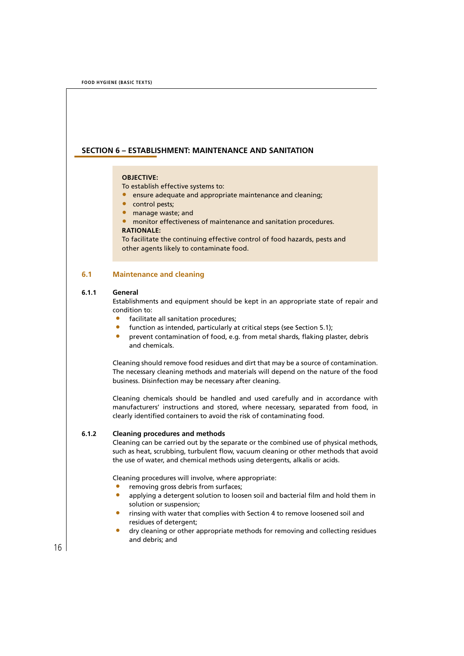#### **SECTION 6 – ESTABLISHMENT: MAINTENANCE AND SANITATION**

#### **OBJECTIVE:**

To establish effective systems to:

- $\bullet$  ensure adequate and appropriate maintenance and cleaning;
- $\bullet$  control pests;
- **•** manage waste; and
- **•** monitor effectiveness of maintenance and sanitation procedures.

#### **RATIONALE:**

To facilitate the continuing effective control of food hazards, pests and other agents likely to contaminate food.

#### **6.1 Maintenance and cleaning**

#### **6.1.1 General**

Establishments and equipment should be kept in an appropriate state of repair and condition to:

- $\bullet$  facilitate all sanitation procedures;<br> $\bullet$  function as intended particularly a
- function as intended, particularly at critical steps (see Section 5.1);<br>• prevent contamination of food e.g. from metal shards, flaking pla
- prevent contamination of food, e.g. from metal shards, flaking plaster, debris and chemicals.

Cleaning should remove food residues and dirt that may be a source of contamination. The necessary cleaning methods and materials will depend on the nature of the food business. Disinfection may be necessary after cleaning.

Cleaning chemicals should be handled and used carefully and in accordance with manufacturers' instructions and stored, where necessary, separated from food, in clearly identified containers to avoid the risk of contaminating food.

#### **6.1.2 Cleaning procedures and methods**

Cleaning can be carried out by the separate or the combined use of physical methods, such as heat, scrubbing, turbulent flow, vacuum cleaning or other methods that avoid the use of water, and chemical methods using detergents, alkalis or acids.

Cleaning procedures will involve, where appropriate:

- removing gross debris from surfaces;
- applying a detergent solution to loosen soil and bacterial film and hold them in solution or suspension;
- rinsing with water that complies with Section 4 to remove loosened soil and residues of detergent;
- dry cleaning or other appropriate methods for removing and collecting residues and debris; and

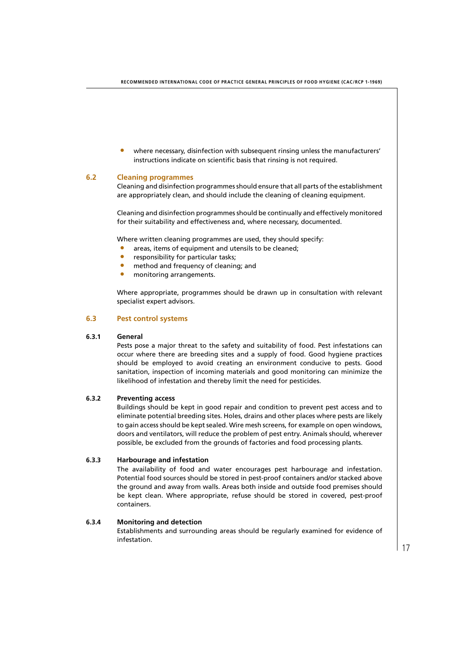• where necessary, disinfection with subsequent rinsing unless the manufacturers' instructions indicate on scientific basis that rinsing is not required.

#### **6.2 Cleaning programmes**

Cleaning and disinfection programmes should ensure that all parts of the establishment are appropriately clean, and should include the cleaning of cleaning equipment.

Cleaning and disinfection programmes should be continually and effectively monitored for their suitability and effectiveness and, where necessary, documented.

Where written cleaning programmes are used, they should specify:

- $\bullet$  areas, items of equipment and utensils to be cleaned;<br> $\bullet$  responsibility for particular tasks:
- responsibility for particular tasks;<br>• method and frequency of cleaning
- **the method and frequency of cleaning; and<br>
Proportior in a strangements**
- monitoring arrangements.

Where appropriate, programmes should be drawn up in consultation with relevant specialist expert advisors.

#### **6.3 Pest control systems**

#### **6.3.1 General**

Pests pose a major threat to the safety and suitability of food. Pest infestations can occur where there are breeding sites and a supply of food. Good hygiene practices should be employed to avoid creating an environment conducive to pests. Good sanitation, inspection of incoming materials and good monitoring can minimize the likelihood of infestation and thereby limit the need for pesticides.

#### **6.3.2 Preventing access**

Buildings should be kept in good repair and condition to prevent pest access and to eliminate potential breeding sites. Holes, drains and other places where pests are likely to gain access should be kept sealed. Wire mesh screens, for example on open windows, doors and ventilators, will reduce the problem of pest entry. Animals should, wherever possible, be excluded from the grounds of factories and food processing plants.

#### **6.3.3 Harbourage and infestation**

The availability of food and water encourages pest harbourage and infestation. Potential food sources should be stored in pest-proof containers and/or stacked above the ground and away from walls. Areas both inside and outside food premises should be kept clean. Where appropriate, refuse should be stored in covered, pest-proof containers.

#### **6.3.4 Monitoring and detection**

Establishments and surrounding areas should be regularly examined for evidence of infestation.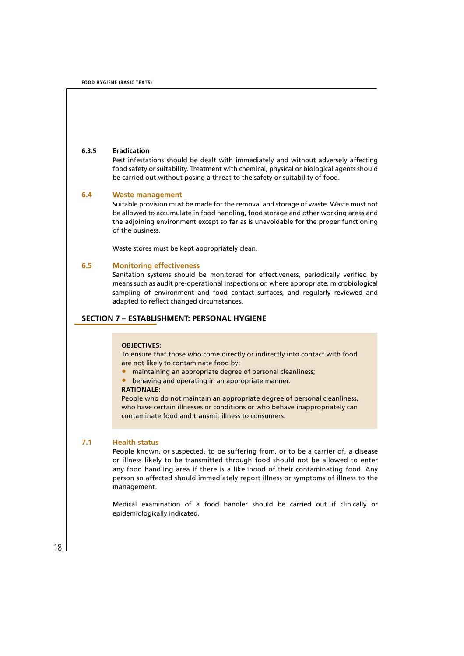#### **6.3.5 Eradication**

Pest infestations should be dealt with immediately and without adversely affecting food safety or suitability. Treatment with chemical, physical or biological agents should be carried out without posing a threat to the safety or suitability of food.

#### **6.4 Waste management**

Suitable provision must be made for the removal and storage of waste. Waste must not be allowed to accumulate in food handling, food storage and other working areas and the adjoining environment except so far as is unavoidable for the proper functioning of the business.

Waste stores must be kept appropriately clean.

#### **6.5 Monitoring effectiveness**

Sanitation systems should be monitored for effectiveness, periodically verified by means such as audit pre-operational inspections or, where appropriate, microbiological sampling of environment and food contact surfaces, and regularly reviewed and adapted to reflect changed circumstances.

#### **SECTION 7 – ESTABLISHMENT: PERSONAL HYGIENE**

#### **OBJECTIVES:**

To ensure that those who come directly or indirectly into contact with food are not likely to contaminate food by:

- maintaining an appropriate degree of personal cleanliness;
- behaving and operating in an appropriate manner.

#### **RATIONALE:**

People who do not maintain an appropriate degree of personal cleanliness, who have certain illnesses or conditions or who behave inappropriately can contaminate food and transmit illness to consumers.

#### **7.1 Health status**

People known, or suspected, to be suffering from, or to be a carrier of, a disease or illness likely to be transmitted through food should not be allowed to enter any food handling area if there is a likelihood of their contaminating food. Any person so affected should immediately report illness or symptoms of illness to the management.

Medical examination of a food handler should be carried out if clinically or epidemiologically indicated.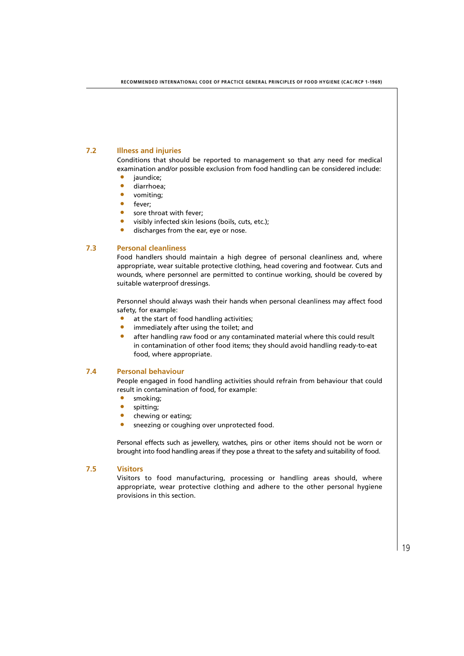#### **7.2 Illness and injuries**

Conditions that should be reported to management so that any need for medical examination and/or possible exclusion from food handling can be considered include:

- $\bullet$  jaundice;<br> $\bullet$  diarrhoea
- diarrhoea;<br>• vomiting:
- $\bullet$  vomiting;
- $\bullet$  fever;
- $\bullet$  sore throat with fever;<br> $\bullet$  wisibly infected skin less
- visibly infected skin lesions (boils, cuts, etc.);<br>• discharges from the ear eve or nose
- discharges from the ear, eye or nose.

#### **7.3 Personal cleanliness**

Food handlers should maintain a high degree of personal cleanliness and, where appropriate, wear suitable protective clothing, head covering and footwear. Cuts and wounds, where personnel are permitted to continue working, should be covered by suitable waterproof dressings.

Personnel should always wash their hands when personal cleanliness may affect food safety, for example:

- $\bullet$  at the start of food handling activities;<br> $\bullet$  immediately after using the toilet: and
- $\bullet$  immediately after using the toilet; and<br> $\bullet$  after bandling raw food or any contam
- after handling raw food or any contaminated material where this could result in contamination of other food items; they should avoid handling ready-to-eat food, where appropriate.

#### **7.4 Personal behaviour**

People engaged in food handling activities should refrain from behaviour that could result in contamination of food, for example:

- smoking;<br>• snitting;
- $\bullet$  spitting;
- $\bullet$  chewing or eating;
- sneezing or coughing over unprotected food.

Personal effects such as jewellery, watches, pins or other items should not be worn or brought into food handling areas if they pose a threat to the safety and suitability of food.

#### **7.5 Visitors**

Visitors to food manufacturing, processing or handling areas should, where appropriate, wear protective clothing and adhere to the other personal hygiene provisions in this section.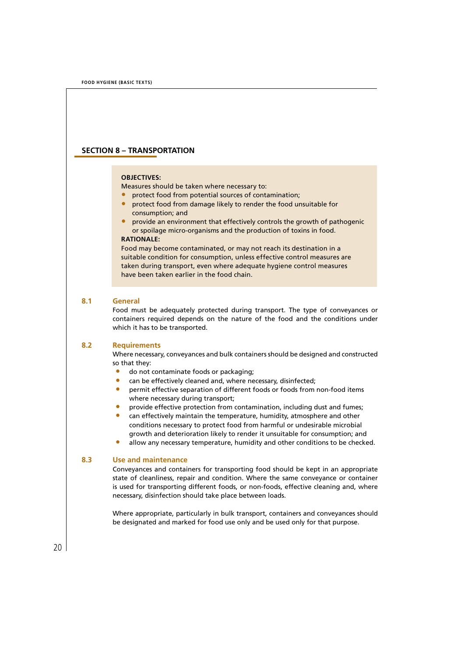#### **SECTION 8 – TRANSPORTATION**

#### **OBJECTIVES:**

Measures should be taken where necessary to:

- $\bullet$  protect food from potential sources of contamination:
- protect food from damage likely to render the food unsuitable for consumption; and
- provide an environment that effectively controls the growth of pathogenic or spoilage micro-organisms and the production of toxins in food.

#### **RATIONALE:**

Food may become contaminated, or may not reach its destination in a suitable condition for consumption, unless effective control measures are taken during transport, even where adequate hygiene control measures have been taken earlier in the food chain.

#### **8.1 General**

Food must be adequately protected during transport. The type of conveyances or containers required depends on the nature of the food and the conditions under which it has to be transported.

#### **8.2 Requirements**

Where necessary, conveyances and bulk containers should be designed and constructed so that they:

- do not contaminate foods or packaging;
- can be effectively cleaned and, where necessary, disinfected;
- permit effective separation of different foods or foods from non-food items where necessary during transport;
- provide effective protection from contamination, including dust and fumes;
- can effectively maintain the temperature, humidity, atmosphere and other conditions necessary to protect food from harmful or undesirable microbial growth and deterioration likely to render it unsuitable for consumption; and
- allow any necessary temperature, humidity and other conditions to be checked.

#### **8.3 Use and maintenance**

Conveyances and containers for transporting food should be kept in an appropriate state of cleanliness, repair and condition. Where the same conveyance or container is used for transporting different foods, or non-foods, effective cleaning and, where necessary, disinfection should take place between loads.

Where appropriate, particularly in bulk transport, containers and conveyances should be designated and marked for food use only and be used only for that purpose.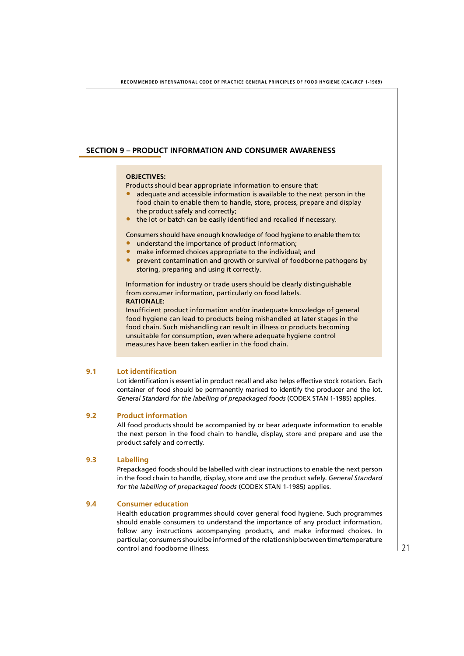#### **SECTION 9 – PRODUCT INFORMATION AND CONSUMER AWARENESS**

#### **OBJECTIVES:**

Products should bear appropriate information to ensure that:

- $\bullet$  adequate and accessible information is available to the next person in the food chain to enable them to handle, store, process, prepare and display the product safely and correctly;
- $\bullet$  the lot or batch can be easily identified and recalled if necessary.

Consumers should have enough knowledge of food hygiene to enable them to:

- understand the importance of product information;
- $\bullet$  make informed choices appropriate to the individual; and
- prevent contamination and growth or survival of foodborne pathogens by storing, preparing and using it correctly.

Information for industry or trade users should be clearly distinguishable from consumer information, particularly on food labels. **RATIONALE:**

Insufficient product information and/or inadequate knowledge of general food hygiene can lead to products being mishandled at later stages in the food chain. Such mishandling can result in illness or products becoming unsuitable for consumption, even where adequate hygiene control measures have been taken earlier in the food chain.

#### **9.1 Lot identification**

Lot identification is essential in product recall and also helps effective stock rotation. Each container of food should be permanently marked to identify the producer and the lot. *General Standard for the labelling of prepackaged foods* (CODEX STAN 1-1985) applies.

#### **9.2 Product information**

All food products should be accompanied by or bear adequate information to enable the next person in the food chain to handle, display, store and prepare and use the product safely and correctly.

#### **9.3 Labelling**

Prepackaged foods should be labelled with clear instructions to enable the next person in the food chain to handle, display, store and use the product safely. *General Standard for the labelling of prepackaged foods* (CODEX STAN 1-1985) applies.

#### **9.4 Consumer education**

Health education programmes should cover general food hygiene. Such programmes should enable consumers to understand the importance of any product information, follow any instructions accompanying products, and make informed choices. In particular, consumers should be informed of the relationship between time/temperature control and foodborne illness.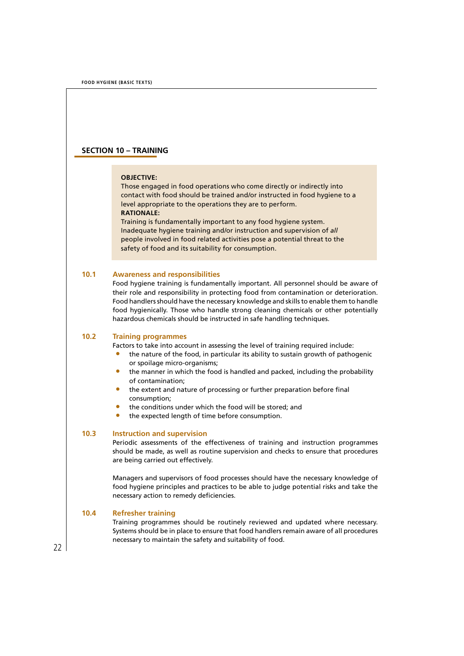#### **SECTION 10 – TRAINING**

#### **OBJECTIVE:**

Those engaged in food operations who come directly or indirectly into contact with food should be trained and/or instructed in food hygiene to a level appropriate to the operations they are to perform. **RATIONALE:**

Training is fundamentally important to any food hygiene system. Inadequate hygiene training and/or instruction and supervision of *all* people involved in food related activities pose a potential threat to the safety of food and its suitability for consumption.

#### **10.1 Awareness and responsibilities**

Food hygiene training is fundamentally important. All personnel should be aware of their role and responsibility in protecting food from contamination or deterioration. Food handlers should have the necessary knowledge and skills to enable them to handle food hygienically. Those who handle strong cleaning chemicals or other potentially hazardous chemicals should be instructed in safe handling techniques.

#### **10.2 Training programmes**

Factors to take into account in assessing the level of training required include:

- the nature of the food, in particular its ability to sustain growth of pathogenic or spoilage micro-organisms;
- the manner in which the food is handled and packed, including the probability of contamination;
- the extent and nature of processing or further preparation before final consumption;
- the conditions under which the food will be stored; and
- the expected length of time before consumption.

#### **10.3 Instruction and supervision**

Periodic assessments of the effectiveness of training and instruction programmes should be made, as well as routine supervision and checks to ensure that procedures are being carried out effectively.

Managers and supervisors of food processes should have the necessary knowledge of food hygiene principles and practices to be able to judge potential risks and take the necessary action to remedy deficiencies.

#### **10.4 Refresher training**

Training programmes should be routinely reviewed and updated where necessary. Systems should be in place to ensure that food handlers remain aware of all procedures necessary to maintain the safety and suitability of food.

 $22$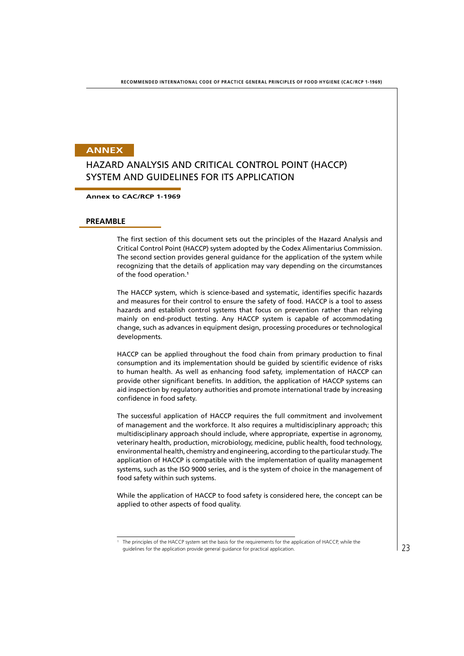### **ANNEX**

### HAZARD ANALYSIS AND CRITICAL CONTROL POINT (HACCP) SYSTEM AND GUIDELINES FOR ITS APPLICATION

#### **Annex to CAC/RCP 1-1969**

#### **PREAMBLE**

The first section of this document sets out the principles of the Hazard Analysis and Critical Control Point (HACCP) system adopted by the Codex Alimentarius Commission. The second section provides general guidance for the application of the system while recognizing that the details of application may vary depending on the circumstances of the food operation.**<sup>1</sup>**

The HACCP system, which is science-based and systematic, identifies specific hazards and measures for their control to ensure the safety of food. HACCP is a tool to assess hazards and establish control systems that focus on prevention rather than relying mainly on end-product testing. Any HACCP system is capable of accommodating change, such as advances in equipment design, processing procedures or technological developments.

HACCP can be applied throughout the food chain from primary production to final consumption and its implementation should be guided by scientific evidence of risks to human health. As well as enhancing food safety, implementation of HACCP can provide other significant benefits. In addition, the application of HACCP systems can aid inspection by regulatory authorities and promote international trade by increasing confidence in food safety.

The successful application of HACCP requires the full commitment and involvement of management and the workforce. It also requires a multidisciplinary approach; this multidisciplinary approach should include, where appropriate, expertise in agronomy, veterinary health, production, microbiology, medicine, public health, food technology, environmental health, chemistry and engineering, according to the particular study. The application of HACCP is compatible with the implementation of quality management systems, such as the ISO 9000 series, and is the system of choice in the management of food safety within such systems.

While the application of HACCP to food safety is considered here, the concept can be applied to other aspects of food quality.

<sup>&</sup>lt;sup>1</sup> The principles of the HACCP system set the basis for the requirements for the application of HACCP, while the guidelines for the application provide general guidance for practical application.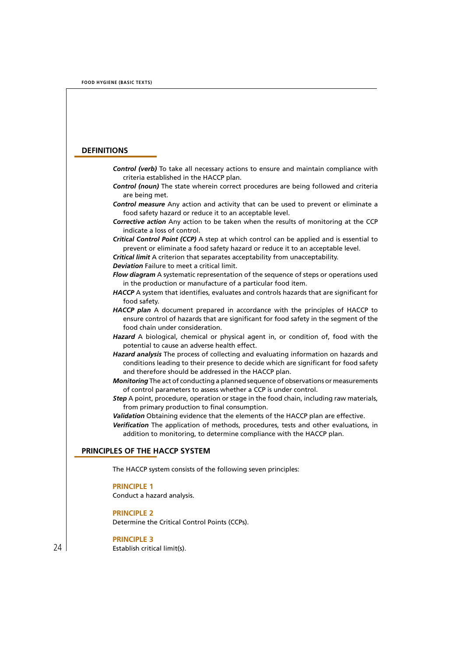#### **DEFINITIONS**

- *Control (verb)* To take all necessary actions to ensure and maintain compliance with criteria established in the HACCP plan.
- *Control (noun)* The state wherein correct procedures are being followed and criteria are being met.
- *Control measure* Any action and activity that can be used to prevent or eliminate a food safety hazard or reduce it to an acceptable level.
- *Corrective action* Any action to be taken when the results of monitoring at the CCP indicate a loss of control.
- *Critical Control Point (CCP)* A step at which control can be applied and is essential to prevent or eliminate a food safety hazard or reduce it to an acceptable level.

*Critical limit* A criterion that separates acceptability from unacceptability.

- *Deviation* Failure to meet a critical limit.
- *Flow diagram* A systematic representation of the sequence of steps or operations used in the production or manufacture of a particular food item.
- *HACCP* A system that identifies, evaluates and controls hazards that are significant for food safety.
- *HACCP plan* A document prepared in accordance with the principles of HACCP to ensure control of hazards that are significant for food safety in the segment of the food chain under consideration.
- *Hazard* A biological, chemical or physical agent in, or condition of, food with the potential to cause an adverse health effect.
- *Hazard analysis* The process of collecting and evaluating information on hazards and conditions leading to their presence to decide which are significant for food safety and therefore should be addressed in the HACCP plan.
- *Monitoring* The act of conducting a planned sequence of observations or measurements of control parameters to assess whether a CCP is under control.
- *Step* A point, procedure, operation or stage in the food chain, including raw materials, from primary production to final consumption.
- *Validation* Obtaining evidence that the elements of the HACCP plan are effective.
- *Verification* The application of methods, procedures, tests and other evaluations, in addition to monitoring, to determine compliance with the HACCP plan.

#### **PRINCIPLES OF THE HACCP SYSTEM**

The HACCP system consists of the following seven principles:

#### **PRINCIPLE 1**

Conduct a hazard analysis.

#### **PRINCIPLE 2**

Determine the Critical Control Points (CCPs).

#### **PRINCIPLE 3**

Establish critical limit(s).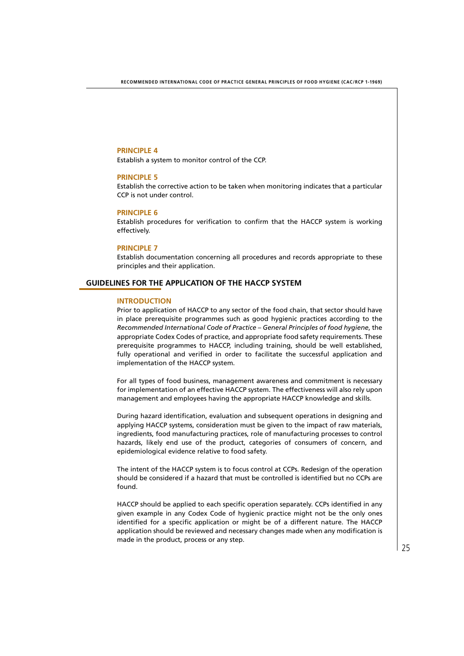#### **PRINCIPLE 4**

Establish a system to monitor control of the CCP.

#### **PRINCIPLE 5**

Establish the corrective action to be taken when monitoring indicates that a particular CCP is not under control.

#### **PRINCIPLE 6**

Establish procedures for verification to confirm that the HACCP system is working effectively.

#### **PRINCIPLE 7**

Establish documentation concerning all procedures and records appropriate to these principles and their application.

#### **GUIDELINES FOR THE APPLICATION OF THE HACCP SYSTEM**

#### **INTRODUCTION**

Prior to application of HACCP to any sector of the food chain, that sector should have in place prerequisite programmes such as good hygienic practices according to the *Recommended International Code of Practice – General Principles of food hygiene*, the appropriate Codex Codes of practice, and appropriate food safety requirements. These prerequisite programmes to HACCP, including training, should be well established, fully operational and verified in order to facilitate the successful application and implementation of the HACCP system.

For all types of food business, management awareness and commitment is necessary for implementation of an effective HACCP system. The effectiveness will also rely upon management and employees having the appropriate HACCP knowledge and skills.

During hazard identification, evaluation and subsequent operations in designing and applying HACCP systems, consideration must be given to the impact of raw materials, ingredients, food manufacturing practices, role of manufacturing processes to control hazards, likely end use of the product, categories of consumers of concern, and epidemiological evidence relative to food safety.

The intent of the HACCP system is to focus control at CCPs. Redesign of the operation should be considered if a hazard that must be controlled is identified but no CCPs are found.

HACCP should be applied to each specific operation separately. CCPs identified in any given example in any Codex Code of hygienic practice might not be the only ones identified for a specific application or might be of a different nature. The HACCP application should be reviewed and necessary changes made when any modification is made in the product, process or any step.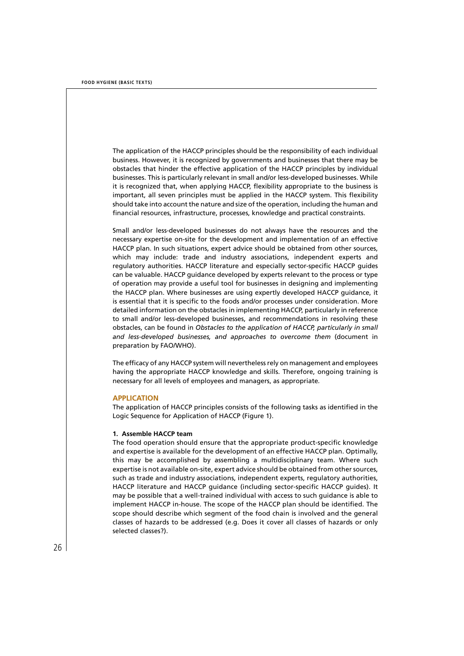The application of the HACCP principles should be the responsibility of each individual business. However, it is recognized by governments and businesses that there may be obstacles that hinder the effective application of the HACCP principles by individual businesses. This is particularly relevant in small and/or less-developed businesses. While it is recognized that, when applying HACCP, flexibility appropriate to the business is important, all seven principles must be applied in the HACCP system. This flexibility should take into account the nature and size of the operation, including the human and financial resources, infrastructure, processes, knowledge and practical constraints.

Small and/or less-developed businesses do not always have the resources and the necessary expertise on-site for the development and implementation of an effective HACCP plan. In such situations, expert advice should be obtained from other sources, which may include: trade and industry associations, independent experts and regulatory authorities. HACCP literature and especially sector-specific HACCP guides can be valuable. HACCP guidance developed by experts relevant to the process or type of operation may provide a useful tool for businesses in designing and implementing the HACCP plan. Where businesses are using expertly developed HACCP guidance, it is essential that it is specific to the foods and/or processes under consideration. More detailed information on the obstacles in implementing HACCP, particularly in reference to small and/or less-developed businesses, and recommendations in resolving these obstacles, can be found in *Obstacles to the application of HACCP, particularly in small and less-developed businesses, and approaches to overcome them* (document in preparation by FAO/WHO).

The efficacy of any HACCP system will nevertheless rely on management and employees having the appropriate HACCP knowledge and skills. Therefore, ongoing training is necessary for all levels of employees and managers, as appropriate*.*

#### **APPLICATION**

The application of HACCP principles consists of the following tasks as identified in the Logic Sequence for Application of HACCP (Figure 1).

#### **1. Assemble HACCP team**

The food operation should ensure that the appropriate product-specific knowledge and expertise is available for the development of an effective HACCP plan. Optimally, this may be accomplished by assembling a multidisciplinary team. Where such expertise is not available on-site, expert advice should be obtained from other sources, such as trade and industry associations, independent experts, regulatory authorities, HACCP literature and HACCP guidance (including sector-specific HACCP guides). It may be possible that a well-trained individual with access to such guidance is able to implement HACCP in-house. The scope of the HACCP plan should be identified. The scope should describe which segment of the food chain is involved and the general classes of hazards to be addressed (e.g. Does it cover all classes of hazards or only selected classes?).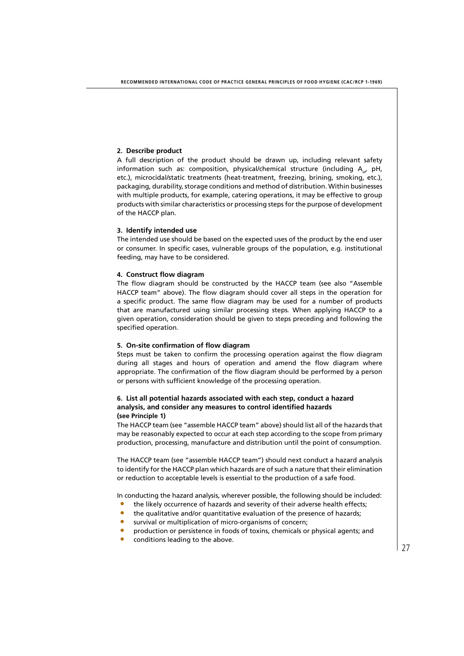#### **2. Describe product**

A full description of the product should be drawn up, including relevant safety information such as: composition, physical/chemical structure (including  $A_{\alpha}$ , pH, etc.), microcidal/static treatments (heat-treatment, freezing, brining, smoking, etc.), packaging, durability, storage conditions and method of distribution. Within businesses with multiple products, for example, catering operations, it may be effective to group products with similar characteristics or processing steps for the purpose of development of the HACCP plan.

#### **3. Identify intended use**

The intended use should be based on the expected uses of the product by the end user or consumer. In specific cases, vulnerable groups of the population, e.g. institutional feeding, may have to be considered.

#### **4. Construct flow diagram**

The flow diagram should be constructed by the HACCP team (see also "Assemble HACCP team" above). The flow diagram should cover all steps in the operation for a specific product. The same flow diagram may be used for a number of products that are manufactured using similar processing steps*.* When applying HACCP to a given operation, consideration should be given to steps preceding and following the specified operation.

#### **5. On-site confirmation of flow diagram**

Steps must be taken to confirm the processing operation against the flow diagram during all stages and hours of operation and amend the flow diagram where appropriate. The confirmation of the flow diagram should be performed by a person or persons with sufficient knowledge of the processing operation.

#### **6. List all potential hazards associated with each step, conduct a hazard analysis, and consider any measures to control identified hazards (see Principle 1)**

The HACCP team (see "assemble HACCP team" above) should list all of the hazards that may be reasonably expected to occur at each step according to the scope from primary production, processing, manufacture and distribution until the point of consumption.

The HACCP team (see "assemble HACCP team") should next conduct a hazard analysis to identify for the HACCP plan which hazards are of such a nature that their elimination or reduction to acceptable levels is essential to the production of a safe food.

In conducting the hazard analysis, wherever possible, the following should be included:

- $\bullet$  the likely occurrence of hazards and severity of their adverse health effects;<br>the qualitative and/or quantitative evaluation of the presence of hazards
- the qualitative and/or quantitative evaluation of the presence of hazards;
- $\bullet$  survival or multiplication of micro-organisms of concern;
- production or persistence in foods of toxins, chemicals or physical agents; and<br>• conditions loading to the above
- conditions leading to the above.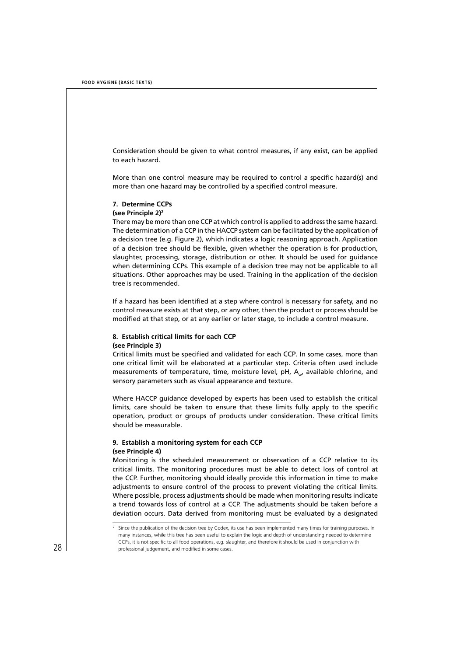Consideration should be given to what control measures, if any exist, can be applied to each hazard.

More than one control measure may be required to control a specific hazard(s) and more than one hazard may be controlled by a specified control measure.

### **7. Determine CCPs**

#### **(see Principle 2)2**

There may be more than one CCP at which control is applied to address the same hazard. The determination of a CCP in the HACCP system can be facilitated by the application of a decision tree (e.g. Figure 2), which indicates a logic reasoning approach. Application of a decision tree should be flexible, given whether the operation is for production, slaughter, processing, storage, distribution or other. It should be used for guidance when determining CCPs. This example of a decision tree may not be applicable to all situations. Other approaches may be used. Training in the application of the decision tree is recommended.

If a hazard has been identified at a step where control is necessary for safety, and no control measure exists at that step, or any other, then the product or process should be modified at that step, or at any earlier or later stage, to include a control measure.

#### **8. Establish critical limits for each CCP (see Principle 3)**

Critical limits must be specified and validated for each CCP. In some cases, more than one critical limit will be elaborated at a particular step. Criteria often used include measurements of temperature, time, moisture level, pH,  $A_{w}$ , available chlorine, and sensory parameters such as visual appearance and texture.

Where HACCP guidance developed by experts has been used to establish the critical limits, care should be taken to ensure that these limits fully apply to the specific operation, product or groups of products under consideration. These critical limits should be measurable.

#### **9. Establish a monitoring system for each CCP (see Principle 4)**

Monitoring is the scheduled measurement or observation of a CCP relative to its critical limits. The monitoring procedures must be able to detect loss of control at the CCP. Further, monitoring should ideally provide this information in time to make adjustments to ensure control of the process to prevent violating the critical limits. Where possible, process adjustments should be made when monitoring results indicate a trend towards loss of control at a CCP. The adjustments should be taken before a deviation occurs. Data derived from monitoring must be evaluated by a designated

<sup>2</sup> Since the publication of the decision tree by Codex, its use has been implemented many times for training purposes. In many instances, while this tree has been useful to explain the logic and depth of understanding needed to determine CCPs, it is not specific to all food operations, e.g. slaughter, and therefore it should be used in conjunction with professional judgement, and modified in some cases.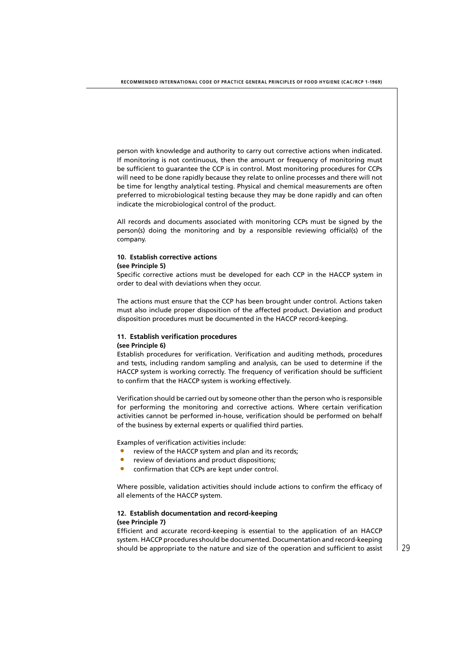person with knowledge and authority to carry out corrective actions when indicated. If monitoring is not continuous, then the amount or frequency of monitoring must be sufficient to guarantee the CCP is in control. Most monitoring procedures for CCPs will need to be done rapidly because they relate to online processes and there will not be time for lengthy analytical testing. Physical and chemical measurements are often preferred to microbiological testing because they may be done rapidly and can often indicate the microbiological control of the product.

All records and documents associated with monitoring CCPs must be signed by the person(s) doing the monitoring and by a responsible reviewing official(s) of the company.

# **10. Establish corrective actions**

#### **(see Principle 5)**

Specific corrective actions must be developed for each CCP in the HACCP system in order to deal with deviations when they occur.

The actions must ensure that the CCP has been brought under control. Actions taken must also include proper disposition of the affected product. Deviation and product disposition procedures must be documented in the HACCP record-keeping.

# **11. Establish verification procedures**

### **(see Principle 6)**

Establish procedures for verification. Verification and auditing methods, procedures and tests, including random sampling and analysis, can be used to determine if the HACCP system is working correctly. The frequency of verification should be sufficient to confirm that the HACCP system is working effectively.

Verification should be carried out by someone other than the person who is responsible for performing the monitoring and corrective actions. Where certain verification activities cannot be performed in-house, verification should be performed on behalf of the business by external experts or qualified third parties.

Examples of verification activities include:

- review of the HACCP system and plan and its records;<br>• review of deviations and product dispositions;
- $\bullet$  review of deviations and product dispositions;<br> $\bullet$  confirmation that CCBs are kent under centrel
- confirmation that CCPs are kept under control.

Where possible, validation activities should include actions to confirm the efficacy of all elements of the HACCP system.

## **12. Establish documentation and record-keeping (see Principle 7)**

Efficient and accurate record-keeping is essential to the application of an HACCP system. HACCP procedures should be documented. Documentation and record-keeping should be appropriate to the nature and size of the operation and sufficient to assist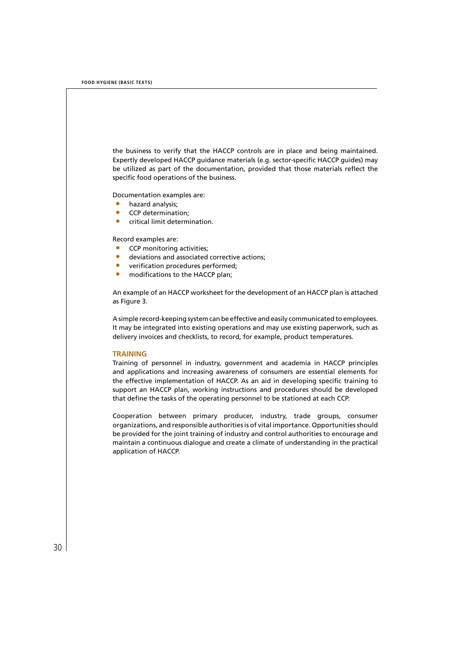the business to verify that the HACCP controls are in place and being maintained. Expertly developed HACCP guidance materials (e.g. sector-specific HACCP guides) may be utilized as part of the documentation, provided that those materials reflect the specific food operations of the business.

Documentation examples are:

- hazard analysis:
- CCP determination;
- critical limit determination.

Record examples are:

- $\bullet$  CCP monitoring activities;
- deviations and associated corrective actions;
- $\bullet$  verification procedures performed;<br>  $\bullet$  modifications to the HACCB plan:
- modifications to the HACCP plan;

An example of an HACCP worksheet for the development of an HACCP plan is attached as Figure 3.

A simple record-keeping system can be effective and easily communicated to employees. It may be integrated into existing operations and may use existing paperwork, such as delivery invoices and checklists, to record, for example, product temperatures.

# **TRAINING**

Training of personnel in industry, government and academia in HACCP principles and applications and increasing awareness of consumers are essential elements for the effective implementation of HACCP. As an aid in developing specific training to support an HACCP plan, working instructions and procedures should be developed that define the tasks of the operating personnel to be stationed at each CCP.

Cooperation between primary producer, industry, trade groups, consumer organizations, and responsible authorities is of vital importance. Opportunities should be provided for the joint training of industry and control authorities to encourage and maintain a continuous dialogue and create a climate of understanding in the practical application of HACCP.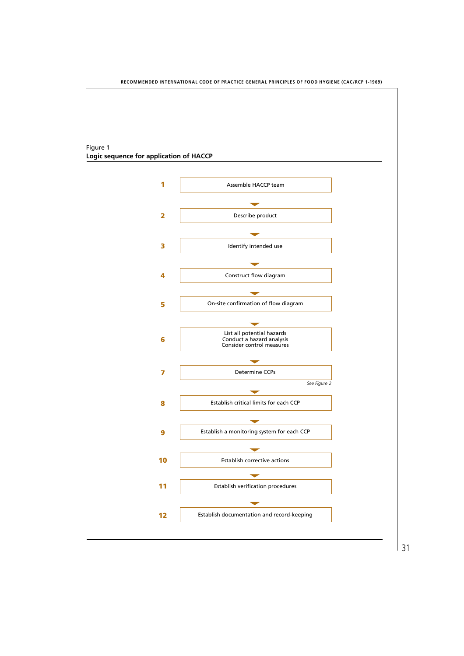# Figure 1 **Logic sequence for application of HACCP**

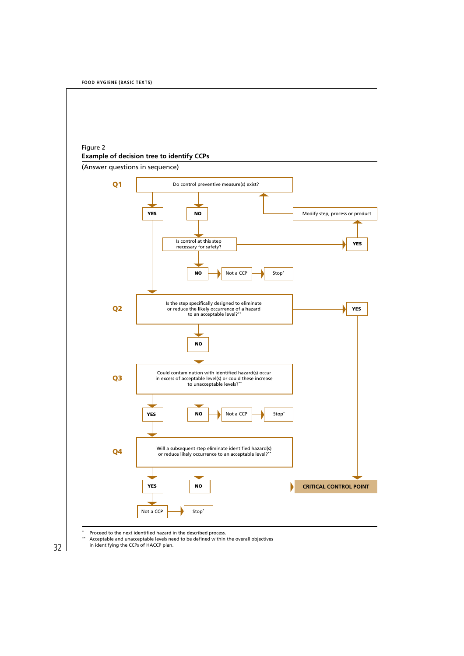

\* Proceed to the next identified hazard in the described process.

Acceptable and unacceptable levels need to be defined within the overall objectives

in identifying the CCPs of HACCP plan.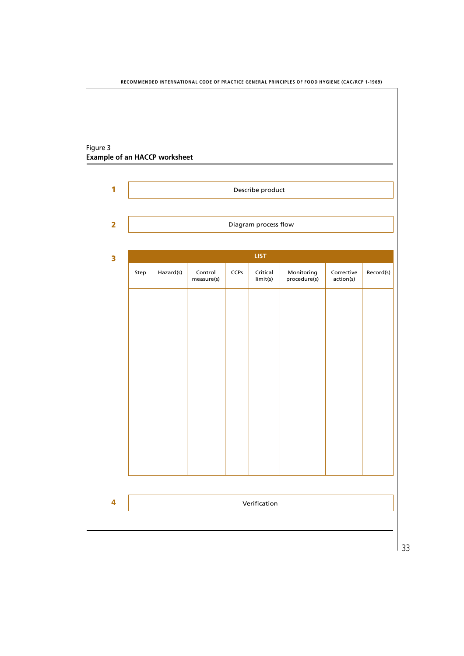## Figure 3 **Example of an HACCP worksheet**

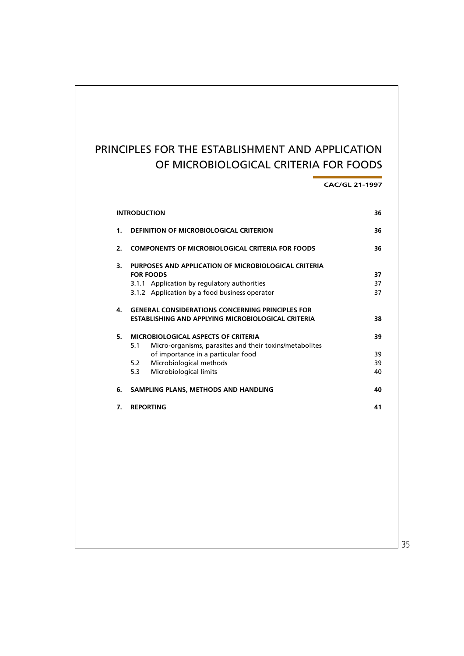# PRINCIPLES FOR THE ESTABLISHMENT AND APPLICATION OF MICROBIOLOGICAL CRITERIA FOR FOODS

**CAC/GL 21-1997**

|    | <b>INTRODUCTION</b>                                                                                                     | 36       |
|----|-------------------------------------------------------------------------------------------------------------------------|----------|
| 1. | <b>DEFINITION OF MICROBIOLOGICAL CRITERION</b>                                                                          | 36       |
| 2. | <b>COMPONENTS OF MICROBIOLOGICAL CRITERIA FOR FOODS</b>                                                                 | 36       |
| 3. | PURPOSES AND APPLICATION OF MICROBIOLOGICAL CRITERIA<br><b>FOR FOODS</b><br>3.1.1 Application by regulatory authorities | 37<br>37 |
|    | 3.1.2 Application by a food business operator                                                                           | 37       |
| 4. | <b>GENERAL CONSIDERATIONS CONCERNING PRINCIPLES FOR</b>                                                                 |          |
|    | <b>ESTABLISHING AND APPLYING MICROBIOLOGICAL CRITERIA</b>                                                               | 38       |
| 5. | <b>MICROBIOLOGICAL ASPECTS OF CRITERIA</b><br>5.1<br>Micro-organisms, parasites and their toxins/metabolites            | 39       |
|    | of importance in a particular food                                                                                      | 39       |
|    | Microbiological methods<br>5.2<br>Microbiological limits<br>5.3                                                         | 39<br>40 |
|    |                                                                                                                         |          |
| 6. | SAMPLING PLANS, METHODS AND HANDLING                                                                                    | 40       |
| 7. | <b>REPORTING</b>                                                                                                        | 41       |
|    |                                                                                                                         |          |
|    |                                                                                                                         |          |
|    |                                                                                                                         |          |
|    |                                                                                                                         |          |
|    |                                                                                                                         |          |
|    |                                                                                                                         |          |
|    |                                                                                                                         |          |
|    |                                                                                                                         |          |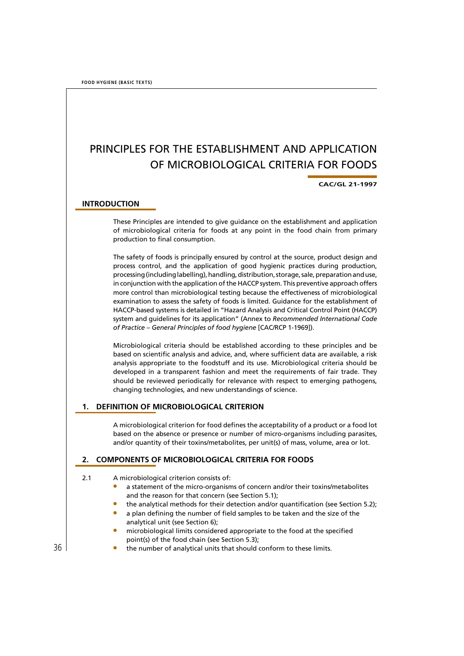# PRINCIPLES FOR THE ESTABLISHMENT AND APPLICATION OF MICROBIOLOGICAL CRITERIA FOR FOODS

**CAC/GL 21-1997**

# **INTRODUCTION**

These Principles are intended to give guidance on the establishment and application of microbiological criteria for foods at any point in the food chain from primary production to final consumption.

The safety of foods is principally ensured by control at the source, product design and process control, and the application of good hygienic practices during production, processing (including labelling), handling, distribution, storage, sale, preparation and use, in conjunction with the application of the HACCP system. This preventive approach offers more control than microbiological testing because the effectiveness of microbiological examination to assess the safety of foods is limited. Guidance for the establishment of HACCP-based systems is detailed in "Hazard Analysis and Critical Control Point (HACCP) system and guidelines for its application" (Annex to *Recommended International Code of Practice – General Principles of food hygiene* [CAC/RCP 1-1969]).

Microbiological criteria should be established according to these principles and be based on scientific analysis and advice, and, where sufficient data are available, a risk analysis appropriate to the foodstuff and its use. Microbiological criteria should be developed in a transparent fashion and meet the requirements of fair trade. They should be reviewed periodically for relevance with respect to emerging pathogens, changing technologies, and new understandings of science.

# **1. DEFINITION OF MICROBIOLOGICAL CRITERION**

A microbiological criterion for food defines the acceptability of a product or a food lot based on the absence or presence or number of micro-organisms including parasites, and/or quantity of their toxins/metabolites, per unit(s) of mass, volume, area or lot.

## **2. COMPONENTS OF MICROBIOLOGICAL CRITERIA FOR FOODS**

| 2.1 | A microbiological criterion consists of: |  |
|-----|------------------------------------------|--|
|     |                                          |  |

- a statement of the micro-organisms of concern and/or their toxins/metabolites and the reason for that concern (see Section 5.1);
- the analytical methods for their detection and/or quantification (see Section 5.2);
- a plan defining the number of field samples to be taken and the size of the analytical unit (see Section 6);
- microbiological limits considered appropriate to the food at the specified point(s) of the food chain (see Section 5.3);
- the number of analytical units that should conform to these limits.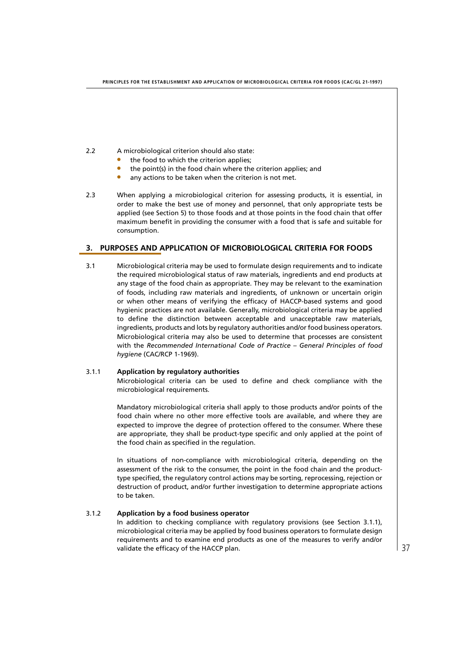- 2.2 A microbiological criterion should also state:
	- the food to which the criterion applies:
	- the point(s) in the food chain where the criterion applies; and
	- any actions to be taken when the criterion is not met.
- 2.3 When applying a microbiological criterion for assessing products, it is essential, in order to make the best use of money and personnel, that only appropriate tests be applied (see Section 5) to those foods and at those points in the food chain that offer maximum benefit in providing the consumer with a food that is safe and suitable for consumption.

# **3. PURPOSES AND APPLICATION OF MICROBIOLOGICAL CRITERIA FOR FOODS**

3.1 Microbiological criteria may be used to formulate design requirements and to indicate the required microbiological status of raw materials, ingredients and end products at any stage of the food chain as appropriate. They may be relevant to the examination of foods, including raw materials and ingredients, of unknown or uncertain origin or when other means of verifying the efficacy of HACCP-based systems and good hygienic practices are not available. Generally, microbiological criteria may be applied to define the distinction between acceptable and unacceptable raw materials, ingredients, products and lots by regulatory authorities and/or food business operators. Microbiological criteria may also be used to determine that processes are consistent with the *Recommended International Code of Practice – General Principles of food hygiene* (CAC/RCP 1-1969).

# 3.1.1 **Application by regulatory authorities**

Microbiological criteria can be used to define and check compliance with the microbiological requirements.

Mandatory microbiological criteria shall apply to those products and/or points of the food chain where no other more effective tools are available, and where they are expected to improve the degree of protection offered to the consumer. Where these are appropriate, they shall be product-type specific and only applied at the point of the food chain as specified in the regulation.

In situations of non-compliance with microbiological criteria, depending on the assessment of the risk to the consumer, the point in the food chain and the producttype specified, the regulatory control actions may be sorting, reprocessing, rejection or destruction of product, and/or further investigation to determine appropriate actions to be taken.

#### 3.1.2 **Application by a food business operator**

In addition to checking compliance with regulatory provisions (see Section 3.1.1), microbiological criteria may be applied by food business operators to formulate design requirements and to examine end products as one of the measures to verify and/or validate the efficacy of the HACCP plan.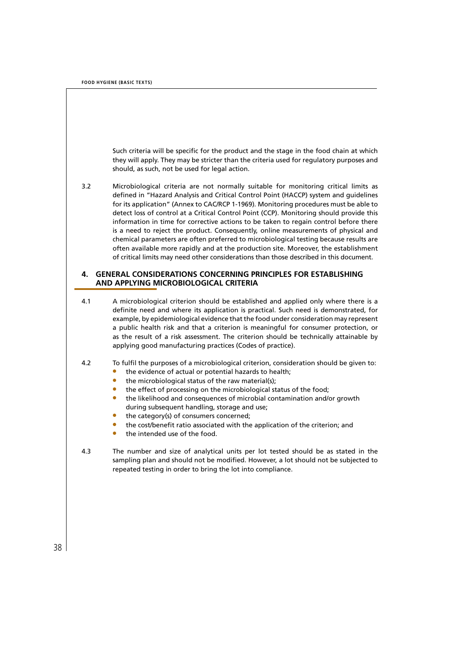Such criteria will be specific for the product and the stage in the food chain at which they will apply. They may be stricter than the criteria used for regulatory purposes and should, as such, not be used for legal action.

3.2 Microbiological criteria are not normally suitable for monitoring critical limits as defined in "Hazard Analysis and Critical Control Point (HACCP) system and guidelines for its application" (Annex to CAC/RCP 1-1969)*.* Monitoring procedures must be able to detect loss of control at a Critical Control Point (CCP). Monitoring should provide this information in time for corrective actions to be taken to regain control before there is a need to reject the product. Consequently, online measurements of physical and chemical parameters are often preferred to microbiological testing because results are often available more rapidly and at the production site. Moreover, the establishment of critical limits may need other considerations than those described in this document.

# **4. GENERAL CONSIDERATIONS CONCERNING PRINCIPLES FOR ESTABLISHING AND APPLYING MICROBIOLOGICAL CRITERIA**

4.1 A microbiological criterion should be established and applied only where there is a definite need and where its application is practical. Such need is demonstrated, for example, by epidemiological evidence that the food under consideration may represent a public health risk and that a criterion is meaningful for consumer protection, or as the result of a risk assessment. The criterion should be technically attainable by applying good manufacturing practices (Codes of practice).

- 4.2 To fulfil the purposes of a microbiological criterion, consideration should be given to:
	- the evidence of actual or potential hazards to health:
	- the microbiological status of the raw material(s):
	- the effect of processing on the microbiological status of the food;
	- the likelihood and consequences of microbial contamination and/or growth during subsequent handling, storage and use;
	- the category(s) of consumers concerned;
	- the cost/benefit ratio associated with the application of the criterion; and
	- the intended use of the food.
- 4.3 The number and size of analytical units per lot tested should be as stated in the sampling plan and should not be modified. However, a lot should not be subjected to repeated testing in order to bring the lot into compliance.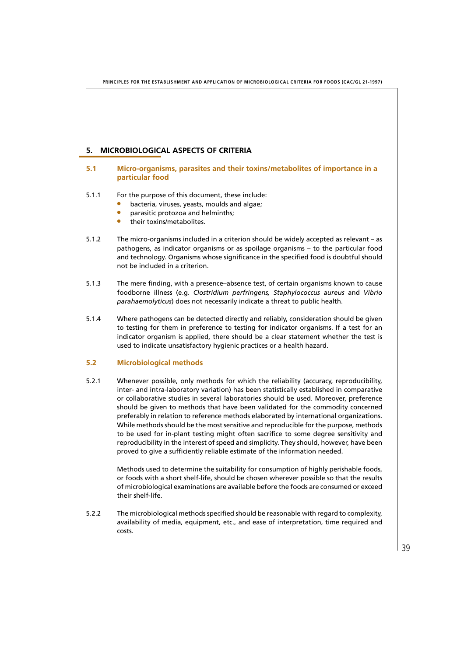# **5. MICROBIOLOGICAL ASPECTS OF CRITERIA**

# **5.1 Micro-organisms, parasites and their toxins/metabolites of importance in a particular food**

#### 5.1.1 For the purpose of this document, these include:

- $\bullet$  bacteria, viruses, yeasts, moulds and algae;<br> $\bullet$  parasitic protozoo and bolminths:
- parasitic protozoa and helminths;
- their toxins/metabolites.
- 5.1.2 The micro-organisms included in a criterion should be widely accepted as relevant as pathogens, as indicator organisms or as spoilage organisms – to the particular food and technology. Organisms whose significance in the specified food is doubtful should not be included in a criterion.
- 5.1.3 The mere finding, with a presence–absence test, of certain organisms known to cause foodborne illness (e.g. *Clostridium perfringens, Staphylococcus aureus* and *Vibrio parahaemolyticus*) does not necessarily indicate a threat to public health.
- 5.1.4 Where pathogens can be detected directly and reliably, consideration should be given to testing for them in preference to testing for indicator organisms. If a test for an indicator organism is applied, there should be a clear statement whether the test is used to indicate unsatisfactory hygienic practices or a health hazard.

# **5.2 Microbiological methods**

5.2.1 Whenever possible, only methods for which the reliability (accuracy, reproducibility, inter- and intra-laboratory variation) has been statistically established in comparative or collaborative studies in several laboratories should be used. Moreover, preference should be given to methods that have been validated for the commodity concerned preferably in relation to reference methods elaborated by international organizations. While methods should be the most sensitive and reproducible for the purpose, methods to be used for in-plant testing might often sacrifice to some degree sensitivity and reproducibility in the interest of speed and simplicity. They should, however, have been proved to give a sufficiently reliable estimate of the information needed.

> Methods used to determine the suitability for consumption of highly perishable foods, or foods with a short shelf-life, should be chosen wherever possible so that the results of microbiological examinations are available before the foods are consumed or exceed their shelf-life.

5.2.2 The microbiological methods specified should be reasonable with regard to complexity, availability of media, equipment, etc., and ease of interpretation, time required and costs.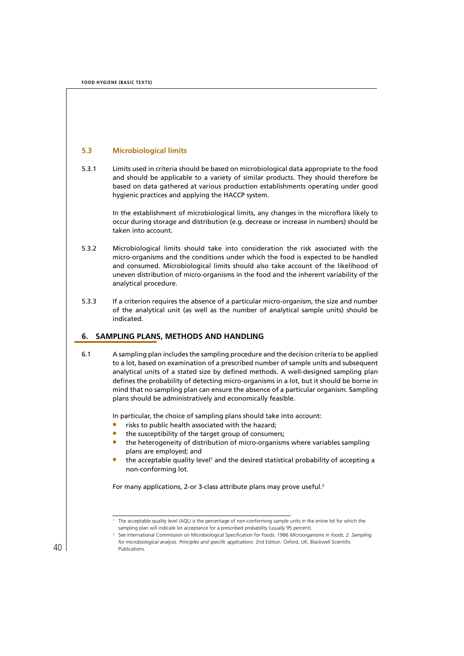# **5.3 Microbiological limits**

5.3.1 Limits used in criteria should be based on microbiological data appropriate to the food and should be applicable to a variety of similar products. They should therefore be based on data gathered at various production establishments operating under good hygienic practices and applying the HACCP system.

> In the establishment of microbiological limits, any changes in the microflora likely to occur during storage and distribution (e.g. decrease or increase in numbers) should be taken into account.

- 5.3.2 Microbiological limits should take into consideration the risk associated with the micro-organisms and the conditions under which the food is expected to be handled and consumed. Microbiological limits should also take account of the likelihood of uneven distribution of micro-organisms in the food and the inherent variability of the analytical procedure.
- 5.3.3 If a criterion requires the absence of a particular micro-organism, the size and number of the analytical unit (as well as the number of analytical sample units) should be indicated.

# **6. SAMPLING PLANS, METHODS AND HANDLING**

6.1 A sampling plan includes the sampling procedure and the decision criteria to be applied to a lot, based on examination of a prescribed number of sample units and subsequent analytical units of a stated size by defined methods. A well-designed sampling plan defines the probability of detecting micro-organisms in a lot, but it should be borne in mind that no sampling plan can ensure the absence of a particular organism. Sampling plans should be administratively and economically feasible.

In particular, the choice of sampling plans should take into account:

- risks to public health associated with the hazard;
- the susceptibility of the target group of consumers;
- the heterogeneity of distribution of micro-organisms where variables sampling plans are employed; and
- the acceptable quality level<sup>1</sup> and the desired statistical probability of accepting a non-conforming lot.

For many applications, 2-or 3-class attribute plans may prove useful.<sup>2</sup>

<sup>1</sup> The acceptable quality level (AQL) is the percentage of non-conforming sample units in the entire lot for which the sampling plan will indicate lot acceptance for a prescribed probability (usually 95 percent).

<sup>2</sup> See International Commission on Microbiological Specification for Foods. 1986 *Microorganisms in foods, 2. Sampling for microbiological analysis. Principles and specific applications*. 2nd Edition. Oxford, UK, Blackwell Scientific Publications.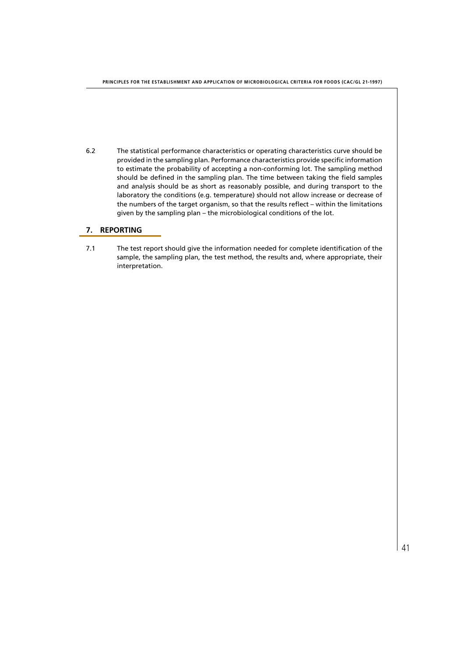6.2 The statistical performance characteristics or operating characteristics curve should be provided in the sampling plan. Performance characteristics provide specific information to estimate the probability of accepting a non-conforming lot. The sampling method should be defined in the sampling plan. The time between taking the field samples and analysis should be as short as reasonably possible, and during transport to the laboratory the conditions (e.g. temperature) should not allow increase or decrease of the numbers of the target organism, so that the results reflect – within the limitations given by the sampling plan – the microbiological conditions of the lot.

# **7. REPORTING**

7.1 The test report should give the information needed for complete identification of the sample, the sampling plan, the test method, the results and, where appropriate, their interpretation.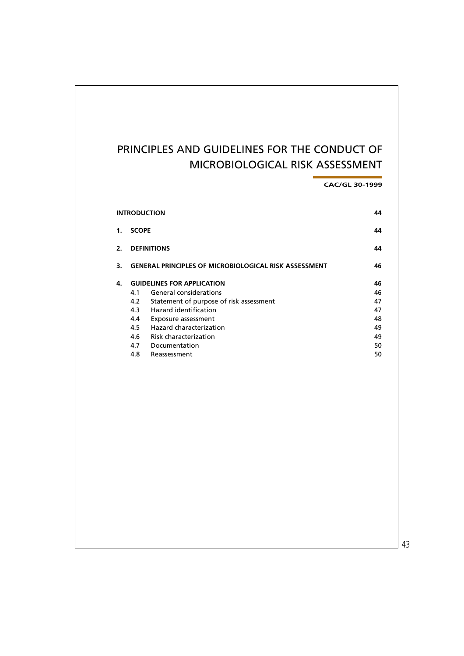# PRINCIPLES AND GUIDELINES FOR THE CONDUCT OF MICROBIOLOGICAL RISK ASSESSMENT

**CAC/GL 30-1999**

| <b>SCOPE</b><br>1.<br>2.<br><b>DEFINITIONS</b><br><b>GENERAL PRINCIPLES OF MICROBIOLOGICAL RISK ASSESSMENT</b><br>З.<br><b>GUIDELINES FOR APPLICATION</b><br>4.<br>General considerations<br>4.1<br>Statement of purpose of risk assessment<br>4.2<br>Hazard identification<br>4.3<br>4.4<br>Exposure assessment<br>Hazard characterization<br>4.5<br>4.6<br>Risk characterization<br>4.7<br>Documentation<br>4.8<br>Reassessment |  | <b>INTRODUCTION</b> | 44 |
|-----------------------------------------------------------------------------------------------------------------------------------------------------------------------------------------------------------------------------------------------------------------------------------------------------------------------------------------------------------------------------------------------------------------------------------|--|---------------------|----|
|                                                                                                                                                                                                                                                                                                                                                                                                                                   |  |                     | 44 |
|                                                                                                                                                                                                                                                                                                                                                                                                                                   |  |                     | 44 |
|                                                                                                                                                                                                                                                                                                                                                                                                                                   |  |                     | 46 |
|                                                                                                                                                                                                                                                                                                                                                                                                                                   |  |                     | 46 |
|                                                                                                                                                                                                                                                                                                                                                                                                                                   |  |                     | 46 |
|                                                                                                                                                                                                                                                                                                                                                                                                                                   |  |                     | 47 |
|                                                                                                                                                                                                                                                                                                                                                                                                                                   |  |                     | 47 |
|                                                                                                                                                                                                                                                                                                                                                                                                                                   |  |                     | 48 |
|                                                                                                                                                                                                                                                                                                                                                                                                                                   |  |                     | 49 |
|                                                                                                                                                                                                                                                                                                                                                                                                                                   |  |                     | 49 |
|                                                                                                                                                                                                                                                                                                                                                                                                                                   |  |                     | 50 |
|                                                                                                                                                                                                                                                                                                                                                                                                                                   |  |                     | 50 |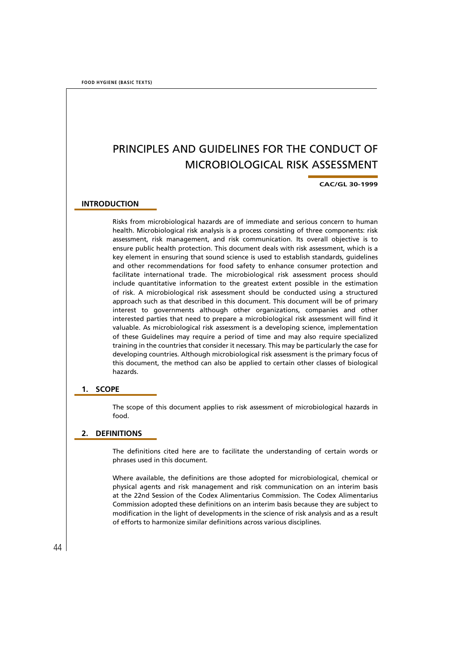# PRINCIPLES AND GUIDELINES FOR THE CONDUCT OF MICROBIOLOGICAL RISK ASSESSMENT

**CAC/GL 30-1999**

# **INTRODUCTION**

Risks from microbiological hazards are of immediate and serious concern to human health. Microbiological risk analysis is a process consisting of three components: risk assessment, risk management, and risk communication. Its overall objective is to ensure public health protection. This document deals with risk assessment, which is a key element in ensuring that sound science is used to establish standards, guidelines and other recommendations for food safety to enhance consumer protection and facilitate international trade. The microbiological risk assessment process should include quantitative information to the greatest extent possible in the estimation of risk. A microbiological risk assessment should be conducted using a structured approach such as that described in this document. This document will be of primary interest to governments although other organizations, companies and other interested parties that need to prepare a microbiological risk assessment will find it valuable. As microbiological risk assessment is a developing science, implementation of these Guidelines may require a period of time and may also require specialized training in the countries that consider it necessary. This may be particularly the case for developing countries. Although microbiological risk assessment is the primary focus of this document, the method can also be applied to certain other classes of biological hazards.

### **1. SCOPE**

The scope of this document applies to risk assessment of microbiological hazards in food.

# **2. DEFINITIONS**

The definitions cited here are to facilitate the understanding of certain words or phrases used in this document.

Where available, the definitions are those adopted for microbiological, chemical or physical agents and risk management and risk communication on an interim basis at the 22nd Session of the Codex Alimentarius Commission. The Codex Alimentarius Commission adopted these definitions on an interim basis because they are subject to modification in the light of developments in the science of risk analysis and as a result of efforts to harmonize similar definitions across various disciplines.

 $\Delta\Delta$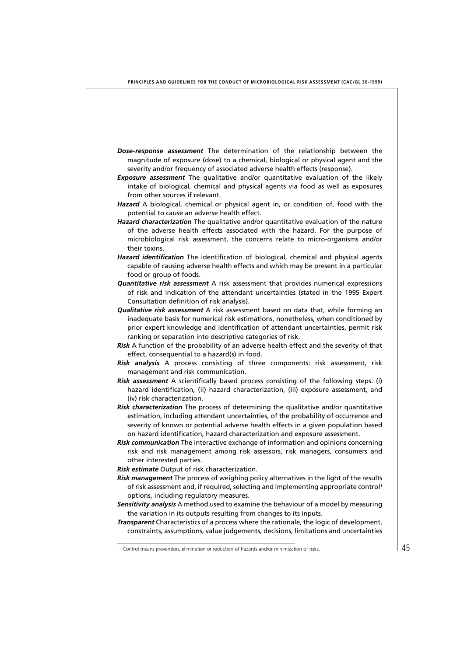- *Dose-response assessment* The determination of the relationship between the magnitude of exposure (dose) to a chemical, biological or physical agent and the severity and/or frequency of associated adverse health effects (response).
- *Exposure assessment* The qualitative and/or quantitative evaluation of the likely intake of biological, chemical and physical agents via food as well as exposures from other sources if relevant.
- *Hazard* A biological, chemical or physical agent in, or condition of, food with the potential to cause an adverse health effect.
- *Hazard characterization* The qualitative and/or quantitative evaluation of the nature of the adverse health effects associated with the hazard. For the purpose of microbiological risk assessment, the concerns relate to micro-organisms and/or their toxins.
- *Hazard identification* The identification of biological, chemical and physical agents capable of causing adverse health effects and which may be present in a particular food or group of foods.
- *Quantitative risk assessment* A risk assessment that provides numerical expressions of risk and indication of the attendant uncertainties (stated in the 1995 Expert Consultation definition of risk analysis).
- *Qualitative risk assessment* A risk assessment based on data that, while forming an inadequate basis for numerical risk estimations, nonetheless, when conditioned by prior expert knowledge and identification of attendant uncertainties, permit risk ranking or separation into descriptive categories of risk.
- *Risk* A function of the probability of an adverse health effect and the severity of that effect, consequential to a hazard(s) in food.
- *Risk analysis* A process consisting of three components: risk assessment, risk management and risk communication.
- *Risk assessment* A scientifically based process consisting of the following steps: (i) hazard identification, (ii) hazard characterization, (iii) exposure assessment, and (iv) risk characterization.
- *Risk characterization* The process of determining the qualitative and/or quantitative estimation, including attendant uncertainties, of the probability of occurrence and severity of known or potential adverse health effects in a given population based on hazard identification, hazard characterization and exposure assessment.
- *Risk communication* The interactive exchange of information and opinions concerning risk and risk management among risk assessors, risk managers, consumers and other interested parties.
- *Risk estimate* Output of risk characterization.
- *Risk management* The process of weighing policy alternatives in the light of the results of risk assessment and, if required, selecting and implementing appropriate control1 options, including regulatory measures.
- *Sensitivity analysis* A method used to examine the behaviour of a model by measuring the variation in its outputs resulting from changes to its inputs.
- *Transparent* Characteristics of a process where the rationale, the logic of development, constraints, assumptions, value judgements, decisions, limitations and uncertainties

<sup>&</sup>lt;sup>1</sup> Control means prevention, elimination or reduction of hazards and/or minimization of risks.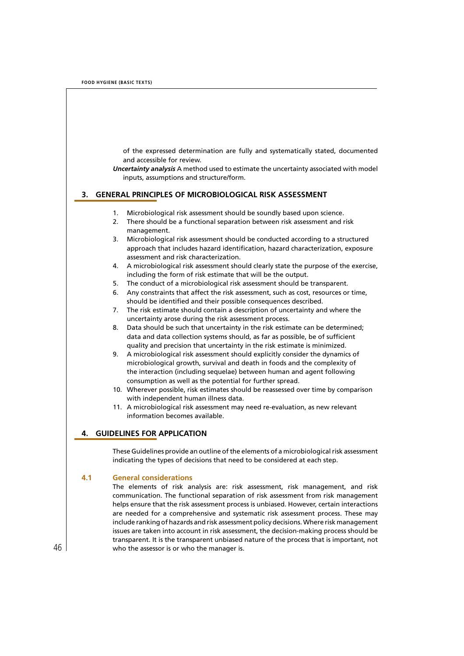

issues are taken into account in risk assessment, the decision-making process should be transparent. It is the transparent unbiased nature of the process that is important, not

who the assessor is or who the manager is.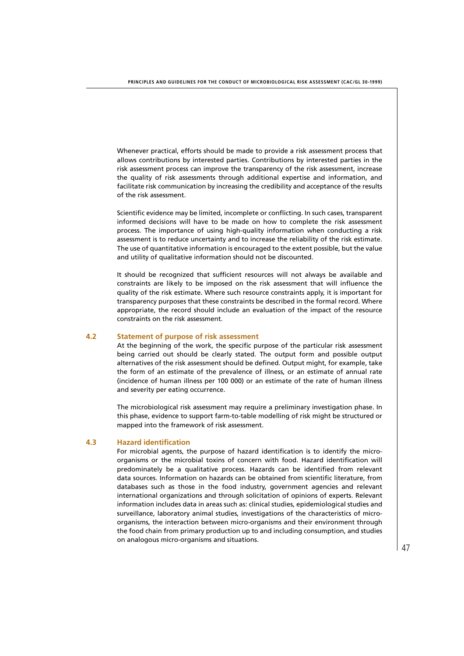Whenever practical, efforts should be made to provide a risk assessment process that allows contributions by interested parties. Contributions by interested parties in the risk assessment process can improve the transparency of the risk assessment, increase the quality of risk assessments through additional expertise and information, and facilitate risk communication by increasing the credibility and acceptance of the results of the risk assessment.

Scientific evidence may be limited, incomplete or conflicting. In such cases, transparent informed decisions will have to be made on how to complete the risk assessment process. The importance of using high-quality information when conducting a risk assessment is to reduce uncertainty and to increase the reliability of the risk estimate. The use of quantitative information is encouraged to the extent possible, but the value and utility of qualitative information should not be discounted.

It should be recognized that sufficient resources will not always be available and constraints are likely to be imposed on the risk assessment that will influence the quality of the risk estimate. Where such resource constraints apply, it is important for transparency purposes that these constraints be described in the formal record. Where appropriate, the record should include an evaluation of the impact of the resource constraints on the risk assessment.

# **4.2 Statement of purpose of risk assessment**

At the beginning of the work, the specific purpose of the particular risk assessment being carried out should be clearly stated. The output form and possible output alternatives of the risk assessment should be defined. Output might, for example, take the form of an estimate of the prevalence of illness, or an estimate of annual rate (incidence of human illness per 100 000) or an estimate of the rate of human illness and severity per eating occurrence.

The microbiological risk assessment may require a preliminary investigation phase. In this phase, evidence to support farm-to-table modelling of risk might be structured or mapped into the framework of risk assessment.

#### **4.3 Hazard identification**

For microbial agents, the purpose of hazard identification is to identify the microorganisms or the microbial toxins of concern with food. Hazard identification will predominately be a qualitative process. Hazards can be identified from relevant data sources. Information on hazards can be obtained from scientific literature, from databases such as those in the food industry, government agencies and relevant international organizations and through solicitation of opinions of experts. Relevant information includes data in areas such as: clinical studies, epidemiological studies and surveillance, laboratory animal studies, investigations of the characteristics of microorganisms, the interaction between micro-organisms and their environment through the food chain from primary production up to and including consumption, and studies on analogous micro-organisms and situations.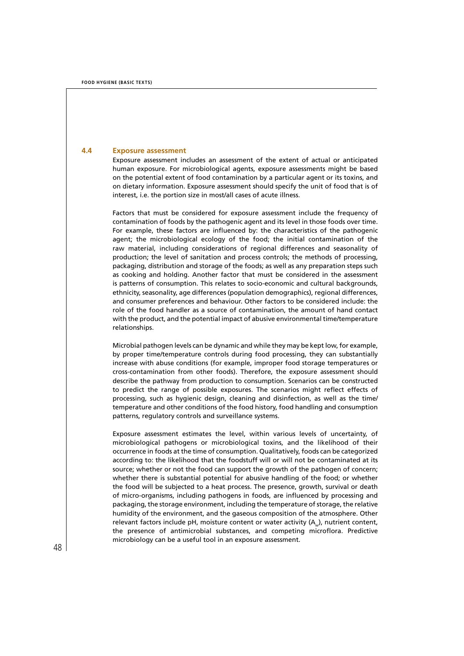#### **4.4 Exposure assessment**

Exposure assessment includes an assessment of the extent of actual or anticipated human exposure. For microbiological agents, exposure assessments might be based on the potential extent of food contamination by a particular agent or its toxins, and on dietary information. Exposure assessment should specify the unit of food that is of interest, i.e. the portion size in most/all cases of acute illness.

Factors that must be considered for exposure assessment include the frequency of contamination of foods by the pathogenic agent and its level in those foods over time. For example, these factors are influenced by: the characteristics of the pathogenic agent; the microbiological ecology of the food; the initial contamination of the raw material, including considerations of regional differences and seasonality of production; the level of sanitation and process controls; the methods of processing, packaging, distribution and storage of the foods; as well as any preparation steps such as cooking and holding. Another factor that must be considered in the assessment is patterns of consumption. This relates to socio-economic and cultural backgrounds, ethnicity, seasonality, age differences (population demographics), regional differences, and consumer preferences and behaviour. Other factors to be considered include: the role of the food handler as a source of contamination, the amount of hand contact with the product, and the potential impact of abusive environmental time/temperature relationships.

Microbial pathogen levels can be dynamic and while they may be kept low, for example, by proper time/temperature controls during food processing, they can substantially increase with abuse conditions (for example, improper food storage temperatures or cross-contamination from other foods). Therefore, the exposure assessment should describe the pathway from production to consumption. Scenarios can be constructed to predict the range of possible exposures. The scenarios might reflect effects of processing, such as hygienic design, cleaning and disinfection, as well as the time/ temperature and other conditions of the food history, food handling and consumption patterns, regulatory controls and surveillance systems.

Exposure assessment estimates the level, within various levels of uncertainty, of microbiological pathogens or microbiological toxins, and the likelihood of their occurrence in foods at the time of consumption. Qualitatively, foods can be categorized according to: the likelihood that the foodstuff will or will not be contaminated at its source; whether or not the food can support the growth of the pathogen of concern; whether there is substantial potential for abusive handling of the food; or whether the food will be subjected to a heat process. The presence, growth, survival or death of micro-organisms, including pathogens in foods, are influenced by processing and packaging, the storage environment, including the temperature of storage, the relative humidity of the environment, and the gaseous composition of the atmosphere. Other relevant factors include pH, moisture content or water activity  $(A_n)$ , nutrient content, the presence of antimicrobial substances, and competing microflora. Predictive microbiology can be a useful tool in an exposure assessment.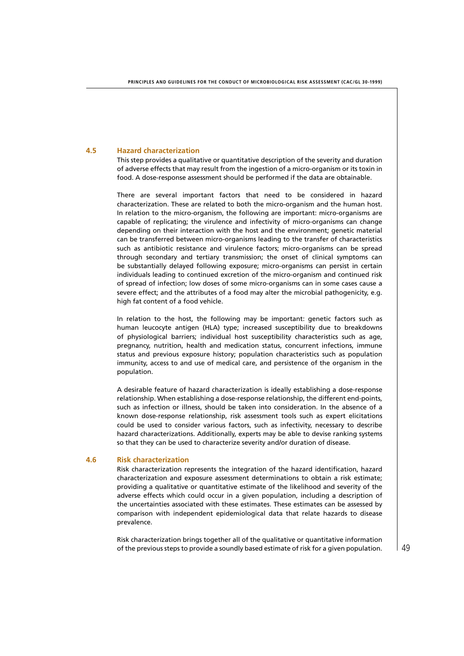# **4.5 Hazard characterization**

This step provides a qualitative or quantitative description of the severity and duration of adverse effects that may result from the ingestion of a micro-organism or its toxin in food. A dose-response assessment should be performed if the data are obtainable.

There are several important factors that need to be considered in hazard characterization. These are related to both the micro-organism and the human host. In relation to the micro-organism, the following are important: micro-organisms are capable of replicating; the virulence and infectivity of micro-organisms can change depending on their interaction with the host and the environment; genetic material can be transferred between micro-organisms leading to the transfer of characteristics such as antibiotic resistance and virulence factors; micro-organisms can be spread through secondary and tertiary transmission; the onset of clinical symptoms can be substantially delayed following exposure; micro-organisms can persist in certain individuals leading to continued excretion of the micro-organism and continued risk of spread of infection; low doses of some micro-organisms can in some cases cause a severe effect; and the attributes of a food may alter the microbial pathogenicity, e.g. high fat content of a food vehicle.

In relation to the host, the following may be important: genetic factors such as human leucocyte antigen (HLA) type; increased susceptibility due to breakdowns of physiological barriers; individual host susceptibility characteristics such as age, pregnancy, nutrition, health and medication status, concurrent infections, immune status and previous exposure history; population characteristics such as population immunity, access to and use of medical care, and persistence of the organism in the population.

A desirable feature of hazard characterization is ideally establishing a dose-response relationship. When establishing a dose-response relationship, the different end-points, such as infection or illness, should be taken into consideration. In the absence of a known dose-response relationship, risk assessment tools such as expert elicitations could be used to consider various factors, such as infectivity, necessary to describe hazard characterizations. Additionally, experts may be able to devise ranking systems so that they can be used to characterize severity and/or duration of disease.

# **4.6 Risk characterization**

Risk characterization represents the integration of the hazard identification, hazard characterization and exposure assessment determinations to obtain a risk estimate; providing a qualitative or quantitative estimate of the likelihood and severity of the adverse effects which could occur in a given population, including a description of the uncertainties associated with these estimates. These estimates can be assessed by comparison with independent epidemiological data that relate hazards to disease prevalence.

Risk characterization brings together all of the qualitative or quantitative information of the previous steps to provide a soundly based estimate of risk for a given population.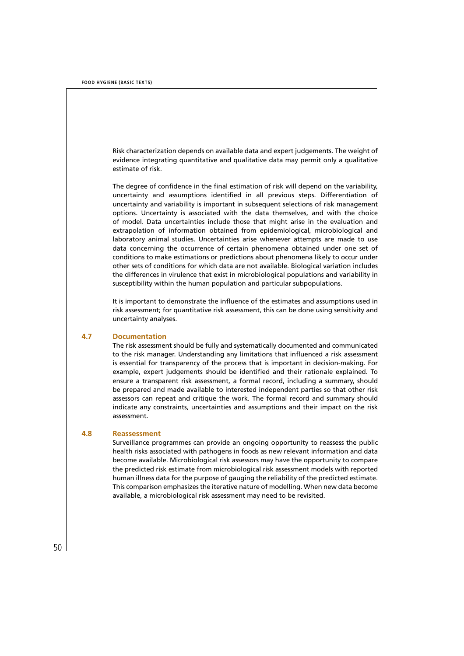Risk characterization depends on available data and expert judgements. The weight of evidence integrating quantitative and qualitative data may permit only a qualitative estimate of risk.

The degree of confidence in the final estimation of risk will depend on the variability, uncertainty and assumptions identified in all previous steps. Differentiation of uncertainty and variability is important in subsequent selections of risk management options. Uncertainty is associated with the data themselves, and with the choice of model. Data uncertainties include those that might arise in the evaluation and extrapolation of information obtained from epidemiological, microbiological and laboratory animal studies. Uncertainties arise whenever attempts are made to use data concerning the occurrence of certain phenomena obtained under one set of conditions to make estimations or predictions about phenomena likely to occur under other sets of conditions for which data are not available. Biological variation includes the differences in virulence that exist in microbiological populations and variability in susceptibility within the human population and particular subpopulations.

It is important to demonstrate the influence of the estimates and assumptions used in risk assessment; for quantitative risk assessment, this can be done using sensitivity and uncertainty analyses.

### **4.7 Documentation**

The risk assessment should be fully and systematically documented and communicated to the risk manager. Understanding any limitations that influenced a risk assessment is essential for transparency of the process that is important in decision-making. For example, expert judgements should be identified and their rationale explained. To ensure a transparent risk assessment, a formal record, including a summary, should be prepared and made available to interested independent parties so that other risk assessors can repeat and critique the work. The formal record and summary should indicate any constraints, uncertainties and assumptions and their impact on the risk assessment.

#### **4.8 Reassessment**

Surveillance programmes can provide an ongoing opportunity to reassess the public health risks associated with pathogens in foods as new relevant information and data become available. Microbiological risk assessors may have the opportunity to compare the predicted risk estimate from microbiological risk assessment models with reported human illness data for the purpose of gauging the reliability of the predicted estimate. This comparison emphasizes the iterative nature of modelling. When new data become available, a microbiological risk assessment may need to be revisited.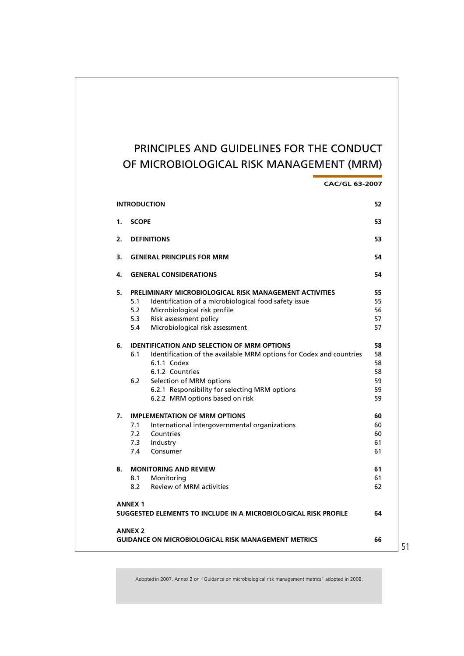# PRINCIPLES AND GUIDELINES FOR THE CONDUCT OF MICROBIOLOGICAL RISK MANAGEMENT (MRM)

**CAC/GL 63-2007**

51

| 1.<br><b>SCOPE</b><br><b>DEFINITIONS</b><br>2.<br>3.<br><b>GENERAL PRINCIPLES FOR MRM</b><br><b>GENERAL CONSIDERATIONS</b><br>4.<br><b>PRELIMINARY MICROBIOLOGICAL RISK MANAGEMENT ACTIVITIES</b><br>5.<br>5.1<br>Identification of a microbiological food safety issue<br>5.2<br>Microbiological risk profile<br>Risk assessment policy<br>5.3<br>5.4<br>Microbiological risk assessment<br><b>IDENTIFICATION AND SELECTION OF MRM OPTIONS</b><br>6.<br>6.1<br>Identification of the available MRM options for Codex and countries<br>6.1.1 Codex<br>6.1.2 Countries<br>6.2<br>Selection of MRM options<br>6.2.1 Responsibility for selecting MRM options<br>6.2.2 MRM options based on risk<br>7.<br><b>IMPLEMENTATION OF MRM OPTIONS</b><br>7.1<br>International intergovernmental organizations<br>7.2<br>Countries<br>7.3<br>Industry<br>7.4<br>Consumer<br>8.<br><b>MONITORING AND REVIEW</b><br>8.1<br>Monitoring<br>8.2<br><b>Review of MRM activities</b><br><b>ANNEX 1</b><br>SUGGESTED ELEMENTS TO INCLUDE IN A MICROBIOLOGICAL RISK PROFILE<br><b>ANNEX 2</b><br><b>GUIDANCE ON MICROBIOLOGICAL RISK MANAGEMENT METRICS</b> |  | <b>INTRODUCTION</b> | 52 |
|-----------------------------------------------------------------------------------------------------------------------------------------------------------------------------------------------------------------------------------------------------------------------------------------------------------------------------------------------------------------------------------------------------------------------------------------------------------------------------------------------------------------------------------------------------------------------------------------------------------------------------------------------------------------------------------------------------------------------------------------------------------------------------------------------------------------------------------------------------------------------------------------------------------------------------------------------------------------------------------------------------------------------------------------------------------------------------------------------------------------------------------------|--|---------------------|----|
|                                                                                                                                                                                                                                                                                                                                                                                                                                                                                                                                                                                                                                                                                                                                                                                                                                                                                                                                                                                                                                                                                                                                         |  |                     | 53 |
|                                                                                                                                                                                                                                                                                                                                                                                                                                                                                                                                                                                                                                                                                                                                                                                                                                                                                                                                                                                                                                                                                                                                         |  |                     | 53 |
|                                                                                                                                                                                                                                                                                                                                                                                                                                                                                                                                                                                                                                                                                                                                                                                                                                                                                                                                                                                                                                                                                                                                         |  |                     | 54 |
|                                                                                                                                                                                                                                                                                                                                                                                                                                                                                                                                                                                                                                                                                                                                                                                                                                                                                                                                                                                                                                                                                                                                         |  |                     | 54 |
|                                                                                                                                                                                                                                                                                                                                                                                                                                                                                                                                                                                                                                                                                                                                                                                                                                                                                                                                                                                                                                                                                                                                         |  |                     | 55 |
|                                                                                                                                                                                                                                                                                                                                                                                                                                                                                                                                                                                                                                                                                                                                                                                                                                                                                                                                                                                                                                                                                                                                         |  |                     | 55 |
|                                                                                                                                                                                                                                                                                                                                                                                                                                                                                                                                                                                                                                                                                                                                                                                                                                                                                                                                                                                                                                                                                                                                         |  |                     | 56 |
|                                                                                                                                                                                                                                                                                                                                                                                                                                                                                                                                                                                                                                                                                                                                                                                                                                                                                                                                                                                                                                                                                                                                         |  |                     | 57 |
|                                                                                                                                                                                                                                                                                                                                                                                                                                                                                                                                                                                                                                                                                                                                                                                                                                                                                                                                                                                                                                                                                                                                         |  |                     | 57 |
|                                                                                                                                                                                                                                                                                                                                                                                                                                                                                                                                                                                                                                                                                                                                                                                                                                                                                                                                                                                                                                                                                                                                         |  |                     | 58 |
|                                                                                                                                                                                                                                                                                                                                                                                                                                                                                                                                                                                                                                                                                                                                                                                                                                                                                                                                                                                                                                                                                                                                         |  |                     | 58 |
|                                                                                                                                                                                                                                                                                                                                                                                                                                                                                                                                                                                                                                                                                                                                                                                                                                                                                                                                                                                                                                                                                                                                         |  |                     | 58 |
|                                                                                                                                                                                                                                                                                                                                                                                                                                                                                                                                                                                                                                                                                                                                                                                                                                                                                                                                                                                                                                                                                                                                         |  |                     | 58 |
|                                                                                                                                                                                                                                                                                                                                                                                                                                                                                                                                                                                                                                                                                                                                                                                                                                                                                                                                                                                                                                                                                                                                         |  |                     | 59 |
|                                                                                                                                                                                                                                                                                                                                                                                                                                                                                                                                                                                                                                                                                                                                                                                                                                                                                                                                                                                                                                                                                                                                         |  |                     | 59 |
|                                                                                                                                                                                                                                                                                                                                                                                                                                                                                                                                                                                                                                                                                                                                                                                                                                                                                                                                                                                                                                                                                                                                         |  |                     | 59 |
|                                                                                                                                                                                                                                                                                                                                                                                                                                                                                                                                                                                                                                                                                                                                                                                                                                                                                                                                                                                                                                                                                                                                         |  |                     | 60 |
|                                                                                                                                                                                                                                                                                                                                                                                                                                                                                                                                                                                                                                                                                                                                                                                                                                                                                                                                                                                                                                                                                                                                         |  |                     | 60 |
|                                                                                                                                                                                                                                                                                                                                                                                                                                                                                                                                                                                                                                                                                                                                                                                                                                                                                                                                                                                                                                                                                                                                         |  |                     | 60 |
|                                                                                                                                                                                                                                                                                                                                                                                                                                                                                                                                                                                                                                                                                                                                                                                                                                                                                                                                                                                                                                                                                                                                         |  |                     | 61 |
|                                                                                                                                                                                                                                                                                                                                                                                                                                                                                                                                                                                                                                                                                                                                                                                                                                                                                                                                                                                                                                                                                                                                         |  |                     | 61 |
|                                                                                                                                                                                                                                                                                                                                                                                                                                                                                                                                                                                                                                                                                                                                                                                                                                                                                                                                                                                                                                                                                                                                         |  |                     | 61 |
|                                                                                                                                                                                                                                                                                                                                                                                                                                                                                                                                                                                                                                                                                                                                                                                                                                                                                                                                                                                                                                                                                                                                         |  |                     | 61 |
|                                                                                                                                                                                                                                                                                                                                                                                                                                                                                                                                                                                                                                                                                                                                                                                                                                                                                                                                                                                                                                                                                                                                         |  |                     | 62 |
|                                                                                                                                                                                                                                                                                                                                                                                                                                                                                                                                                                                                                                                                                                                                                                                                                                                                                                                                                                                                                                                                                                                                         |  |                     |    |
|                                                                                                                                                                                                                                                                                                                                                                                                                                                                                                                                                                                                                                                                                                                                                                                                                                                                                                                                                                                                                                                                                                                                         |  |                     | 64 |
|                                                                                                                                                                                                                                                                                                                                                                                                                                                                                                                                                                                                                                                                                                                                                                                                                                                                                                                                                                                                                                                                                                                                         |  |                     |    |
|                                                                                                                                                                                                                                                                                                                                                                                                                                                                                                                                                                                                                                                                                                                                                                                                                                                                                                                                                                                                                                                                                                                                         |  |                     | 66 |

Adopted in 2007. Annex 2 on "Guidance on microbiological risk management metrics" adopted in 2008.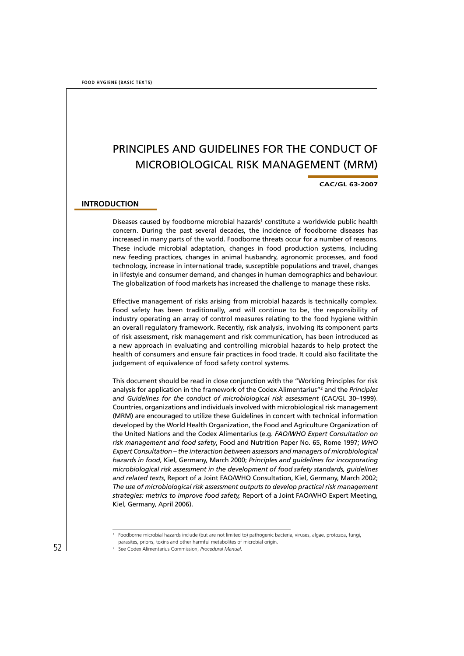# PRINCIPLES AND GUIDELINES FOR THE CONDUCT OF MICROBIOLOGICAL RISK MANAGEMENT (MRM)

**CAC/GL 63-2007**

# **INTRODUCTION**

Diseases caused by foodborne microbial hazards<sup>1</sup> constitute a worldwide public health concern. During the past several decades, the incidence of foodborne diseases has increased in many parts of the world. Foodborne threats occur for a number of reasons. These include microbial adaptation, changes in food production systems, including new feeding practices, changes in animal husbandry, agronomic processes, and food technology, increase in international trade, susceptible populations and travel, changes in lifestyle and consumer demand, and changes in human demographics and behaviour. The globalization of food markets has increased the challenge to manage these risks.

Effective management of risks arising from microbial hazards is technically complex. Food safety has been traditionally, and will continue to be, the responsibility of industry operating an array of control measures relating to the food hygiene within an overall regulatory framework. Recently, risk analysis, involving its component parts of risk assessment, risk management and risk communication, has been introduced as a new approach in evaluating and controlling microbial hazards to help protect the health of consumers and ensure fair practices in food trade. It could also facilitate the judgement of equivalence of food safety control systems.

This document should be read in close conjunction with the "Working Principles for risk analysis for application in the framework of the Codex Alimentarius"2 and the *Principles and Guidelines for the conduct of microbiological risk assessment* (CAC/GL 30–1999). Countries, organizations and individuals involved with microbiological risk management (MRM) are encouraged to utilize these Guidelines in concert with technical information developed by the World Health Organization, the Food and Agriculture Organization of the United Nations and the Codex Alimentarius (e.g. *FAO/WHO Expert Consultation on risk management and food safety*, Food and Nutrition Paper No. 65, Rome 1997; *WHO Expert Consultation – the interaction between assessors and managers of microbiological hazards in food*, Kiel, Germany, March 2000; *Principles and guidelines for incorporating microbiological risk assessment in the development of food safety standards, guidelines and related texts*, Report of a Joint FAO/WHO Consultation, Kiel, Germany, March 2002; *The use of microbiological risk assessment outputs to develop practical risk management strategies: metrics to improve food safety,* Report of a Joint FAO/WHO Expert Meeting, Kiel, Germany, April 2006).

<sup>1</sup> Foodborne microbial hazards include (but are not limited to) pathogenic bacteria, viruses, algae, protozoa, fungi, parasites, prions, toxins and other harmful metabolites of microbial origin.

<sup>2</sup> See Codex Alimentarius Commission, *Procedural Manual.*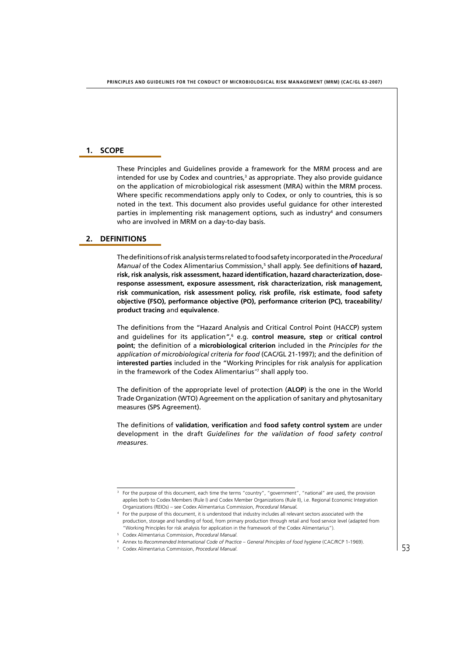#### **1. SCOPE**

These Principles and Guidelines provide a framework for the MRM process and are intended for use by Codex and countries, $3$  as appropriate. They also provide guidance on the application of microbiological risk assessment (MRA) within the MRM process. Where specific recommendations apply only to Codex, or only to countries, this is so noted in the text. This document also provides useful guidance for other interested parties in implementing risk management options, such as industry<sup>4</sup> and consumers who are involved in MRM on a day-to-day basis.

# **2. DEFINITIONS**

The definitions of risk analysis terms related to food safety incorporated in the *Procedural*  Manual of the Codex Alimentarius Commission,<sup>5</sup> shall apply. See definitions **of hazard, risk, risk analysis, risk assessment, hazard identification, hazard characterization, doseresponse assessment, exposure assessment, risk characterization, risk management, risk communication, risk assessment policy, risk profile, risk estimate, food safety objective (FSO), performance objective (PO), performance criterion (PC), traceability/ product tracing** and **equivalence**.

The definitions from the "Hazard Analysis and Critical Control Point (HACCP) system and guidelines for its application",<sup>6</sup> e.g. **control measure, step** or **critical control point**; the definition of a **microbiological criterion** included in the *Principles for the application of microbiological criteria for food* (CAC/GL 21-1997); and the definition of **interested parties** included in the "Working Principles for risk analysis for application in the framework of the Codex Alimentarius*"*<sup>7</sup> shall apply too.

The definition of the appropriate level of protection (**ALOP**) is the one in the World Trade Organization (WTO) Agreement on the application of sanitary and phytosanitary measures (SPS Agreement).

The definitions of **validation**, **verification** and **food safety control system** are under development in the draft *Guidelines for the validation of food safety control measures.*

<sup>&</sup>lt;sup>3</sup> For the purpose of this document, each time the terms "country", "government", "national" are used, the provision applies both to Codex Members (Rule I) and Codex Member Organizations (Rule II), i.e. Regional Economic Integration Organizations (REIOs) – see Codex Alimentarius Commission, *Procedural Manual.*

<sup>4</sup> For the purpose of this document, it is understood that industry includes all relevant sectors associated with the production, storage and handling of food, from primary production through retail and food service level (adapted from "Working Principles for risk analysis for application in the framework of the Codex Alimentarius").

<sup>5</sup> Codex Alimentarius Commission, *Procedural Manual*.

<sup>6</sup> Annex to *Recommended International Code of Practice – General Principles of food hygiene* (CAC/RCP 1-1969).

<sup>7</sup> Codex Alimentarius Commission, *Procedural Manual*.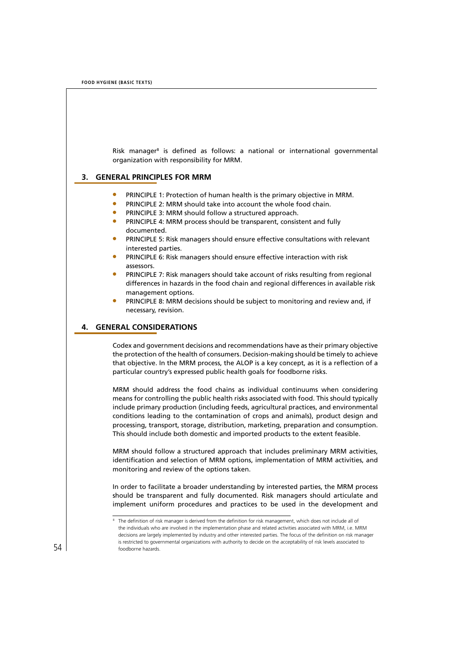Risk manager<sup>8</sup> is defined as follows: a national or international governmental organization with responsibility for MRM.

# **3. GENERAL PRINCIPLES FOR MRM**

- PRINCIPLE 1: Protection of human health is the primary objective in MRM.
- PRINCIPLE 2: MRM should take into account the whole food chain.
- PRINCIPLE 3: MRM should follow a structured approach.
- PRINCIPLE 4: MRM process should be transparent, consistent and fully documented.
- PRINCIPLE 5: Risk managers should ensure effective consultations with relevant interested parties.
- PRINCIPLE 6: Risk managers should ensure effective interaction with risk assessors.
- PRINCIPLE 7: Risk managers should take account of risks resulting from regional differences in hazards in the food chain and regional differences in available risk management options.
- PRINCIPLE 8: MRM decisions should be subject to monitoring and review and, if necessary, revision.

# **4. GENERAL CONSIDERATIONS**

Codex and government decisions and recommendations have as their primary objective the protection of the health of consumers. Decision-making should be timely to achieve that objective. In the MRM process, the ALOP is a key concept, as it is a reflection of a particular country's expressed public health goals for foodborne risks.

MRM should address the food chains as individual continuums when considering means for controlling the public health risks associated with food. This should typically include primary production (including feeds, agricultural practices, and environmental conditions leading to the contamination of crops and animals), product design and processing, transport, storage, distribution, marketing, preparation and consumption. This should include both domestic and imported products to the extent feasible.

MRM should follow a structured approach that includes preliminary MRM activities, identification and selection of MRM options, implementation of MRM activities, and monitoring and review of the options taken.

In order to facilitate a broader understanding by interested parties, the MRM process should be transparent and fully documented. Risk managers should articulate and implement uniform procedures and practices to be used in the development and

<sup>8</sup> The definition of risk manager is derived from the definition for risk management, which does not include all of the individuals who are involved in the implementation phase and related activities associated with MRM, i.e. MRM decisions are largely implemented by industry and other interested parties. The focus of the definition on risk manager is restricted to governmental organizations with authority to decide on the acceptability of risk levels associated to foodborne hazards.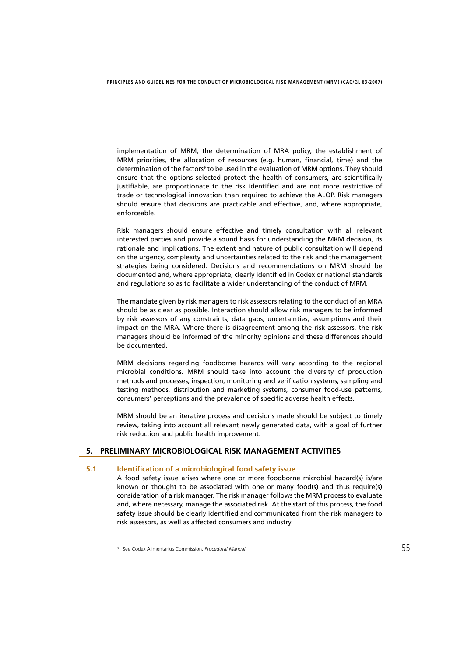implementation of MRM, the determination of MRA policy, the establishment of MRM priorities, the allocation of resources (e.g. human, financial, time) and the determination of the factors<sup>9</sup> to be used in the evaluation of MRM options. They should ensure that the options selected protect the health of consumers, are scientifically justifiable, are proportionate to the risk identified and are not more restrictive of trade or technological innovation than required to achieve the ALOP. Risk managers should ensure that decisions are practicable and effective, and, where appropriate, enforceable.

Risk managers should ensure effective and timely consultation with all relevant interested parties and provide a sound basis for understanding the MRM decision, its rationale and implications. The extent and nature of public consultation will depend on the urgency, complexity and uncertainties related to the risk and the management strategies being considered. Decisions and recommendations on MRM should be documented and, where appropriate, clearly identified in Codex or national standards and regulations so as to facilitate a wider understanding of the conduct of MRM.

The mandate given by risk managers to risk assessors relating to the conduct of an MRA should be as clear as possible. Interaction should allow risk managers to be informed by risk assessors of any constraints, data gaps, uncertainties, assumptions and their impact on the MRA. Where there is disagreement among the risk assessors, the risk managers should be informed of the minority opinions and these differences should be documented.

MRM decisions regarding foodborne hazards will vary according to the regional microbial conditions. MRM should take into account the diversity of production methods and processes, inspection, monitoring and verification systems, sampling and testing methods, distribution and marketing systems, consumer food-use patterns, consumers' perceptions and the prevalence of specific adverse health effects.

MRM should be an iterative process and decisions made should be subject to timely review, taking into account all relevant newly generated data, with a goal of further risk reduction and public health improvement.

# **5. PRELIMINARY MICROBIOLOGICAL RISK MANAGEMENT ACTIVITIES**

### **5.1 Identification of a microbiological food safety issue**

A food safety issue arises where one or more foodborne microbial hazard(s) is/are known or thought to be associated with one or many food(s) and thus require(s) consideration of a risk manager. The risk manager follows the MRM process to evaluate and, where necessary, manage the associated risk. At the start of this process, the food safety issue should be clearly identified and communicated from the risk managers to risk assessors, as well as affected consumers and industry.

<sup>9</sup> See Codex Alimentarius Commission, *Procedural Manual*.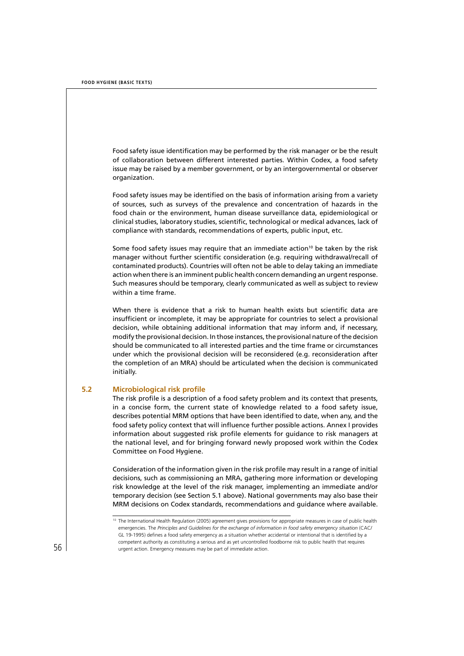Food safety issue identification may be performed by the risk manager or be the result of collaboration between different interested parties. Within Codex, a food safety issue may be raised by a member government, or by an intergovernmental or observer organization.

Food safety issues may be identified on the basis of information arising from a variety of sources, such as surveys of the prevalence and concentration of hazards in the food chain or the environment, human disease surveillance data, epidemiological or clinical studies, laboratory studies, scientific, technological or medical advances, lack of compliance with standards, recommendations of experts, public input, etc.

Some food safety issues may require that an immediate action<sup>10</sup> be taken by the risk manager without further scientific consideration (e.g. requiring withdrawal/recall of contaminated products). Countries will often not be able to delay taking an immediate action when there is an imminent public health concern demanding an urgent response. Such measures should be temporary, clearly communicated as well as subject to review within a time frame.

When there is evidence that a risk to human health exists but scientific data are insufficient or incomplete, it may be appropriate for countries to select a provisional decision, while obtaining additional information that may inform and, if necessary, modify the provisional decision. In those instances, the provisional nature of the decision should be communicated to all interested parties and the time frame or circumstances under which the provisional decision will be reconsidered (e.g. reconsideration after the completion of an MRA) should be articulated when the decision is communicated initially.

# **5.2 Microbiological risk profile**

The risk profile is a description of a food safety problem and its context that presents, in a concise form, the current state of knowledge related to a food safety issue, describes potential MRM options that have been identified to date, when any, and the food safety policy context that will influence further possible actions. Annex I provides information about suggested risk profile elements for guidance to risk managers at the national level, and for bringing forward newly proposed work within the Codex Committee on Food Hygiene.

Consideration of the information given in the risk profile may result in a range of initial decisions, such as commissioning an MRA, gathering more information or developing risk knowledge at the level of the risk manager, implementing an immediate and/or temporary decision (see Section 5.1 above). National governments may also base their MRM decisions on Codex standards, recommendations and guidance where available.

<sup>10</sup> The International Health Regulation (2005) agreement gives provisions for appropriate measures in case of public health emergencies. The *Principles and Guidelines for the exchange of information in food safety emergency situation* (CAC/ GL 19-1995) defines a food safety emergency as a situation whether accidental or intentional that is identified by a competent authority as constituting a serious and as yet uncontrolled foodborne risk to public health that requires urgent action. Emergency measures may be part of immediate action.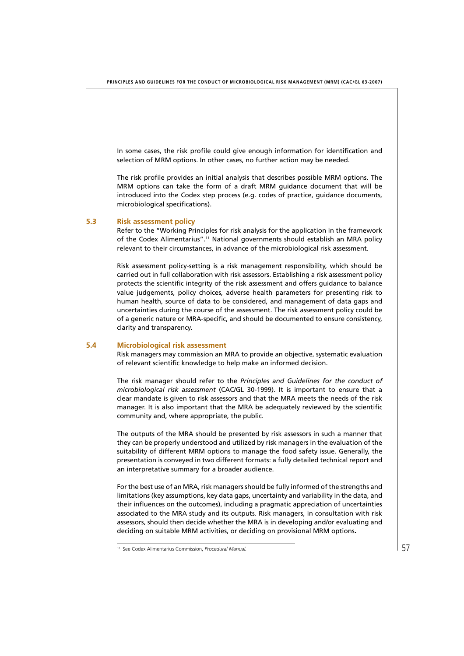In some cases, the risk profile could give enough information for identification and selection of MRM options. In other cases, no further action may be needed.

The risk profile provides an initial analysis that describes possible MRM options. The MRM options can take the form of a draft MRM guidance document that will be introduced into the Codex step process (e.g. codes of practice, guidance documents, microbiological specifications).

# **5.3 Risk assessment policy**

Refer to the "Working Principles for risk analysis for the application in the framework of the Codex Alimentarius".11 National governments should establish an MRA policy relevant to their circumstances, in advance of the microbiological risk assessment.

Risk assessment policy-setting is a risk management responsibility, which should be carried out in full collaboration with risk assessors. Establishing a risk assessment policy protects the scientific integrity of the risk assessment and offers guidance to balance value judgements, policy choices, adverse health parameters for presenting risk to human health, source of data to be considered, and management of data gaps and uncertainties during the course of the assessment. The risk assessment policy could be of a generic nature or MRA-specific, and should be documented to ensure consistency, clarity and transparency.

#### **5.4 Microbiological risk assessment**

Risk managers may commission an MRA to provide an objective, systematic evaluation of relevant scientific knowledge to help make an informed decision.

The risk manager should refer to the *Principles and Guidelines for the conduct of microbiological risk assessment* (CAC/GL 30-1999). It is important to ensure that a clear mandate is given to risk assessors and that the MRA meets the needs of the risk manager. It is also important that the MRA be adequately reviewed by the scientific community and, where appropriate, the public.

The outputs of the MRA should be presented by risk assessors in such a manner that they can be properly understood and utilized by risk managers in the evaluation of the suitability of different MRM options to manage the food safety issue. Generally, the presentation is conveyed in two different formats: a fully detailed technical report and an interpretative summary for a broader audience.

For the best use of an MRA, risk managers should be fully informed of the strengths and limitations (key assumptions, key data gaps, uncertainty and variability in the data, and their influences on the outcomes), including a pragmatic appreciation of uncertainties associated to the MRA study and its outputs. Risk managers, in consultation with risk assessors, should then decide whether the MRA is in developing and/or evaluating and deciding on suitable MRM activities, or deciding on provisional MRM options**.** 

<sup>11</sup> See Codex Alimentarius Commission, *Procedural Manual.*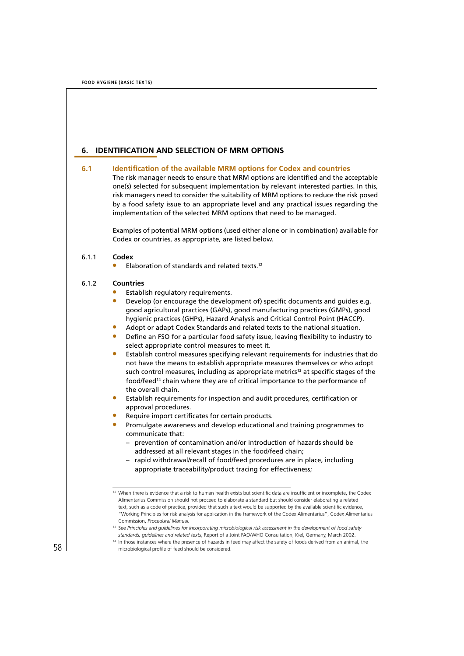# **6. IDENTIFICATION AND SELECTION OF MRM OPTIONS**

### **6.1 Identification of the available MRM options for Codex and countries**

The risk manager needs to ensure that MRM options are identified and the acceptable one(s) selected for subsequent implementation by relevant interested parties. In this, risk managers need to consider the suitability of MRM options to reduce the risk posed by a food safety issue to an appropriate level and any practical issues regarding the implementation of the selected MRM options that need to be managed.

Examples of potential MRM options (used either alone or in combination) available for Codex or countries, as appropriate, are listed below.

#### 6.1.1 **Codex**

 $\bullet$  Elaboration of standards and related texts.<sup>12</sup>

#### 6.1.2 **Countries**

- Establish regulatory requirements.
- Develop (or encourage the development of) specific documents and guides e.g. good agricultural practices (GAPs), good manufacturing practices (GMPs), good hygienic practices (GHPs), Hazard Analysis and Critical Control Point (HACCP).
- Adopt or adapt Codex Standards and related texts to the national situation.
- Define an FSO for a particular food safety issue, leaving flexibility to industry to select appropriate control measures to meet it.
- t Establish control measures specifying relevant requirements for industries that do not have the means to establish appropriate measures themselves or who adopt such control measures, including as appropriate metrics<sup>13</sup> at specific stages of the food/feed14 chain where they are of critical importance to the performance of the overall chain.
- t Establish requirements for inspection and audit procedures, certification or approval procedures.
- Require import certificates for certain products.
- Promulgate awareness and develop educational and training programmes to communicate that:
	- prevention of contamination and/or introduction of hazards should be addressed at all relevant stages in the food/feed chain;
	- rapid withdrawal/recall of food/feed procedures are in place, including appropriate traceability/product tracing for effectiveness;

<sup>&</sup>lt;sup>12</sup> When there is evidence that a risk to human health exists but scientific data are insufficient or incomplete, the Codex Alimentarius Commission should not proceed to elaborate a standard but should consider elaborating a related text, such as a code of practice, provided that such a text would be supported by the available scientific evidence, "Working Principles for risk analysis for application in the framework of the Codex Alimentarius", Codex Alimentarius Commission, *Procedural Manual.*

<sup>13</sup> See *Principles and guidelines for incorporating microbiological risk assessment in the development of food safety standards, guidelines and related texts*, Report of a Joint FAO/WHO Consultation, Kiel, Germany, March 2002.

<sup>&</sup>lt;sup>14</sup> In those instances where the presence of hazards in feed may affect the safety of foods derived from an animal, the microbiological profile of feed should be considered.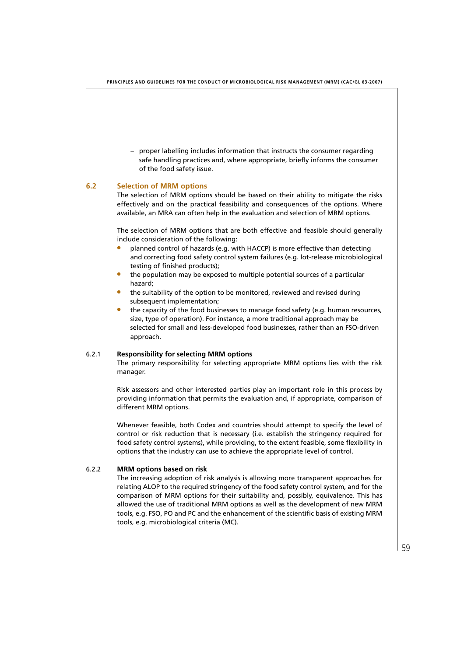– proper labelling includes information that instructs the consumer regarding safe handling practices and, where appropriate, briefly informs the consumer of the food safety issue.

#### **6.2 Selection of MRM options**

The selection of MRM options should be based on their ability to mitigate the risks effectively and on the practical feasibility and consequences of the options. Where available, an MRA can often help in the evaluation and selection of MRM options.

 The selection of MRM options that are both effective and feasible should generally include consideration of the following:

- planned control of hazards (e.g. with HACCP) is more effective than detecting and correcting food safety control system failures (e.g. lot-release microbiological testing of finished products);
- the population may be exposed to multiple potential sources of a particular hazard;
- the suitability of the option to be monitored, reviewed and revised during subsequent implementation;
- the capacity of the food businesses to manage food safety (e.g. human resources, size, type of operation). For instance, a more traditional approach may be selected for small and less-developed food businesses, rather than an FSO-driven approach.

# 6.2.1 **Responsibility for selecting MRM options**

The primary responsibility for selecting appropriate MRM options lies with the risk manager.

Risk assessors and other interested parties play an important role in this process by providing information that permits the evaluation and, if appropriate, comparison of different MRM options.

Whenever feasible, both Codex and countries should attempt to specify the level of control or risk reduction that is necessary (i.e. establish the stringency required for food safety control systems), while providing, to the extent feasible, some flexibility in options that the industry can use to achieve the appropriate level of control.

#### 6.2.2 **MRM options based on risk**

The increasing adoption of risk analysis is allowing more transparent approaches for relating ALOP to the required stringency of the food safety control system, and for the comparison of MRM options for their suitability and, possibly, equivalence. This has allowed the use of traditional MRM options as well as the development of new MRM tools, e.g. FSO, PO and PC and the enhancement of the scientific basis of existing MRM tools, e.g. microbiological criteria (MC).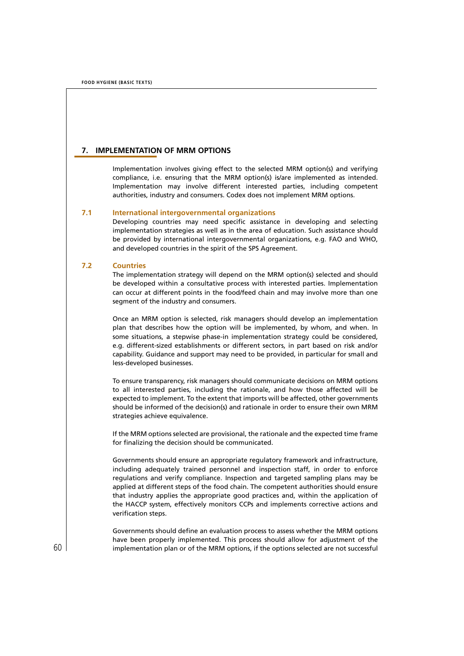# **7. IMPLEMENTATION OF MRM OPTIONS**

Implementation involves giving effect to the selected MRM option(s) and verifying compliance, i.e. ensuring that the MRM option(s) is/are implemented as intended. Implementation may involve different interested parties, including competent authorities, industry and consumers. Codex does not implement MRM options.

# **7.1 International intergovernmental organizations**

Developing countries may need specific assistance in developing and selecting implementation strategies as well as in the area of education. Such assistance should be provided by international intergovernmental organizations, e.g. FAO and WHO, and developed countries in the spirit of the SPS Agreement.

# **7.2 Countries**

The implementation strategy will depend on the MRM option(s) selected and should be developed within a consultative process with interested parties. Implementation can occur at different points in the food/feed chain and may involve more than one segment of the industry and consumers.

Once an MRM option is selected, risk managers should develop an implementation plan that describes how the option will be implemented, by whom, and when. In some situations, a stepwise phase-in implementation strategy could be considered, e.g. different-sized establishments or different sectors, in part based on risk and/or capability. Guidance and support may need to be provided, in particular for small and less-developed businesses.

To ensure transparency, risk managers should communicate decisions on MRM options to all interested parties, including the rationale, and how those affected will be expected to implement. To the extent that imports will be affected, other governments should be informed of the decision(s) and rationale in order to ensure their own MRM strategies achieve equivalence.

If the MRM options selected are provisional, the rationale and the expected time frame for finalizing the decision should be communicated.

Governments should ensure an appropriate regulatory framework and infrastructure, including adequately trained personnel and inspection staff, in order to enforce regulations and verify compliance. Inspection and targeted sampling plans may be applied at different steps of the food chain. The competent authorities should ensure that industry applies the appropriate good practices and, within the application of the HACCP system, effectively monitors CCPs and implements corrective actions and verification steps.

Governments should define an evaluation process to assess whether the MRM options have been properly implemented. This process should allow for adjustment of the implementation plan or of the MRM options, if the options selected are not successful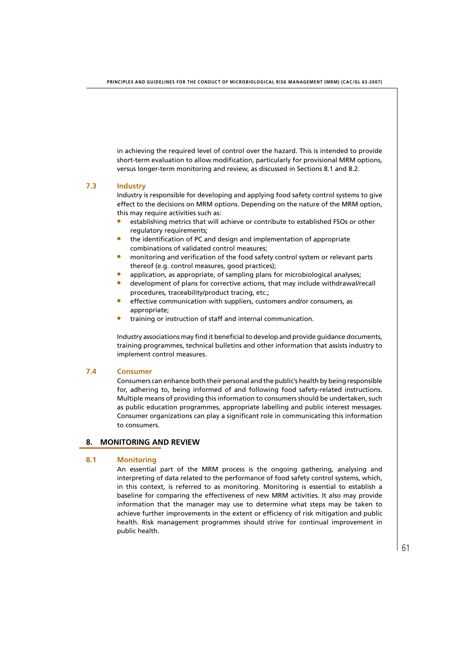in achieving the required level of control over the hazard. This is intended to provide short-term evaluation to allow modification, particularly for provisional MRM options, versus longer-term monitoring and review, as discussed in Sections 8.1 and 8.2.

### **7.3 Industry**

 Industry is responsible for developing and applying food safety control systems to give effect to the decisions on MRM options. Depending on the nature of the MRM option, this may require activities such as:

- establishing metrics that will achieve or contribute to established FSOs or other regulatory requirements;
- the identification of PC and design and implementation of appropriate combinations of validated control measures;
- monitoring and verification of the food safety control system or relevant parts thereof (e.g. control measures, good practices);
- application, as appropriate, of sampling plans for microbiological analyses;
- development of plans for corrective actions, that may include withdrawal/recall procedures, traceability/product tracing, etc.;
- effective communication with suppliers, customers and/or consumers, as appropriate;
- training or instruction of staff and internal communication.

Industry associations may find it beneficial to develop and provide guidance documents, training programmes, technical bulletins and other information that assists industry to implement control measures.

### **7.4 Consumer**

Consumers can enhance both their personal and the public's health by being responsible for, adhering to, being informed of and following food safety-related instructions. Multiple means of providing this information to consumers should be undertaken, such as public education programmes, appropriate labelling and public interest messages. Consumer organizations can play a significant role in communicating this information to consumers.

# **8. MONITORING AND REVIEW**

#### **8.1 Monitoring**

An essential part of the MRM process is the ongoing gathering, analysing and interpreting of data related to the performance of food safety control systems, which, in this context, is referred to as monitoring. Monitoring is essential to establish a baseline for comparing the effectiveness of new MRM activities. It also may provide information that the manager may use to determine what steps may be taken to achieve further improvements in the extent or efficiency of risk mitigation and public health. Risk management programmes should strive for continual improvement in public health.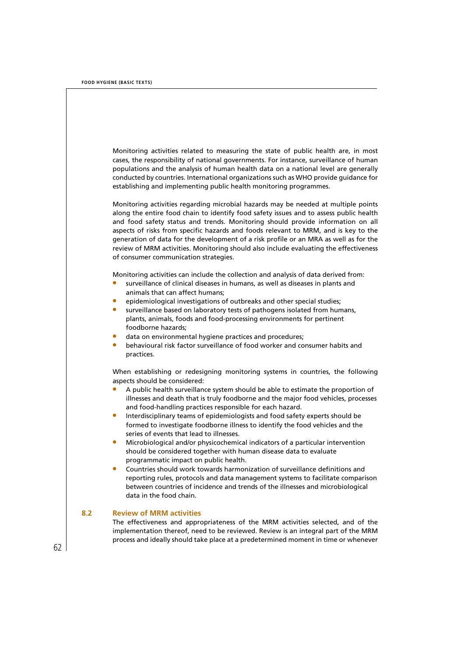Monitoring activities related to measuring the state of public health are, in most cases, the responsibility of national governments. For instance, surveillance of human populations and the analysis of human health data on a national level are generally conducted by countries. International organizations such as WHO provide guidance for establishing and implementing public health monitoring programmes.

Monitoring activities regarding microbial hazards may be needed at multiple points along the entire food chain to identify food safety issues and to assess public health and food safety status and trends. Monitoring should provide information on all aspects of risks from specific hazards and foods relevant to MRM, and is key to the generation of data for the development of a risk profile or an MRA as well as for the review of MRM activities. Monitoring should also include evaluating the effectiveness of consumer communication strategies.

Monitoring activities can include the collection and analysis of data derived from:

- surveillance of clinical diseases in humans, as well as diseases in plants and animals that can affect humans;
- epidemiological investigations of outbreaks and other special studies;
- surveillance based on laboratory tests of pathogens isolated from humans, plants, animals, foods and food-processing environments for pertinent foodborne hazards;
- data on environmental hygiene practices and procedures;
- t behavioural risk factor surveillance of food worker and consumer habits and practices.

 When establishing or redesigning monitoring systems in countries, the following aspects should be considered:

- A public health surveillance system should be able to estimate the proportion of illnesses and death that is truly foodborne and the major food vehicles, processes and food-handling practices responsible for each hazard.
- Interdisciplinary teams of epidemiologists and food safety experts should be formed to investigate foodborne illness to identify the food vehicles and the series of events that lead to illnesses.
- Microbiological and/or physicochemical indicators of a particular intervention should be considered together with human disease data to evaluate programmatic impact on public health.
- Countries should work towards harmonization of surveillance definitions and reporting rules, protocols and data management systems to facilitate comparison between countries of incidence and trends of the illnesses and microbiological data in the food chain.

#### **8.2 Review of MRM activities**

The effectiveness and appropriateness of the MRM activities selected, and of the implementation thereof, need to be reviewed. Review is an integral part of the MRM process and ideally should take place at a predetermined moment in time or whenever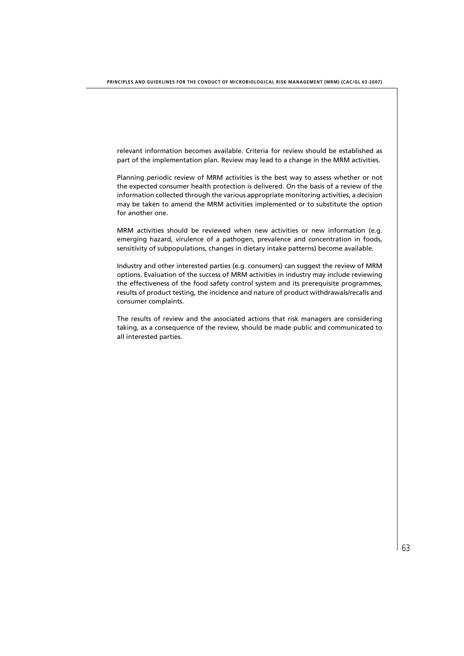relevant information becomes available. Criteria for review should be established as part of the implementation plan. Review may lead to a change in the MRM activities.

Planning periodic review of MRM activities is the best way to assess whether or not the expected consumer health protection is delivered. On the basis of a review of the information collected through the various appropriate monitoring activities, a decision may be taken to amend the MRM activities implemented or to substitute the option for another one.

MRM activities should be reviewed when new activities or new information (e.g. emerging hazard, virulence of a pathogen, prevalence and concentration in foods, sensitivity of subpopulations, changes in dietary intake patterns) become available.

Industry and other interested parties (e.g. consumers) can suggest the review of MRM options. Evaluation of the success of MRM activities in industry may include reviewing the effectiveness of the food safety control system and its prerequisite programmes, results of product testing, the incidence and nature of product withdrawals/recalls and consumer complaints.

The results of review and the associated actions that risk managers are considering taking, as a consequence of the review, should be made public and communicated to all interested parties.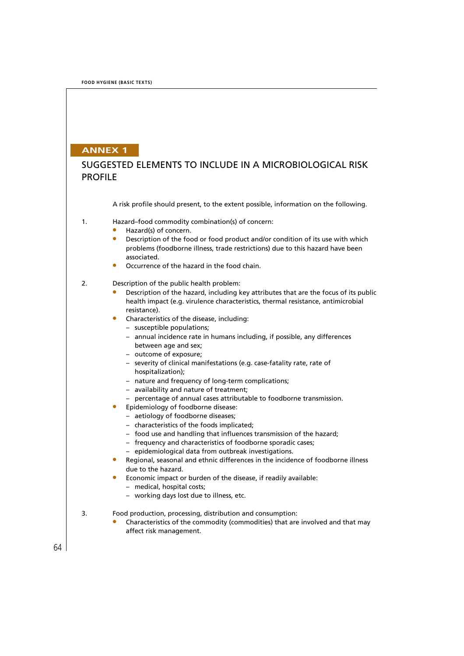**ANNEX 1**

# SUGGESTED ELEMENTS TO INCLUDE IN A MICROBIOLOGICAL RISK PROFIL<sub>F</sub>

A risk profile should present, to the extent possible, information on the following.

- 1. Hazard–food commodity combination(s) of concern:
	- Hazard(s) of concern.
	- Description of the food or food product and/or condition of its use with which problems (foodborne illness, trade restrictions) due to this hazard have been associated.
	- Occurrence of the hazard in the food chain.

# 2. Description of the public health problem:

- Description of the hazard, including key attributes that are the focus of its public health impact (e.g. virulence characteristics, thermal resistance, antimicrobial resistance).
- Characteristics of the disease, including:
	- susceptible populations;
	- annual incidence rate in humans including, if possible, any differences between age and sex;
	- outcome of exposure;
	- severity of clinical manifestations (e.g. case-fatality rate, rate of hospitalization);
	- nature and frequency of long-term complications;
	- availability and nature of treatment;
	- percentage of annual cases attributable to foodborne transmission.
	- Epidemiology of foodborne disease:
	- aetiology of foodborne diseases;
	- characteristics of the foods implicated;
	- food use and handling that influences transmission of the hazard;
	- frequency and characteristics of foodborne sporadic cases;
	- epidemiological data from outbreak investigations.
- Regional, seasonal and ethnic differences in the incidence of foodborne illness due to the hazard.
	- Economic impact or burden of the disease, if readily available:
		- medical, hospital costs;
		- working days lost due to illness, etc.
- 3. Food production, processing, distribution and consumption:
	- Characteristics of the commodity (commodities) that are involved and that may affect risk management.

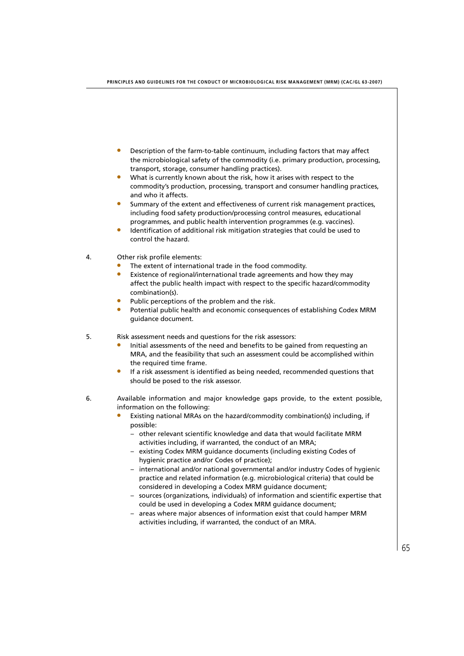- Description of the farm-to-table continuum, including factors that may affect the microbiological safety of the commodity (i.e. primary production, processing, transport, storage, consumer handling practices).
- What is currently known about the risk, how it arises with respect to the commodity's production, processing, transport and consumer handling practices, and who it affects.
- Summary of the extent and effectiveness of current risk management practices, including food safety production/processing control measures, educational programmes, and public health intervention programmes (e.g. vaccines).
- Identification of additional risk mitigation strategies that could be used to control the hazard.
- 4. Other risk profile elements:
	- $\bullet$  The extent of international trade in the food commodity.
	- Existence of regional/international trade agreements and how they may affect the public health impact with respect to the specific hazard/commodity combination(s).
	- Public perceptions of the problem and the risk.
	- Potential public health and economic consequences of establishing Codex MRM guidance document.
- 5. Risk assessment needs and questions for the risk assessors:
	- Initial assessments of the need and benefits to be gained from requesting an MRA, and the feasibility that such an assessment could be accomplished within the required time frame.
	- If a risk assessment is identified as being needed, recommended questions that should be posed to the risk assessor.
- 6. Available information and major knowledge gaps provide, to the extent possible, information on the following:
	- Existing national MRAs on the hazard/commodity combination(s) including, if possible:
		- other relevant scientific knowledge and data that would facilitate MRM activities including, if warranted, the conduct of an MRA;
		- existing Codex MRM guidance documents (including existing Codes of hygienic practice and/or Codes of practice);
		- international and/or national governmental and/or industry Codes of hygienic practice and related information (e.g. microbiological criteria) that could be considered in developing a Codex MRM guidance document;
		- sources (organizations, individuals) of information and scientific expertise that could be used in developing a Codex MRM guidance document;
		- areas where major absences of information exist that could hamper MRM activities including, if warranted, the conduct of an MRA.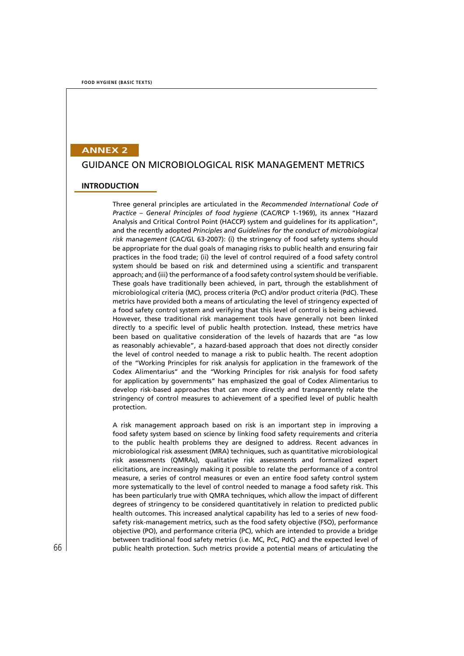# **ANNEX 2**

# GUIDANCE ON MICROBIOLOGICAL RISK MANAGEMENT METRICS

# **INTRODUCTION**

Three general principles are articulated in the *Recommended International Code of Practice – General Principles of food hygiene* (CAC/RCP 1-1969), its annex "Hazard Analysis and Critical Control Point (HACCP) system and guidelines for its application", and the recently adopted *Principles and Guidelines for the conduct of microbiological risk management* (CAC/GL 63-2007): (i) the stringency of food safety systems should be appropriate for the dual goals of managing risks to public health and ensuring fair practices in the food trade; (ii) the level of control required of a food safety control system should be based on risk and determined using a scientific and transparent approach; and (iii) the performance of a food safety control system should be verifiable. These goals have traditionally been achieved, in part, through the establishment of microbiological criteria (MC), process criteria (PcC) and/or product criteria (PdC). These metrics have provided both a means of articulating the level of stringency expected of a food safety control system and verifying that this level of control is being achieved. However, these traditional risk management tools have generally not been linked directly to a specific level of public health protection. Instead, these metrics have been based on qualitative consideration of the levels of hazards that are "as low as reasonably achievable", a hazard-based approach that does not directly consider the level of control needed to manage a risk to public health. The recent adoption of the "Working Principles for risk analysis for application in the framework of the Codex Alimentarius" and the *"*Working Principles for risk analysis for food safety for application by governments" has emphasized the goal of Codex Alimentarius to develop risk-based approaches that can more directly and transparently relate the stringency of control measures to achievement of a specified level of public health protection.

A risk management approach based on risk is an important step in improving a food safety system based on science by linking food safety requirements and criteria to the public health problems they are designed to address. Recent advances in microbiological risk assessment (MRA) techniques, such as quantitative microbiological risk assessments (QMRAs), qualitative risk assessments and formalized expert elicitations, are increasingly making it possible to relate the performance of a control measure, a series of control measures or even an entire food safety control system more systematically to the level of control needed to manage a food safety risk. This has been particularly true with QMRA techniques, which allow the impact of different degrees of stringency to be considered quantitatively in relation to predicted public health outcomes. This increased analytical capability has led to a series of new foodsafety risk-management metrics, such as the food safety objective (FSO), performance objective (PO), and performance criteria (PC), which are intended to provide a bridge between traditional food safety metrics (i.e. MC, PcC, PdC) and the expected level of public health protection. Such metrics provide a potential means of articulating the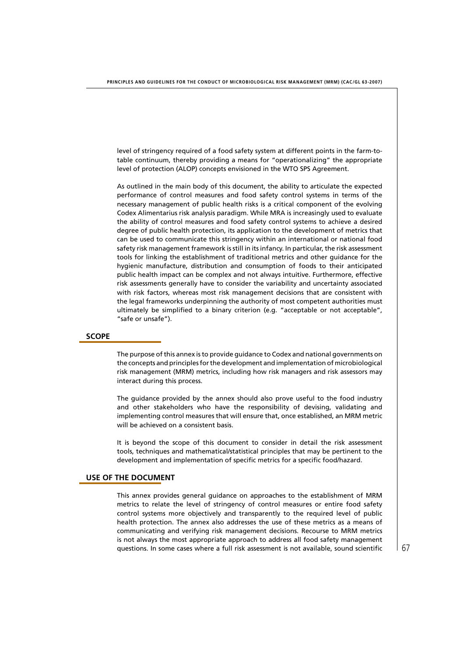level of stringency required of a food safety system at different points in the farm-totable continuum, thereby providing a means for "operationalizing" the appropriate level of protection (ALOP) concepts envisioned in the WTO SPS Agreement.

As outlined in the main body of this document, the ability to articulate the expected performance of control measures and food safety control systems in terms of the necessary management of public health risks is a critical component of the evolving Codex Alimentarius risk analysis paradigm. While MRA is increasingly used to evaluate the ability of control measures and food safety control systems to achieve a desired degree of public health protection, its application to the development of metrics that can be used to communicate this stringency within an international or national food safety risk management framework is still in its infancy. In particular, the risk assessment tools for linking the establishment of traditional metrics and other guidance for the hygienic manufacture, distribution and consumption of foods to their anticipated public health impact can be complex and not always intuitive. Furthermore, effective risk assessments generally have to consider the variability and uncertainty associated with risk factors, whereas most risk management decisions that are consistent with the legal frameworks underpinning the authority of most competent authorities must ultimately be simplified to a binary criterion (e.g. "acceptable or not acceptable", "safe or unsafe").

# **SCOPE**

The purpose of this annex is to provide guidance to Codex and national governments on the concepts and principles for the development and implementation of microbiological risk management (MRM) metrics, including how risk managers and risk assessors may interact during this process.

The guidance provided by the annex should also prove useful to the food industry and other stakeholders who have the responsibility of devising, validating and implementing control measures that will ensure that, once established, an MRM metric will be achieved on a consistent basis.

It is beyond the scope of this document to consider in detail the risk assessment tools, techniques and mathematical/statistical principles that may be pertinent to the development and implementation of specific metrics for a specific food/hazard.

# **USE OF THE DOCUMENT**

This annex provides general guidance on approaches to the establishment of MRM metrics to relate the level of stringency of control measures or entire food safety control systems more objectively and transparently to the required level of public health protection. The annex also addresses the use of these metrics as a means of communicating and verifying risk management decisions. Recourse to MRM metrics is not always the most appropriate approach to address all food safety management questions. In some cases where a full risk assessment is not available, sound scientific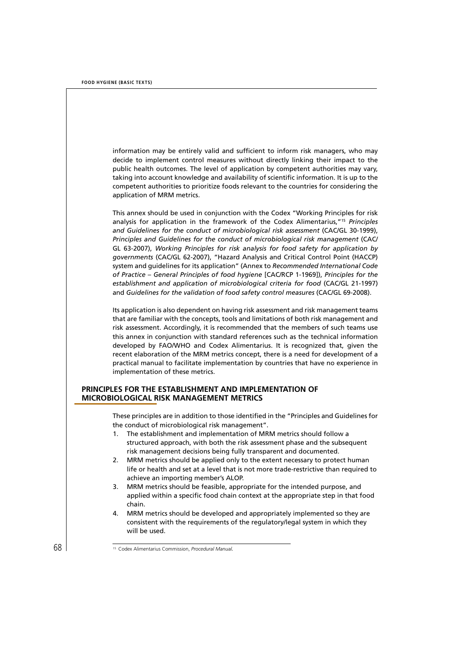information may be entirely valid and sufficient to inform risk managers, who may decide to implement control measures without directly linking their impact to the public health outcomes. The level of application by competent authorities may vary, taking into account knowledge and availability of scientific information. It is up to the competent authorities to prioritize foods relevant to the countries for considering the application of MRM metrics.

This annex should be used in conjunction with the Codex "Working Principles for risk analysis for application in the framework of the Codex Alimentarius,"15 *Principles*  and Guidelines for the conduct of microbiological risk assessment (CAC/GL 30-1999), *Principles and Guidelines for the conduct of microbiological risk management* (CAC/ GL 63-2007), *Working Principles for risk analysis for food safety for application by governments* (CAC/GL 62-2007), "Hazard Analysis and Critical Control Point (HACCP) system and guidelines for its application" (Annex to *Recommended International Code of Practice – General Principles of food hygiene* [CAC/RCP 1-1969]), *Principles for the establishment and application of microbiological criteria for food* (CAC/GL 21-1997) and *Guidelines for the validation of food safety control measures* (CAC/GL 69-2008).

Its application is also dependent on having risk assessment and risk management teams that are familiar with the concepts, tools and limitations of both risk management and risk assessment. Accordingly, it is recommended that the members of such teams use this annex in conjunction with standard references such as the technical information developed by FAO/WHO and Codex Alimentarius. It is recognized that, given the recent elaboration of the MRM metrics concept, there is a need for development of a practical manual to facilitate implementation by countries that have no experience in implementation of these metrics.

# **PRINCIPLES FOR THE ESTABLISHMENT AND IMPLEMENTATION OF MICROBIOLOGICAL RISK MANAGEMENT METRICS**

 These principles are in addition to those identified in the "Principles and Guidelines for the conduct of microbiological risk management".

- 1. The establishment and implementation of MRM metrics should follow a structured approach, with both the risk assessment phase and the subsequent risk management decisions being fully transparent and documented.
- 2. MRM metrics should be applied only to the extent necessary to protect human life or health and set at a level that is not more trade-restrictive than required to achieve an importing member's ALOP.
- 3. MRM metrics should be feasible, appropriate for the intended purpose, and applied within a specific food chain context at the appropriate step in that food chain.
- 4. MRM metrics should be developed and appropriately implemented so they are consistent with the requirements of the regulatory/legal system in which they will be used.

15 Codex Alimentarius Commission, *Procedural Manual.*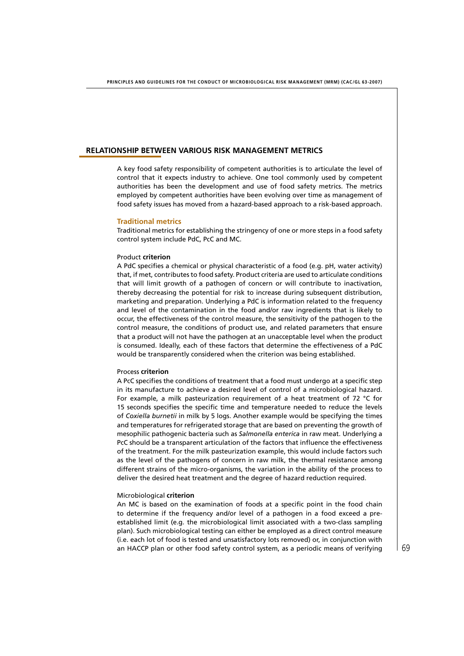# **RELATIONSHIP BETWEEN VARIOUS RISK MANAGEMENT METRICS**

A key food safety responsibility of competent authorities is to articulate the level of control that it expects industry to achieve. One tool commonly used by competent authorities has been the development and use of food safety metrics. The metrics employed by competent authorities have been evolving over time as management of food safety issues has moved from a hazard-based approach to a risk-based approach.

#### **Traditional metrics**

Traditional metrics for establishing the stringency of one or more steps in a food safety control system include PdC, PcC and MC.

#### Product **criterion**

A PdC specifies a chemical or physical characteristic of a food (e.g. pH, water activity) that, if met, contributes to food safety. Product criteria are used to articulate conditions that will limit growth of a pathogen of concern or will contribute to inactivation, thereby decreasing the potential for risk to increase during subsequent distribution, marketing and preparation. Underlying a PdC is information related to the frequency and level of the contamination in the food and/or raw ingredients that is likely to occur, the effectiveness of the control measure, the sensitivity of the pathogen to the control measure, the conditions of product use, and related parameters that ensure that a product will not have the pathogen at an unacceptable level when the product is consumed. Ideally, each of these factors that determine the effectiveness of a PdC would be transparently considered when the criterion was being established.

#### Process **criterion**

A PcC specifies the conditions of treatment that a food must undergo at a specific step in its manufacture to achieve a desired level of control of a microbiological hazard. For example, a milk pasteurization requirement of a heat treatment of 72 °C for 15 seconds specifies the specific time and temperature needed to reduce the levels of *Coxiella burnetii* in milk by 5 logs. Another example would be specifying the times and temperatures for refrigerated storage that are based on preventing the growth of mesophilic pathogenic bacteria such as *Salmonella enterica* in raw meat. Underlying a PcC should be a transparent articulation of the factors that influence the effectiveness of the treatment. For the milk pasteurization example, this would include factors such as the level of the pathogens of concern in raw milk, the thermal resistance among different strains of the micro-organisms, the variation in the ability of the process to deliver the desired heat treatment and the degree of hazard reduction required.

#### Microbiological **criterion**

An MC is based on the examination of foods at a specific point in the food chain to determine if the frequency and/or level of a pathogen in a food exceed a preestablished limit (e.g. the microbiological limit associated with a two-class sampling plan). Such microbiological testing can either be employed as a direct control measure (i.e. each lot of food is tested and unsatisfactory lots removed) or, in conjunction with an HACCP plan or other food safety control system, as a periodic means of verifying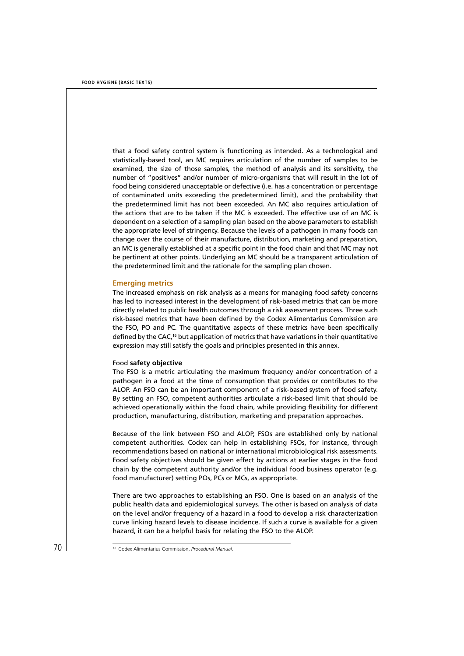that a food safety control system is functioning as intended. As a technological and statistically-based tool, an MC requires articulation of the number of samples to be examined, the size of those samples, the method of analysis and its sensitivity, the number of "positives" and/or number of micro-organisms that will result in the lot of food being considered unacceptable or defective (i.e. has a concentration or percentage of contaminated units exceeding the predetermined limit), and the probability that the predetermined limit has not been exceeded. An MC also requires articulation of the actions that are to be taken if the MC is exceeded. The effective use of an MC is dependent on a selection of a sampling plan based on the above parameters to establish the appropriate level of stringency. Because the levels of a pathogen in many foods can change over the course of their manufacture, distribution, marketing and preparation, an MC is generally established at a specific point in the food chain and that MC may not be pertinent at other points. Underlying an MC should be a transparent articulation of the predetermined limit and the rationale for the sampling plan chosen.

#### **Emerging metrics**

The increased emphasis on risk analysis as a means for managing food safety concerns has led to increased interest in the development of risk-based metrics that can be more directly related to public health outcomes through a risk assessment process. Three such risk-based metrics that have been defined by the Codex Alimentarius Commission are the FSO, PO and PC. The quantitative aspects of these metrics have been specifically defined by the CAC,<sup>16</sup> but application of metrics that have variations in their quantitative expression may still satisfy the goals and principles presented in this annex.

#### Food **safety objective**

The FSO is a metric articulating the maximum frequency and/or concentration of a pathogen in a food at the time of consumption that provides or contributes to the ALOP. An FSO can be an important component of a risk-based system of food safety. By setting an FSO, competent authorities articulate a risk-based limit that should be achieved operationally within the food chain, while providing flexibility for different production, manufacturing, distribution, marketing and preparation approaches.

Because of the link between FSO and ALOP, FSOs are established only by national competent authorities. Codex can help in establishing FSOs, for instance, through recommendations based on national or international microbiological risk assessments. Food safety objectives should be given effect by actions at earlier stages in the food chain by the competent authority and/or the individual food business operator (e.g. food manufacturer) setting POs, PCs or MCs, as appropriate.

There are two approaches to establishing an FSO. One is based on an analysis of the public health data and epidemiological surveys. The other is based on analysis of data on the level and/or frequency of a hazard in a food to develop a risk characterization curve linking hazard levels to disease incidence. If such a curve is available for a given hazard, it can be a helpful basis for relating the FSO to the ALOP.

<sup>16</sup> Codex Alimentarius Commission, *Procedural Manual*.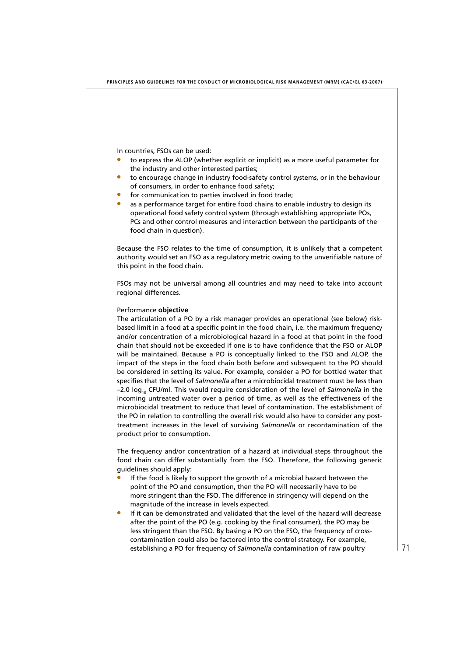In countries, FSOs can be used:

- to express the ALOP (whether explicit or implicit) as a more useful parameter for the industry and other interested parties;
- to encourage change in industry food-safety control systems, or in the behaviour of consumers, in order to enhance food safety;
- for communication to parties involved in food trade:
- as a performance target for entire food chains to enable industry to design its operational food safety control system (through establishing appropriate POs, PCs and other control measures and interaction between the participants of the food chain in question).

Because the FSO relates to the time of consumption, it is unlikely that a competent authority would set an FSO as a regulatory metric owing to the unverifiable nature of this point in the food chain.

FSOs may not be universal among all countries and may need to take into account regional differences.

#### Performance **objective**

The articulation of a PO by a risk manager provides an operational (see below) riskbased limit in a food at a specific point in the food chain, i.e. the maximum frequency and/or concentration of a microbiological hazard in a food at that point in the food chain that should not be exceeded if one is to have confidence that the FSO or ALOP will be maintained. Because a PO is conceptually linked to the FSO and ALOP, the impact of the steps in the food chain both before and subsequent to the PO should be considered in setting its value. For example, consider a PO for bottled water that specifies that the level of *Salmonella* after a microbiocidal treatment must be less than -2.0 log<sub>10</sub> CFU/ml. This would require consideration of the level of *Salmonella* in the incoming untreated water over a period of time, as well as the effectiveness of the microbiocidal treatment to reduce that level of contamination. The establishment of the PO in relation to controlling the overall risk would also have to consider any posttreatment increases in the level of surviving *Salmonella* or recontamination of the product prior to consumption.

 The frequency and/or concentration of a hazard at individual steps throughout the food chain can differ substantially from the FSO. Therefore, the following generic guidelines should apply:

- If the food is likely to support the growth of a microbial hazard between the point of the PO and consumption, then the PO will necessarily have to be more stringent than the FSO. The difference in stringency will depend on the magnitude of the increase in levels expected.
- If it can be demonstrated and validated that the level of the hazard will decrease after the point of the PO (e.g. cooking by the final consumer), the PO may be less stringent than the FSO. By basing a PO on the FSO, the frequency of crosscontamination could also be factored into the control strategy. For example, establishing a PO for frequency of *Salmonella* contamination of raw poultry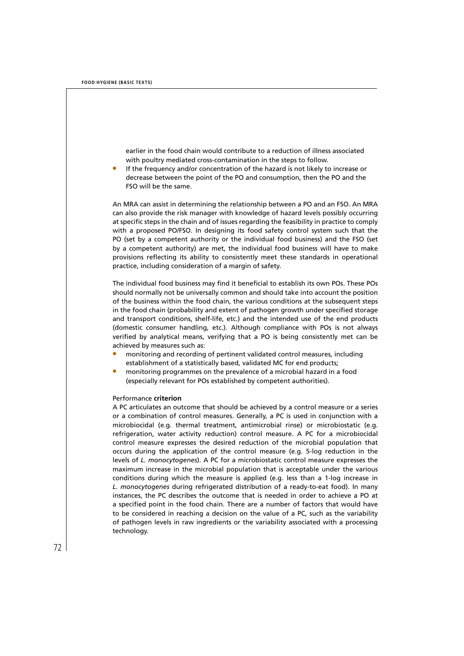earlier in the food chain would contribute to a reduction of illness associated with poultry mediated cross-contamination in the steps to follow.

If the frequency and/or concentration of the hazard is not likely to increase or decrease between the point of the PO and consumption, then the PO and the FSO will be the same.

An MRA can assist in determining the relationship between a PO and an FSO. An MRA can also provide the risk manager with knowledge of hazard levels possibly occurring at specific steps in the chain and of issues regarding the feasibility in practice to comply with a proposed PO/FSO. In designing its food safety control system such that the PO (set by a competent authority or the individual food business) and the FSO (set by a competent authority) are met, the individual food business will have to make provisions reflecting its ability to consistently meet these standards in operational practice, including consideration of a margin of safety.

 The individual food business may find it beneficial to establish its own POs. These POs should normally not be universally common and should take into account the position of the business within the food chain, the various conditions at the subsequent steps in the food chain (probability and extent of pathogen growth under specified storage and transport conditions, shelf-life, etc.) and the intended use of the end products (domestic consumer handling, etc.). Although compliance with POs is not always verified by analytical means, verifying that a PO is being consistently met can be achieved by measures such as:

- monitoring and recording of pertinent validated control measures, including establishment of a statistically based, validated MC for end products;
- monitoring programmes on the prevalence of a microbial hazard in a food (especially relevant for POs established by competent authorities).

#### Performance **criterion**

A PC articulates an outcome that should be achieved by a control measure or a series or a combination of control measures. Generally, a PC is used in conjunction with a microbiocidal (e.g. thermal treatment, antimicrobial rinse) or microbiostatic (e.g. refrigeration, water activity reduction) control measure. A PC for a microbiocidal control measure expresses the desired reduction of the microbial population that occurs during the application of the control measure (e.g. 5-log reduction in the levels of *L. monocytogenes*). A PC for a microbiostatic control measure expresses the maximum increase in the microbial population that is acceptable under the various conditions during which the measure is applied (e.g. less than a 1-log increase in *L. monocytogenes* during refrigerated distribution of a ready-to-eat food). In many instances, the PC describes the outcome that is needed in order to achieve a PO at a specified point in the food chain. There are a number of factors that would have to be considered in reaching a decision on the value of a PC, such as the variability of pathogen levels in raw ingredients or the variability associated with a processing technology.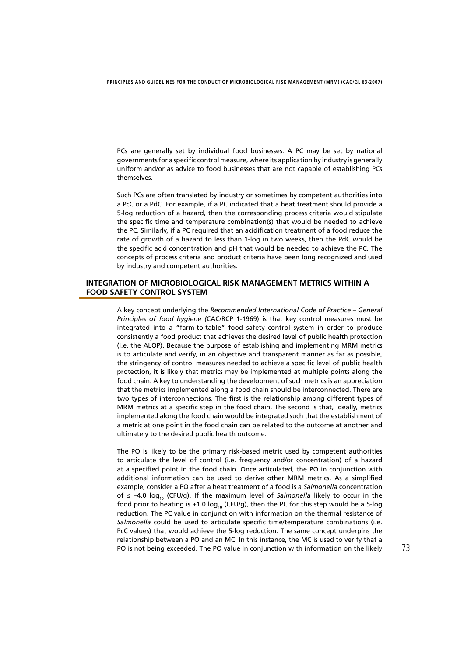PCs are generally set by individual food businesses. A PC may be set by national governments for a specific control measure, where its application by industry is generally uniform and/or as advice to food businesses that are not capable of establishing PCs themselves.

Such PCs are often translated by industry or sometimes by competent authorities into a PcC or a PdC. For example, if a PC indicated that a heat treatment should provide a 5-log reduction of a hazard, then the corresponding process criteria would stipulate the specific time and temperature combination(s) that would be needed to achieve the PC. Similarly, if a PC required that an acidification treatment of a food reduce the rate of growth of a hazard to less than 1-log in two weeks, then the PdC would be the specific acid concentration and pH that would be needed to achieve the PC. The concepts of process criteria and product criteria have been long recognized and used by industry and competent authorities.

# **INTEGRATION OF MICROBIOLOGICAL RISK MANAGEMENT METRICS WITHIN A FOOD SAFETY CONTROL SYSTEM**

A key concept underlying the *Recommended International Code of Practice – General Principles of food hygiene (*CAC/RCP 1-1969) is that key control measures must be integrated into a "farm-to-table" food safety control system in order to produce consistently a food product that achieves the desired level of public health protection (i.e. the ALOP). Because the purpose of establishing and implementing MRM metrics is to articulate and verify, in an objective and transparent manner as far as possible, the stringency of control measures needed to achieve a specific level of public health protection, it is likely that metrics may be implemented at multiple points along the food chain. A key to understanding the development of such metrics is an appreciation that the metrics implemented along a food chain should be interconnected. There are two types of interconnections. The first is the relationship among different types of MRM metrics at a specific step in the food chain. The second is that, ideally, metrics implemented along the food chain would be integrated such that the establishment of a metric at one point in the food chain can be related to the outcome at another and ultimately to the desired public health outcome.

The PO is likely to be the primary risk-based metric used by competent authorities to articulate the level of control (i.e. frequency and/or concentration) of a hazard at a specified point in the food chain. Once articulated, the PO in conjunction with additional information can be used to derive other MRM metrics. As a simplified example, consider a PO after a heat treatment of a food is a *Salmonella* concentration of ≤ –4.0 log10 (CFU/g). If the maximum level of *Salmonella* likely to occur in the food prior to heating is +1.0 log<sub>10</sub> (CFU/g), then the PC for this step would be a 5-log reduction. The PC value in conjunction with information on the thermal resistance of *Salmonella* could be used to articulate specific time/temperature combinations (i.e. PcC values) that would achieve the 5-log reduction. The same concept underpins the relationship between a PO and an MC. In this instance, the MC is used to verify that a PO is not being exceeded. The PO value in conjunction with information on the likely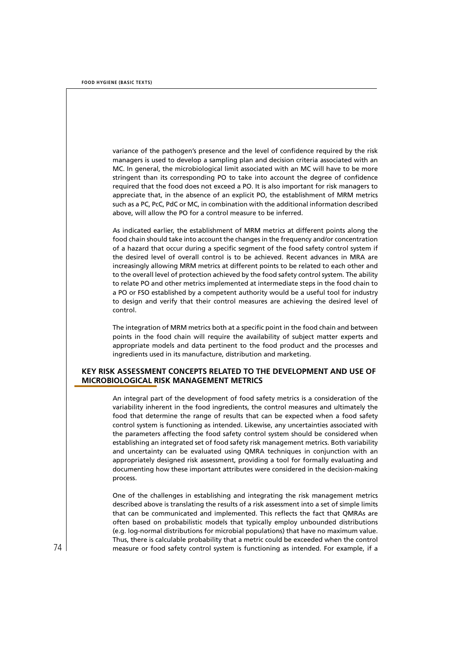variance of the pathogen's presence and the level of confidence required by the risk managers is used to develop a sampling plan and decision criteria associated with an MC. In general, the microbiological limit associated with an MC will have to be more stringent than its corresponding PO to take into account the degree of confidence required that the food does not exceed a PO. It is also important for risk managers to appreciate that, in the absence of an explicit PO, the establishment of MRM metrics such as a PC, PcC, PdC or MC, in combination with the additional information described above, will allow the PO for a control measure to be inferred.

As indicated earlier, the establishment of MRM metrics at different points along the food chain should take into account the changes in the frequency and/or concentration of a hazard that occur during a specific segment of the food safety control system if the desired level of overall control is to be achieved. Recent advances in MRA are increasingly allowing MRM metrics at different points to be related to each other and to the overall level of protection achieved by the food safety control system. The ability to relate PO and other metrics implemented at intermediate steps in the food chain to a PO or FSO established by a competent authority would be a useful tool for industry to design and verify that their control measures are achieving the desired level of control.

The integration of MRM metrics both at a specific point in the food chain and between points in the food chain will require the availability of subject matter experts and appropriate models and data pertinent to the food product and the processes and ingredients used in its manufacture, distribution and marketing.

# **KEY RISK ASSESSMENT CONCEPTS RELATED TO THE DEVELOPMENT AND USE OF MICROBIOLOGICAL RISK MANAGEMENT METRICS**

An integral part of the development of food safety metrics is a consideration of the variability inherent in the food ingredients, the control measures and ultimately the food that determine the range of results that can be expected when a food safety control system is functioning as intended. Likewise, any uncertainties associated with the parameters affecting the food safety control system should be considered when establishing an integrated set of food safety risk management metrics. Both variability and uncertainty can be evaluated using QMRA techniques in conjunction with an appropriately designed risk assessment, providing a tool for formally evaluating and documenting how these important attributes were considered in the decision-making process.

One of the challenges in establishing and integrating the risk management metrics described above is translating the results of a risk assessment into a set of simple limits that can be communicated and implemented. This reflects the fact that QMRAs are often based on probabilistic models that typically employ unbounded distributions (e.g. log-normal distributions for microbial populations) that have no maximum value. Thus, there is calculable probability that a metric could be exceeded when the control measure or food safety control system is functioning as intended. For example, if a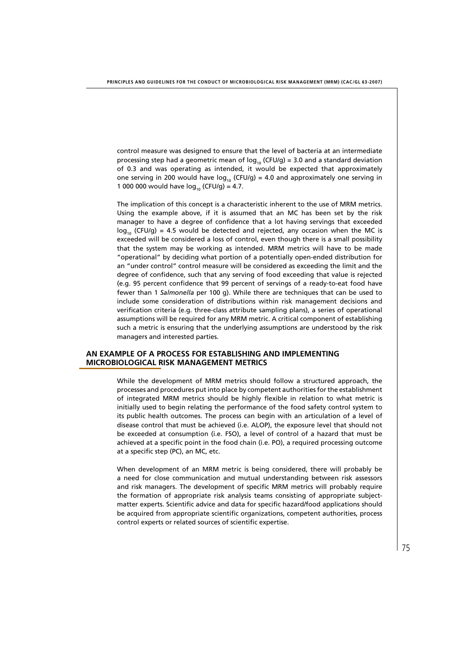control measure was designed to ensure that the level of bacteria at an intermediate processing step had a geometric mean of  $log_{10}$  (CFU/g) = 3.0 and a standard deviation of 0.3 and was operating as intended, it would be expected that approximately one serving in 200 would have  $log_{10}$  (CFU/g) = 4.0 and approximately one serving in 1 000 000 would have  $log_{10}$  (CFU/g) = 4.7.

The implication of this concept is a characteristic inherent to the use of MRM metrics. Using the example above, if it is assumed that an MC has been set by the risk manager to have a degree of confidence that a lot having servings that exceeded  $log_{10}$  (CFU/g) = 4.5 would be detected and rejected, any occasion when the MC is exceeded will be considered a loss of control, even though there is a small possibility that the system may be working as intended. MRM metrics will have to be made "operational" by deciding what portion of a potentially open-ended distribution for an "under control" control measure will be considered as exceeding the limit and the degree of confidence, such that any serving of food exceeding that value is rejected (e.g. 95 percent confidence that 99 percent of servings of a ready-to-eat food have fewer than 1 *Salmonella* per 100 g). While there are techniques that can be used to include some consideration of distributions within risk management decisions and verification criteria (e.g. three-class attribute sampling plans), a series of operational assumptions will be required for any MRM metric. A critical component of establishing such a metric is ensuring that the underlying assumptions are understood by the risk managers and interested parties.

# **AN EXAMPLE OF A PROCESS FOR ESTABLISHING AND IMPLEMENTING MICROBIOLOGICAL RISK MANAGEMENT METRICS**

While the development of MRM metrics should follow a structured approach, the processes and procedures put into place by competent authorities for the establishment of integrated MRM metrics should be highly flexible in relation to what metric is initially used to begin relating the performance of the food safety control system to its public health outcomes. The process can begin with an articulation of a level of disease control that must be achieved (i.e. ALOP), the exposure level that should not be exceeded at consumption (i.e. FSO), a level of control of a hazard that must be achieved at a specific point in the food chain (i.e. PO), a required processing outcome at a specific step (PC), an MC, etc.

When development of an MRM metric is being considered, there will probably be a need for close communication and mutual understanding between risk assessors and risk managers. The development of specific MRM metrics will probably require the formation of appropriate risk analysis teams consisting of appropriate subjectmatter experts. Scientific advice and data for specific hazard/food applications should be acquired from appropriate scientific organizations, competent authorities, process control experts or related sources of scientific expertise.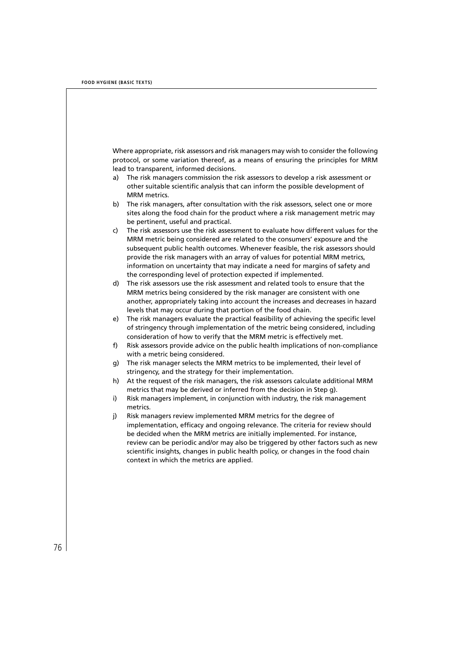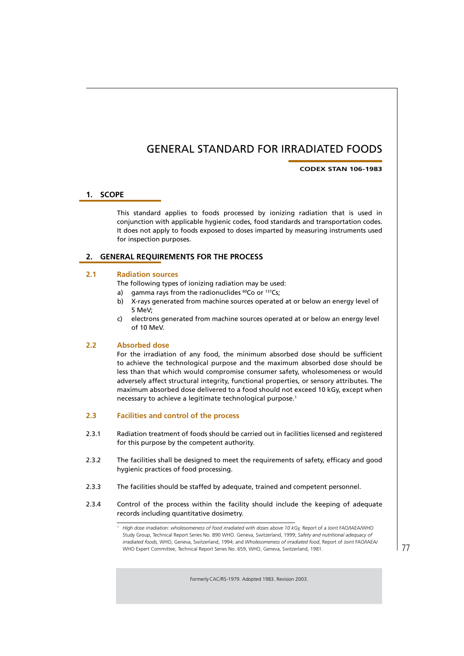# GENERAL STANDARD FOR IRRADIATED FOODS

**CODEX STAN 106-1983**

# **1. SCOPE**

This standard applies to foods processed by ionizing radiation that is used in conjunction with applicable hygienic codes, food standards and transportation codes. It does not apply to foods exposed to doses imparted by measuring instruments used for inspection purposes.

# **2. GENERAL REQUIREMENTS FOR THE PROCESS**

# **2.1 Radiation sources**

- The following types of ionizing radiation may be used:
- a) gamma rays from the radionuclides  $^{60}Co$  or  $^{137}Cs$ ;
- b) X-rays generated from machine sources operated at or below an energy level of 5 MeV;
- c) electrons generated from machine sources operated at or below an energy level of 10 MeV.

# **2.2 Absorbed dose**

For the irradiation of any food, the minimum absorbed dose should be sufficient to achieve the technological purpose and the maximum absorbed dose should be less than that which would compromise consumer safety, wholesomeness or would adversely affect structural integrity, functional properties, or sensory attributes. The maximum absorbed dose delivered to a food should not exceed 10 kGy, except when necessary to achieve a legitimate technological purpose.1

# **2.3 Facilities and control of the process**

- 2.3.1 Radiation treatment of foods should be carried out in facilities licensed and registered for this purpose by the competent authority.
- 2.3.2 The facilities shall be designed to meet the requirements of safety, efficacy and good hygienic practices of food processing.
- 2.3.3 The facilities should be staffed by adequate, trained and competent personnel.
- 2.3.4 Control of the process within the facility should include the keeping of adequate records including quantitative dosimetry.

FormerlyCAC/RS-1979. Adopted 1983. Revision 2003.

<sup>1</sup>*High dose irradiation: wholesomeness of food irradiated with doses above 10 kGy,* Report of a Joint FAO/IAEA/WHO Study Group, Technical Report Series No. 890 WHO. Geneva, Switzerland, 1999; *Safety and nutritional adequacy of irradiated foods,* WHO, Geneva, Switzerland, 1994; and *Wholesomeness of irradiated food*, Report of Joint FAO/IAEA/ WHO Expert Committee, Technical Report Series No. 659, WHO, Geneva, Switzerland, 1981.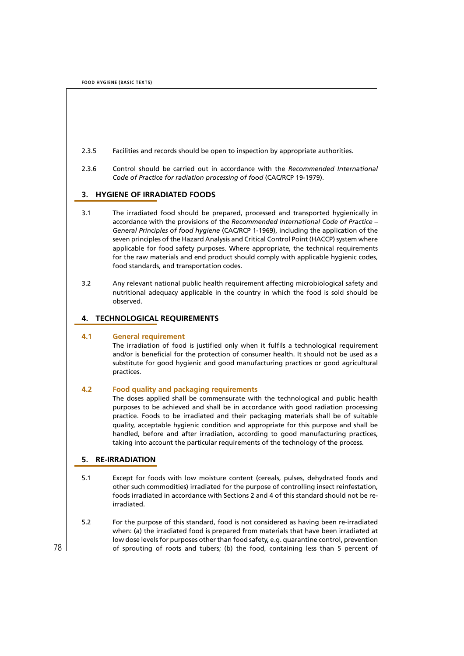- 2.3.5 Facilities and records should be open to inspection by appropriate authorities.
- 2.3.6 Control should be carried out in accordance with the *Recommended International Code of Practice for radiation processing of food* (CAC/RCP 19-1979).

# **3. HYGIENE OF IRRADIATED FOODS**

- 3.1 The irradiated food should be prepared, processed and transported hygienically in accordance with the provisions of the *Recommended International Code of Practice – General Principles of food hygiene* (CAC/RCP 1-1969), including the application of the seven principles of the Hazard Analysis and Critical Control Point (HACCP) system where applicable for food safety purposes. Where appropriate, the technical requirements for the raw materials and end product should comply with applicable hygienic codes, food standards, and transportation codes.
- 3.2 Any relevant national public health requirement affecting microbiological safety and nutritional adequacy applicable in the country in which the food is sold should be observed.

# **4. TECHNOLOGICAL REQUIREMENTS**

# **4.1 General requirement**

The irradiation of food is justified only when it fulfils a technological requirement and/or is beneficial for the protection of consumer health. It should not be used as a substitute for good hygienic and good manufacturing practices or good agricultural practices.

# **4.2 Food quality and packaging requirements**

The doses applied shall be commensurate with the technological and public health purposes to be achieved and shall be in accordance with good radiation processing practice. Foods to be irradiated and their packaging materials shall be of suitable quality, acceptable hygienic condition and appropriate for this purpose and shall be handled, before and after irradiation, according to good manufacturing practices, taking into account the particular requirements of the technology of the process.

# **5. RE-IRRADIATION**

- 5.1 Except for foods with low moisture content (cereals, pulses, dehydrated foods and other such commodities) irradiated for the purpose of controlling insect reinfestation, foods irradiated in accordance with Sections 2 and 4 of this standard should not be reirradiated.
- 5.2 For the purpose of this standard, food is not considered as having been re-irradiated when: (a) the irradiated food is prepared from materials that have been irradiated at low dose levels for purposes other than food safety, e.g. quarantine control, prevention of sprouting of roots and tubers; (b) the food, containing less than 5 percent of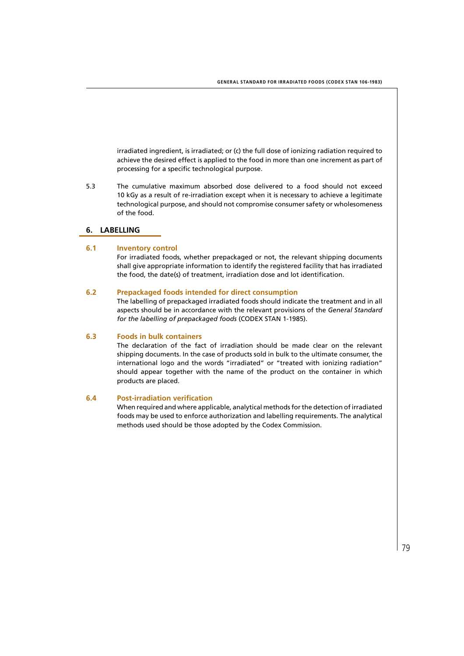irradiated ingredient, is irradiated; or (c) the full dose of ionizing radiation required to achieve the desired effect is applied to the food in more than one increment as part of processing for a specific technological purpose.

5.3 The cumulative maximum absorbed dose delivered to a food should not exceed 10 kGy as a result of re-irradiation except when it is necessary to achieve a legitimate technological purpose, and should not compromise consumer safety or wholesomeness of the food.

# **6. LABELLING**

# **6.1 Inventory control**

For irradiated foods, whether prepackaged or not, the relevant shipping documents shall give appropriate information to identify the registered facility that has irradiated the food, the date(s) of treatment, irradiation dose and lot identification.

#### **6.2 Prepackaged foods intended for direct consumption**

The labelling of prepackaged irradiated foods should indicate the treatment and in all aspects should be in accordance with the relevant provisions of the *General Standard for the labelling of prepackaged foods* (CODEX STAN 1-1985).

# **6.3 Foods in bulk containers**

The declaration of the fact of irradiation should be made clear on the relevant shipping documents. In the case of products sold in bulk to the ultimate consumer, the international logo and the words "irradiated" or "treated with ionizing radiation" should appear together with the name of the product on the container in which products are placed.

# **6.4 Post-irradiation verification**

When required and where applicable, analytical methods for the detection of irradiated foods may be used to enforce authorization and labelling requirements. The analytical methods used should be those adopted by the Codex Commission.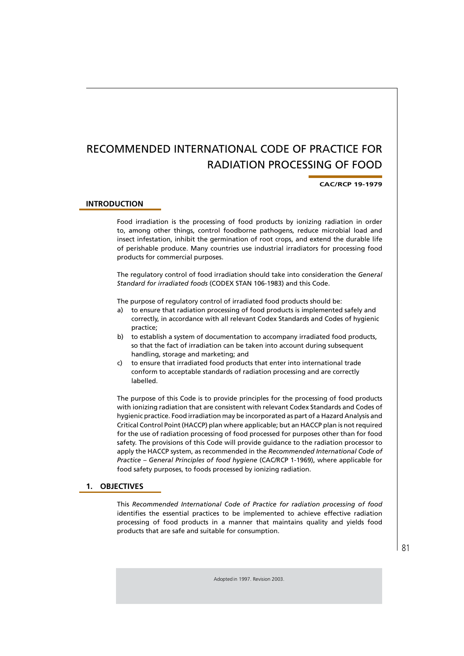# RECOMMENDED INTERNATIONAL CODE OF PRACTICE FOR RADIATION PROCESSING OF FOOD

**CAC/RCP 19-1979**

# **INTRODUCTION**

Food irradiation is the processing of food products by ionizing radiation in order to, among other things, control foodborne pathogens, reduce microbial load and insect infestation, inhibit the germination of root crops, and extend the durable life of perishable produce. Many countries use industrial irradiators for processing food products for commercial purposes.

The regulatory control of food irradiation should take into consideration the *General Standard for irradiated foods* (CODEX STAN 106-1983) and this Code.

The purpose of regulatory control of irradiated food products should be:

- a) to ensure that radiation processing of food products is implemented safely and correctly, in accordance with all relevant Codex Standards and Codes of hygienic practice;
- b) to establish a system of documentation to accompany irradiated food products, so that the fact of irradiation can be taken into account during subsequent handling, storage and marketing; and
- c) to ensure that irradiated food products that enter into international trade conform to acceptable standards of radiation processing and are correctly labelled.

The purpose of this Code is to provide principles for the processing of food products with ionizing radiation that are consistent with relevant Codex Standards and Codes of hygienic practice. Food irradiation may be incorporated as part of a Hazard Analysis and Critical Control Point (HACCP) plan where applicable; but an HACCP plan is not required for the use of radiation processing of food processed for purposes other than for food safety. The provisions of this Code will provide guidance to the radiation processor to apply the HACCP system, as recommended in the *Recommended International Code of Practice – General Principles of food hygiene* (CAC/RCP 1-1969), where applicable for food safety purposes, to foods processed by ionizing radiation.

# **1. OBJECTIVES**

This *Recommended International Code of Practice for radiation processing of food* identifies the essential practices to be implemented to achieve effective radiation processing of food products in a manner that maintains quality and yields food products that are safe and suitable for consumption.

81

Adopted in 1997. Revision 2003.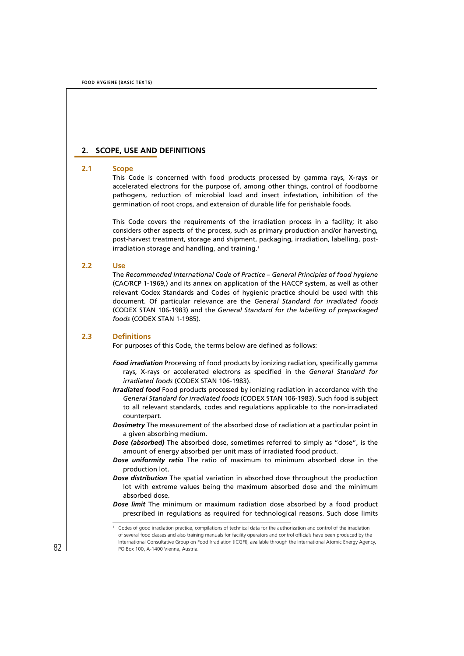# **2. SCOPE, USE AND DEFINITIONS**

#### **2.1 Scope**

This Code is concerned with food products processed by gamma rays, X-rays or accelerated electrons for the purpose of, among other things, control of foodborne pathogens, reduction of microbial load and insect infestation, inhibition of the germination of root crops, and extension of durable life for perishable foods.

This Code covers the requirements of the irradiation process in a facility; it also considers other aspects of the process, such as primary production and/or harvesting, post-harvest treatment, storage and shipment, packaging, irradiation, labelling, postirradiation storage and handling, and training.<sup>1</sup>

## **2.2 Use**

The *Recommended International Code of Practice – General Principles of food hygiene* (CAC/RCP 1-1969,) and its annex on application of the HACCP system, as well as other relevant Codex Standards and Codes of hygienic practice should be used with this document. Of particular relevance are the *General Standard for irradiated foods* (CODEX STAN 106-1983) and the *General Standard for the labelling of prepackaged foods* (CODEX STAN 1-1985).

# **2.3 Definitions**

For purposes of this Code, the terms below are defined as follows:

- *Food irradiation* Processing of food products by ionizing radiation, specifically gamma rays, X-rays or accelerated electrons as specified in the *General Standard for irradiated foods* (CODEX STAN 106-1983).
- *Irradiated food* Food products processed by ionizing radiation in accordance with the *General Standard for irradiated foods* (CODEX STAN 106-1983). Such food is subject to all relevant standards, codes and regulations applicable to the non-irradiated counterpart.
- *Dosimetry* The measurement of the absorbed dose of radiation at a particular point in a given absorbing medium.
- *Dose (absorbed)* The absorbed dose, sometimes referred to simply as "dose", is the amount of energy absorbed per unit mass of irradiated food product.
- *Dose uniformity ratio* The ratio of maximum to minimum absorbed dose in the production lot.
- *Dose distribution* The spatial variation in absorbed dose throughout the production lot with extreme values being the maximum absorbed dose and the minimum absorbed dose.
- *Dose limit* The minimum or maximum radiation dose absorbed by a food product prescribed in regulations as required for technological reasons. Such dose limits

<sup>1</sup> Codes of good irradiation practice, compilations of technical data for the authorization and control of the irradiation of several food classes and also training manuals for facility operators and control officials have been produced by the International Consultative Group on Food Irradiation (ICGFI), available through the International Atomic Energy Agency, PO Box 100, A-1400 Vienna, Austria.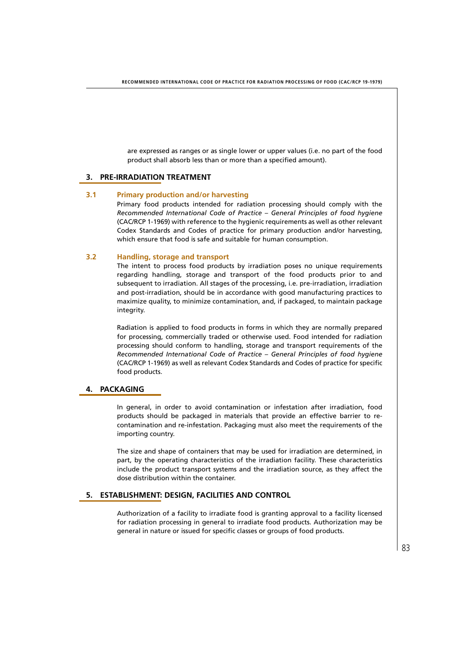are expressed as ranges or as single lower or upper values (i.e. no part of the food product shall absorb less than or more than a specified amount).

# **3. PRE-IRRADIATION TREATMENT**

# **3.1 Primary production and/or harvesting**

Primary food products intended for radiation processing should comply with the *Recommended International Code of Practice – General Principles of food hygiene*  (CAC/RCP 1-1969) with reference to the hygienic requirements as well as other relevant Codex Standards and Codes of practice for primary production and/or harvesting, which ensure that food is safe and suitable for human consumption.

# **3.2 Handling, storage and transport**

The intent to process food products by irradiation poses no unique requirements regarding handling, storage and transport of the food products prior to and subsequent to irradiation. All stages of the processing, i.e. pre-irradiation, irradiation and post-irradiation, should be in accordance with good manufacturing practices to maximize quality, to minimize contamination, and, if packaged, to maintain package integrity.

Radiation is applied to food products in forms in which they are normally prepared for processing, commercially traded or otherwise used. Food intended for radiation processing should conform to handling, storage and transport requirements of the *Recommended International Code of Practice – General Principles of food hygiene*  (CAC/RCP 1-1969) as well as relevant Codex Standards and Codes of practice for specific food products.

# **4. PACKAGING**

In general, in order to avoid contamination or infestation after irradiation, food products should be packaged in materials that provide an effective barrier to recontamination and re-infestation. Packaging must also meet the requirements of the importing country.

The size and shape of containers that may be used for irradiation are determined, in part, by the operating characteristics of the irradiation facility. These characteristics include the product transport systems and the irradiation source, as they affect the dose distribution within the container.

#### **5. ESTABLISHMENT: DESIGN, FACILITIES AND CONTROL**

Authorization of a facility to irradiate food is granting approval to a facility licensed for radiation processing in general to irradiate food products. Authorization may be general in nature or issued for specific classes or groups of food products.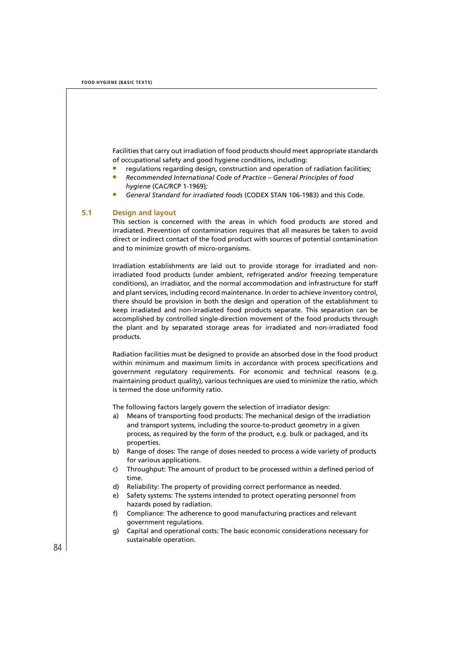Facilities that carry out irradiation of food products should meet appropriate standards of occupational safety and good hygiene conditions, including:

- t regulations regarding design, construction and operation of radiation facilities;
- t *Recommended International Code of Practice General Principles of food hygiene* (CAC/RCP 1-1969)*;*
- t *General Standard for irradiated foods* (CODEX STAN 106-1983) and this Code.

#### **5.1 Design and layout**

This section is concerned with the areas in which food products are stored and irradiated. Prevention of contamination requires that all measures be taken to avoid direct or indirect contact of the food product with sources of potential contamination and to minimize growth of micro-organisms.

Irradiation establishments are laid out to provide storage for irradiated and nonirradiated food products (under ambient, refrigerated and/or freezing temperature conditions), an irradiator, and the normal accommodation and infrastructure for staff and plant services, including record maintenance. In order to achieve inventory control, there should be provision in both the design and operation of the establishment to keep irradiated and non-irradiated food products separate. This separation can be accomplished by controlled single-direction movement of the food products through the plant and by separated storage areas for irradiated and non-irradiated food products.

Radiation facilities must be designed to provide an absorbed dose in the food product within minimum and maximum limits in accordance with process specifications and government regulatory requirements. For economic and technical reasons (e.g. maintaining product quality), various techniques are used to minimize the ratio, which is termed the dose uniformity ratio.

The following factors largely govern the selection of irradiator design:

- a) Means of transporting food products: The mechanical design of the irradiation and transport systems, including the source-to-product geometry in a given process, as required by the form of the product, e.g. bulk or packaged, and its properties.
- b) Range of doses: The range of doses needed to process a wide variety of products for various applications.
- c) Throughput: The amount of product to be processed within a defined period of time.
- d) Reliability: The property of providing correct performance as needed.
- e) Safety systems: The systems intended to protect operating personnel from hazards posed by radiation.
- f) Compliance: The adherence to good manufacturing practices and relevant government regulations.
- g) Capital and operational costs: The basic economic considerations necessary for sustainable operation.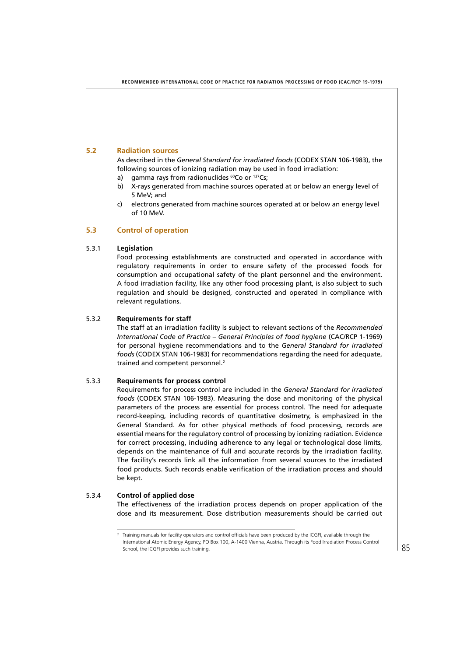# **5.2 Radiation sources**

 As described in the *General Standard for irradiated foods* (CODEX STAN 106-1983), the following sources of ionizing radiation may be used in food irradiation:

- a) gamma rays from radionuclides  $^{60}$ Co or  $^{137}$ Cs;
- b) X-rays generated from machine sources operated at or below an energy level of 5 MeV; and
- c) electrons generated from machine sources operated at or below an energy level of 10 MeV.

# **5.3 Control of operation**

# 5.3.1 **Legislation**

Food processing establishments are constructed and operated in accordance with regulatory requirements in order to ensure safety of the processed foods for consumption and occupational safety of the plant personnel and the environment. A food irradiation facility, like any other food processing plant, is also subject to such regulation and should be designed, constructed and operated in compliance with relevant regulations.

#### 5.3.2 **Requirements for staff**

The staff at an irradiation facility is subject to relevant sections of the *Recommended International Code of Practice – General Principles of food hygiene* (CAC/RCP 1-1969) for personal hygiene recommendations and to the *General Standard for irradiated foods* (CODEX STAN 106-1983) for recommendations regarding the need for adequate, trained and competent personnel.<sup>2</sup>

# 5.3.3 **Requirements for process control**

Requirements for process control are included in the *General Standard for irradiated foods* (CODEX STAN 106-1983). Measuring the dose and monitoring of the physical parameters of the process are essential for process control. The need for adequate record-keeping, including records of quantitative dosimetry, is emphasized in the General Standard. As for other physical methods of food processing, records are essential means for the regulatory control of processing by ionizing radiation. Evidence for correct processing, including adherence to any legal or technological dose limits, depends on the maintenance of full and accurate records by the irradiation facility. The facility's records link all the information from several sources to the irradiated food products. Such records enable verification of the irradiation process and should be kept.

# 5.3.4 **Control of applied dose**

The effectiveness of the irradiation process depends on proper application of the dose and its measurement. Dose distribution measurements should be carried out

<sup>&</sup>lt;sup>2</sup> Training manuals for facility operators and control officials have been produced by the ICGFI, available through the International Atomic Energy Agency, PO Box 100, A-1400 Vienna, Austria. Through its Food Irradiation Process Control School, the ICGFI provides such training.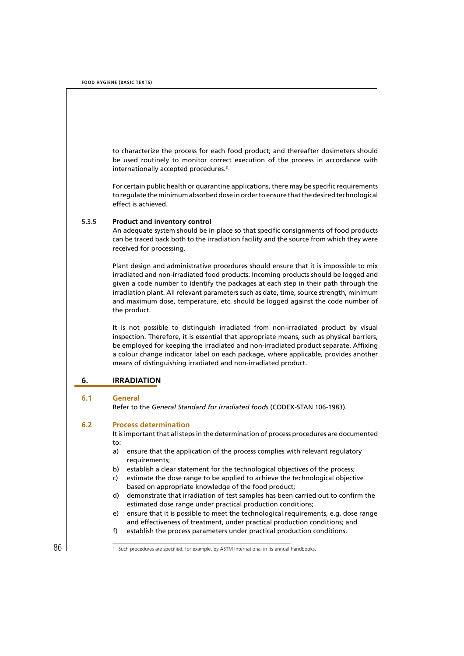to characterize the process for each food product; and thereafter dosimeters should be used routinely to monitor correct execution of the process in accordance with internationally accepted procedures.<sup>3</sup>

For certain public health or quarantine applications, there may be specific requirements to regulate the minimum absorbed dose in order to ensure that the desired technological effect is achieved.

# 5.3.5 **Product and inventory control**

An adequate system should be in place so that specific consignments of food products can be traced back both to the irradiation facility and the source from which they were received for processing.

Plant design and administrative procedures should ensure that it is impossible to mix irradiated and non-irradiated food products. Incoming products should be logged and given a code number to identify the packages at each step in their path through the irradiation plant. All relevant parameters such as date, time, source strength, minimum and maximum dose, temperature, etc. should be logged against the code number of the product.

It is not possible to distinguish irradiated from non-irradiated product by visual inspection. Therefore, it is essential that appropriate means, such as physical barriers, be employed for keeping the irradiated and non-irradiated product separate. Affixing a colour change indicator label on each package, where applicable, provides another means of distinguishing irradiated and non-irradiated product.

# **6. IRRADIATION**

#### **6.1 General**

Refer to the *General Standard for irradiated foods* (CODEX-STAN 106-1983).

# **6.2 Process determination**

 It is important that all steps in the determination of process procedures are documented to:

- a) ensure that the application of the process complies with relevant regulatory requirements;
- b) establish a clear statement for the technological objectives of the process;
- c) estimate the dose range to be applied to achieve the technological objective based on appropriate knowledge of the food product;
- d) demonstrate that irradiation of test samples has been carried out to confirm the estimated dose range under practical production conditions;
- e) ensure that it is possible to meet the technological requirements, e.g. dose range and effectiveness of treatment, under practical production conditions; and
- f) establish the process parameters under practical production conditions.

<sup>&</sup>lt;sup>3</sup> Such procedures are specified, for example, by ASTM International in its annual handbooks.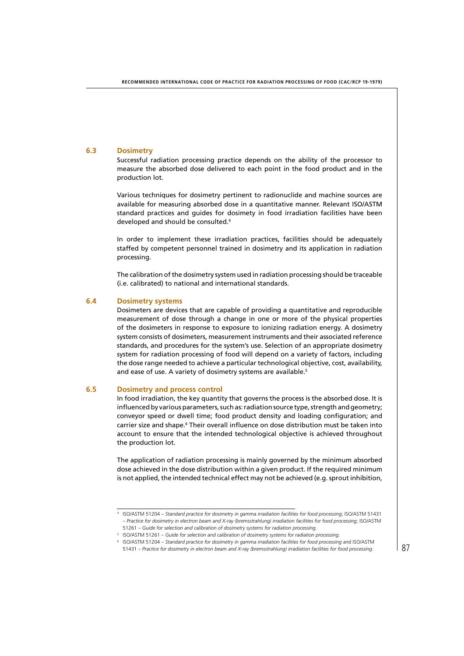# **6.3 Dosimetry**

Successful radiation processing practice depends on the ability of the processor to measure the absorbed dose delivered to each point in the food product and in the production lot.

Various techniques for dosimetry pertinent to radionuclide and machine sources are available for measuring absorbed dose in a quantitative manner. Relevant ISO/ASTM standard practices and guides for dosimety in food irradiation facilities have been developed and should be consulted.4

In order to implement these irradiation practices, facilities should be adequately staffed by competent personnel trained in dosimetry and its application in radiation processing.

The calibration of the dosimetry system used in radiation processing should be traceable (i.e. calibrated) to national and international standards.

#### **6.4 Dosimetry systems**

Dosimeters are devices that are capable of providing a quantitative and reproducible measurement of dose through a change in one or more of the physical properties of the dosimeters in response to exposure to ionizing radiation energy. A dosimetry system consists of dosimeters, measurement instruments and their associated reference standards, and procedures for the system's use. Selection of an appropriate dosimetry system for radiation processing of food will depend on a variety of factors, including the dose range needed to achieve a particular technological objective, cost, availability, and ease of use. A variety of dosimetry systems are available.<sup>5</sup>

# **6.5 Dosimetry and process control**

In food irradiation, the key quantity that governs the process is the absorbed dose. It is influenced by various parameters, such as: radiation source type, strength and geometry; conveyor speed or dwell time; food product density and loading configuration; and carrier size and shape.<sup>6</sup> Their overall influence on dose distribution must be taken into account to ensure that the intended technological objective is achieved throughout the production lot.

The application of radiation processing is mainly governed by the minimum absorbed dose achieved in the dose distribution within a given product. If the required minimum is not applied, the intended technical effect may not be achieved (e.g. sprout inhibition,

6 ISO/ASTM 51204 – *Standard practice for dosimetry in gamma irradiation facilities for food processing* and ISO/ASTM 51431 – *Practice for dosimetry in electron beam and X-ray (bremsstrahlung) irradiation facilities for food processing.*

<sup>4</sup> ISO/ASTM 51204 – *Standard practice for dosimetry in gamma irradiation facilities for food processing*; ISO/ASTM 51431 – *Practice for dosimetry in electron beam and X-ray (bremsstrahlung) irradiation facilities for food processing*; ISO/ASTM 51261 – *Guide for selection and calibration of dosimetry systems for radiation processing.*

<sup>5</sup> ISO/ASTM 51261 – *Guide for selection and calibration of dosimetry systems for radiation processing.*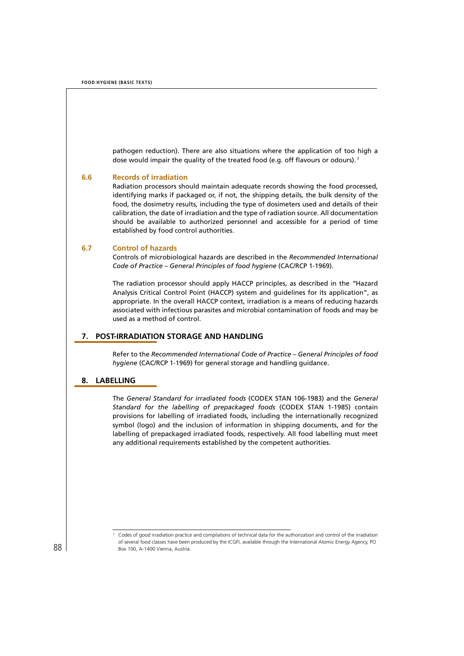pathogen reduction). There are also situations where the application of too high a dose would impair the quality of the treated food (e.g. off flavours or odours).<sup>7</sup>

# **6.6 Records of irradiation**

Radiation processors should maintain adequate records showing the food processed, identifying marks if packaged or, if not, the shipping details, the bulk density of the food, the dosimetry results, including the type of dosimeters used and details of their calibration, the date of irradiation and the type of radiation source. All documentation should be available to authorized personnel and accessible for a period of time established by food control authorities.

#### **6.7 Control of hazards**

Controls of microbiological hazards are described in the *Recommended International Code of Practice – General Principles of food hygiene* (CAC/RCP 1-1969).

The radiation processor should apply HACCP principles, as described in the *"*Hazard Analysis Critical Control Point (HACCP) system and guidelines for its application", as appropriate. In the overall HACCP context, irradiation is a means of reducing hazards associated with infectious parasites and microbial contamination of foods and may be used as a method of control.

# **7. POST-IRRADIATION STORAGE AND HANDLING**

Refer to the *Recommended International Code of Practice – General Principles of food hygiene* (CAC/RCP 1-1969) for general storage and handling guidance.

# **8. LABELLING**

The *General Standard for irradiated foods* (CODEX STAN 106-1983) and the *General Standard for the labelling of prepackaged foods* (CODEX STAN 1-1985) contain provisions for labelling of irradiated foods, including the internationally recognized symbol (logo) and the inclusion of information in shipping documents, and for the labelling of prepackaged irradiated foods, respectively. All food labelling must meet any additional requirements established by the competent authorities.

7 Codes of good irradiation practice and compilations of technical data for the authorization and control of the irradiation of several food classes have been produced by the ICGFI, available through the International Atomic Energy Agency, PO Box 100, A-1400 Vienna, Austria.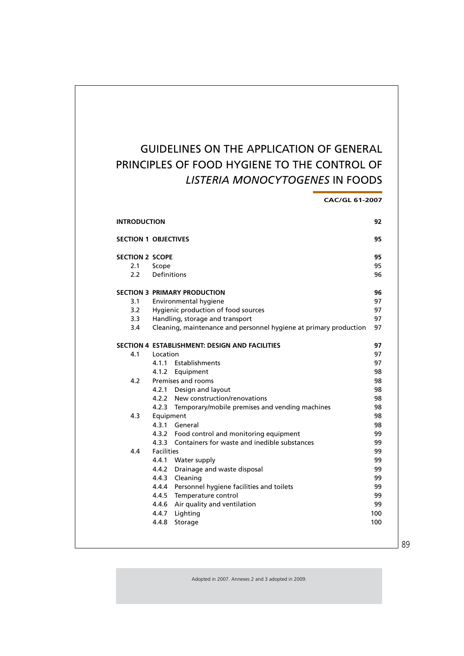# GUIDELINES ON THE APPLICATION OF GENERAL PRINCIPLES OF FOOD HYGIENE TO THE CONTROL OF *LISTERIA MONOCYTOGENES* IN FOODS

**CAC/GL 61-2007**

| <b>INTRODUCTION</b>         |                   |                                                                   | 92  |
|-----------------------------|-------------------|-------------------------------------------------------------------|-----|
| <b>SECTION 1 OBJECTIVES</b> |                   |                                                                   | 95  |
| <b>SECTION 2 SCOPE</b>      |                   |                                                                   | 95  |
| 2.1                         | Scope             |                                                                   | 95  |
| 2.2                         | Definitions       |                                                                   | 96  |
|                             |                   | <b>SECTION 3 PRIMARY PRODUCTION</b>                               | 96  |
| 3.1                         |                   | Environmental hygiene                                             | 97  |
| 3.2                         |                   | Hygienic production of food sources                               | 97  |
| 3.3                         |                   | Handling, storage and transport                                   | 97  |
| 3.4                         |                   | Cleaning, maintenance and personnel hygiene at primary production | 97  |
|                             |                   | SECTION 4 ESTABLISHMENT: DESIGN AND FACILITIES                    | 97  |
| 4.1                         | Location          |                                                                   | 97  |
|                             |                   | 4.1.1 Establishments                                              | 97  |
|                             |                   | 4.1.2 Equipment                                                   | 98  |
| 4.2                         |                   | Premises and rooms                                                | 98  |
|                             |                   | 4.2.1 Design and layout                                           | 98  |
|                             |                   | 4.2.2 New construction/renovations                                | 98  |
|                             |                   | 4.2.3 Temporary/mobile premises and vending machines              | 98  |
| 4.3                         | Equipment         |                                                                   | 98  |
|                             |                   | 4.3.1 General                                                     | 98  |
|                             |                   | 4.3.2 Food control and monitoring equipment                       | 99  |
|                             |                   | 4.3.3 Containers for waste and inedible substances                | 99  |
| 4.4                         | <b>Facilities</b> |                                                                   | 99  |
|                             |                   | 4.4.1 Water supply                                                | 99  |
|                             | 4.4.2             | Drainage and waste disposal                                       | 99  |
|                             | 4.4.3             | Cleaning                                                          | 99  |
|                             |                   | 4.4.4 Personnel hygiene facilities and toilets                    | 99  |
|                             | 4.4.5             | Temperature control                                               | 99  |
|                             | 4.4.6             | Air quality and ventilation                                       | 99  |
|                             |                   | 4.4.7 Lighting                                                    | 100 |
|                             | 4.4.8             | Storage                                                           | 100 |

89

Adopted in 2007. Annexes 2 and 3 adopted in 2009.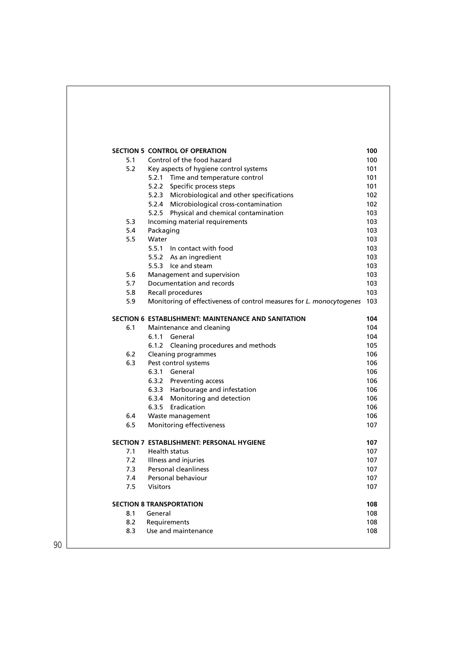|            |                                                   | <b>SECTION 5 CONTROL OF OPERATION</b>                                |  |
|------------|---------------------------------------------------|----------------------------------------------------------------------|--|
| 5.1        |                                                   | Control of the food hazard                                           |  |
| 5.2        |                                                   | Key aspects of hygiene control systems                               |  |
|            |                                                   | 5.2.1 Time and temperature control                                   |  |
|            |                                                   | 5.2.2 Specific process steps                                         |  |
|            |                                                   | 5.2.3 Microbiological and other specifications                       |  |
|            |                                                   | 5.2.4 Microbiological cross-contamination                            |  |
|            |                                                   | 5.2.5 Physical and chemical contamination                            |  |
| 5.3        |                                                   | Incoming material requirements                                       |  |
| 5.4        | Packaging                                         |                                                                      |  |
| 5.5        | Water                                             |                                                                      |  |
|            |                                                   | 5.5.1 In contact with food                                           |  |
|            |                                                   | 5.5.2 As an ingredient                                               |  |
|            |                                                   | 5.5.3 Ice and steam                                                  |  |
| 5.6        |                                                   | Management and supervision                                           |  |
| 5.7        |                                                   | Documentation and records                                            |  |
| 5.8        |                                                   | Recall procedures                                                    |  |
| 5.9        |                                                   | Monitoring of effectiveness of control measures for L. monocytogenes |  |
|            |                                                   | <b>SECTION 6 ESTABLISHMENT: MAINTENANCE AND SANITATION</b>           |  |
| 6.1        |                                                   | Maintenance and cleaning                                             |  |
|            |                                                   | 6.1.1 General                                                        |  |
|            |                                                   | 6.1.2 Cleaning procedures and methods                                |  |
| 6.2        |                                                   | Cleaning programmes                                                  |  |
| 6.3        |                                                   | Pest control systems                                                 |  |
|            |                                                   | 6.3.1 General                                                        |  |
|            |                                                   | 6.3.2 Preventing access                                              |  |
|            |                                                   | 6.3.3 Harbourage and infestation                                     |  |
|            |                                                   | 6.3.4 Monitoring and detection                                       |  |
|            |                                                   | 6.3.5 Eradication                                                    |  |
| 6.4<br>6.5 |                                                   | Waste management<br>Monitoring effectiveness                         |  |
|            |                                                   |                                                                      |  |
|            |                                                   | <b>SECTION 7 ESTABLISHMENT: PERSONAL HYGIENE</b>                     |  |
| 7.1        |                                                   | Health status                                                        |  |
| 7.2        |                                                   | Illness and injuries                                                 |  |
| 7.3        | <b>Personal cleanliness</b><br>Personal behaviour |                                                                      |  |
| 7.4        |                                                   |                                                                      |  |
| 7.5        | <b>Visitors</b>                                   |                                                                      |  |
|            |                                                   | <b>SECTION 8 TRANSPORTATION</b>                                      |  |
| 8.1        | General                                           |                                                                      |  |
| 8.2        |                                                   | Requirements                                                         |  |
| 8.3        |                                                   | Use and maintenance                                                  |  |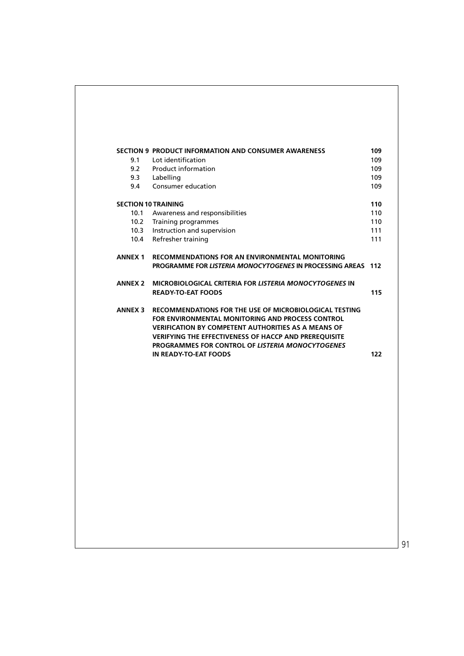| Lot identification<br>9.1<br>9.2<br><b>Product information</b><br>9.3 Labelling<br>9.4<br>Consumer education<br><b>SECTION 10 TRAINING</b><br>10.1 Awareness and responsibilities<br>10.2<br><b>Training programmes</b><br>10.3 Instruction and supervision<br>10.4<br>Refresher training<br><b>ANNEX 1</b><br><b>RECOMMENDATIONS FOR AN ENVIRONMENTAL MONITORING</b><br><b>MICROBIOLOGICAL CRITERIA FOR LISTERIA MONOCYTOGENES IN</b><br><b>ANNEX 2</b><br><b>READY-TO-EAT FOODS</b><br><b>ANNEX 3</b><br>FOR ENVIRONMENTAL MONITORING AND PROCESS CONTROL<br><b>VERIFICATION BY COMPETENT AUTHORITIES AS A MEANS OF</b><br>VERIFYING THE EFFECTIVENESS OF HACCP AND PREREQUISITE<br>PROGRAMMES FOR CONTROL OF LISTERIA MONOCYTOGENES<br><b>IN READY-TO-EAT FOODS</b> | <b>SECTION 9 PRODUCT INFORMATION AND CONSUMER AWARENESS</b>         |
|------------------------------------------------------------------------------------------------------------------------------------------------------------------------------------------------------------------------------------------------------------------------------------------------------------------------------------------------------------------------------------------------------------------------------------------------------------------------------------------------------------------------------------------------------------------------------------------------------------------------------------------------------------------------------------------------------------------------------------------------------------------------|---------------------------------------------------------------------|
|                                                                                                                                                                                                                                                                                                                                                                                                                                                                                                                                                                                                                                                                                                                                                                        |                                                                     |
|                                                                                                                                                                                                                                                                                                                                                                                                                                                                                                                                                                                                                                                                                                                                                                        |                                                                     |
|                                                                                                                                                                                                                                                                                                                                                                                                                                                                                                                                                                                                                                                                                                                                                                        |                                                                     |
|                                                                                                                                                                                                                                                                                                                                                                                                                                                                                                                                                                                                                                                                                                                                                                        |                                                                     |
|                                                                                                                                                                                                                                                                                                                                                                                                                                                                                                                                                                                                                                                                                                                                                                        |                                                                     |
|                                                                                                                                                                                                                                                                                                                                                                                                                                                                                                                                                                                                                                                                                                                                                                        |                                                                     |
|                                                                                                                                                                                                                                                                                                                                                                                                                                                                                                                                                                                                                                                                                                                                                                        |                                                                     |
|                                                                                                                                                                                                                                                                                                                                                                                                                                                                                                                                                                                                                                                                                                                                                                        |                                                                     |
|                                                                                                                                                                                                                                                                                                                                                                                                                                                                                                                                                                                                                                                                                                                                                                        |                                                                     |
|                                                                                                                                                                                                                                                                                                                                                                                                                                                                                                                                                                                                                                                                                                                                                                        | <b>PROGRAMME FOR LISTERIA MONOCYTOGENES IN PROCESSING AREAS 112</b> |
|                                                                                                                                                                                                                                                                                                                                                                                                                                                                                                                                                                                                                                                                                                                                                                        |                                                                     |
|                                                                                                                                                                                                                                                                                                                                                                                                                                                                                                                                                                                                                                                                                                                                                                        | RECOMMENDATIONS FOR THE USE OF MICROBIOLOGICAL TESTING              |
|                                                                                                                                                                                                                                                                                                                                                                                                                                                                                                                                                                                                                                                                                                                                                                        |                                                                     |
|                                                                                                                                                                                                                                                                                                                                                                                                                                                                                                                                                                                                                                                                                                                                                                        |                                                                     |
|                                                                                                                                                                                                                                                                                                                                                                                                                                                                                                                                                                                                                                                                                                                                                                        |                                                                     |
|                                                                                                                                                                                                                                                                                                                                                                                                                                                                                                                                                                                                                                                                                                                                                                        |                                                                     |
|                                                                                                                                                                                                                                                                                                                                                                                                                                                                                                                                                                                                                                                                                                                                                                        |                                                                     |
|                                                                                                                                                                                                                                                                                                                                                                                                                                                                                                                                                                                                                                                                                                                                                                        |                                                                     |
|                                                                                                                                                                                                                                                                                                                                                                                                                                                                                                                                                                                                                                                                                                                                                                        |                                                                     |
|                                                                                                                                                                                                                                                                                                                                                                                                                                                                                                                                                                                                                                                                                                                                                                        |                                                                     |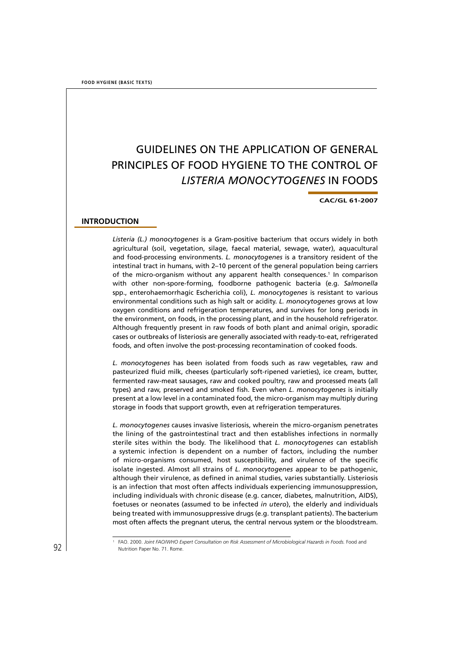# GUIDELINES ON THE APPLICATION OF GENERAL PRINCIPLES OF FOOD HYGIENE TO THE CONTROL OF *LISTERIA MONOCYTOGENES* IN FOODS

**CAC/GL 61-2007**

# **INTRODUCTION**

*Listeria (L.) monocytogenes* is a Gram-positive bacterium that occurs widely in both agricultural (soil, vegetation, silage, faecal material, sewage, water), aquacultural and food-processing environments. *L. monocytogenes* is a transitory resident of the intestinal tract in humans, with 2–10 percent of the general population being carriers of the micro-organism without any apparent health consequences.<sup>1</sup> In comparison with other non-spore-forming, foodborne pathogenic bacteria (e.g. *Salmonella*  spp., enterohaemorrhagic Escherichia coli), *L. monocytogenes* is resistant to various environmental conditions such as high salt or acidity. *L. monocytogenes* grows at low oxygen conditions and refrigeration temperatures, and survives for long periods in the environment, on foods, in the processing plant, and in the household refrigerator. Although frequently present in raw foods of both plant and animal origin, sporadic cases or outbreaks of listeriosis are generally associated with ready-to-eat, refrigerated foods, and often involve the post-processing recontamination of cooked foods.

*L. monocytogenes* has been isolated from foods such as raw vegetables, raw and pasteurized fluid milk, cheeses (particularly soft-ripened varieties), ice cream, butter, fermented raw-meat sausages, raw and cooked poultry, raw and processed meats (all types) and raw, preserved and smoked fish. Even when *L. monocytogenes* is initially present at a low level in a contaminated food, the micro-organism may multiply during storage in foods that support growth, even at refrigeration temperatures.

*L. monocytogenes* causes invasive listeriosis, wherein the micro-organism penetrates the lining of the gastrointestinal tract and then establishes infections in normally sterile sites within the body. The likelihood that *L. monocytogenes* can establish a systemic infection is dependent on a number of factors, including the number of micro-organisms consumed, host susceptibility, and virulence of the specific isolate ingested. Almost all strains of *L. monocytogenes* appear to be pathogenic, although their virulence, as defined in animal studies, varies substantially. Listeriosis is an infection that most often affects individuals experiencing immunosuppression, including individuals with chronic disease (e.g. cancer, diabetes, malnutrition, AIDS), foetuses or neonates (assumed to be infected *in utero*), the elderly and individuals being treated with immunosuppressive drugs (e.g. transplant patients). The bacterium most often affects the pregnant uterus, the central nervous system or the bloodstream.

<sup>&</sup>lt;sup>1</sup> FAO. 2000. Joint FAO/WHO Expert Consultation on Risk Assessment of Microbiological Hazards in Foods. Food and Nutrition Paper No. 71. Rome.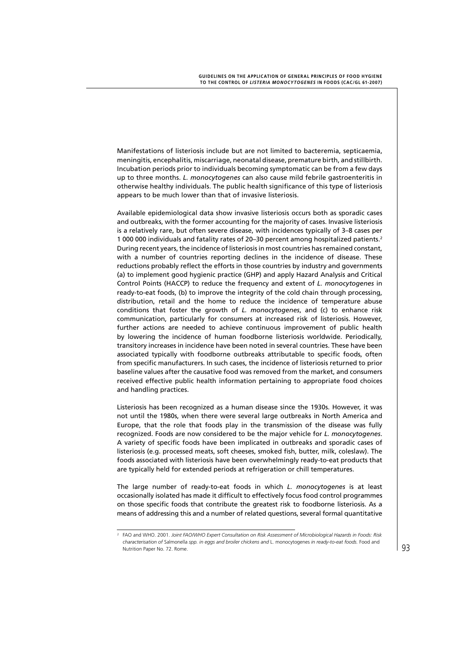Manifestations of listeriosis include but are not limited to bacteremia, septicaemia, meningitis, encephalitis, miscarriage, neonatal disease, premature birth, and stillbirth. Incubation periods prior to individuals becoming symptomatic can be from a few days up to three months. *L. monocytogenes* can also cause mild febrile gastroenteritis in otherwise healthy individuals. The public health significance of this type of listeriosis appears to be much lower than that of invasive listeriosis.

Available epidemiological data show invasive listeriosis occurs both as sporadic cases and outbreaks, with the former accounting for the majority of cases. Invasive listeriosis is a relatively rare, but often severe disease, with incidences typically of 3–8 cases per 1 000 000 individuals and fatality rates of 20–30 percent among hospitalized patients.2 During recent years, the incidence of listeriosis in most countries has remained constant, with a number of countries reporting declines in the incidence of disease. These reductions probably reflect the efforts in those countries by industry and governments (a) to implement good hygienic practice (GHP) and apply Hazard Analysis and Critical Control Points (HACCP) to reduce the frequency and extent of *L. monocytogenes* in ready-to-eat foods, (b) to improve the integrity of the cold chain through processing, distribution, retail and the home to reduce the incidence of temperature abuse conditions that foster the growth of *L. monocytogenes*, and (c) to enhance risk communication, particularly for consumers at increased risk of listeriosis. However, further actions are needed to achieve continuous improvement of public health by lowering the incidence of human foodborne listeriosis worldwide. Periodically, transitory increases in incidence have been noted in several countries. These have been associated typically with foodborne outbreaks attributable to specific foods, often from specific manufacturers. In such cases, the incidence of listeriosis returned to prior baseline values after the causative food was removed from the market, and consumers received effective public health information pertaining to appropriate food choices and handling practices.

Listeriosis has been recognized as a human disease since the 1930s. However, it was not until the 1980s, when there were several large outbreaks in North America and Europe, that the role that foods play in the transmission of the disease was fully recognized. Foods are now considered to be the major vehicle for *L. monocytogenes*. A variety of specific foods have been implicated in outbreaks and sporadic cases of listeriosis (e.g. processed meats, soft cheeses, smoked fish, butter, milk, coleslaw). The foods associated with listeriosis have been overwhelmingly ready-to-eat products that are typically held for extended periods at refrigeration or chill temperatures.

The large number of ready-to-eat foods in which *L. monocytogenes* is at least occasionally isolated has made it difficult to effectively focus food control programmes on those specific foods that contribute the greatest risk to foodborne listeriosis. As a means of addressing this and a number of related questions, several formal quantitative

<sup>2</sup> FAO and WHO. 2001. *Joint FAO/WHO Expert Consultation on Risk Assessment of Microbiological Hazards in Foods: Risk characterisation of* Salmonella *spp. in eggs and broiler chickens and* L. monocytogenes *in ready-to-eat foods.* Food and Nutrition Paper No. 72. Rome.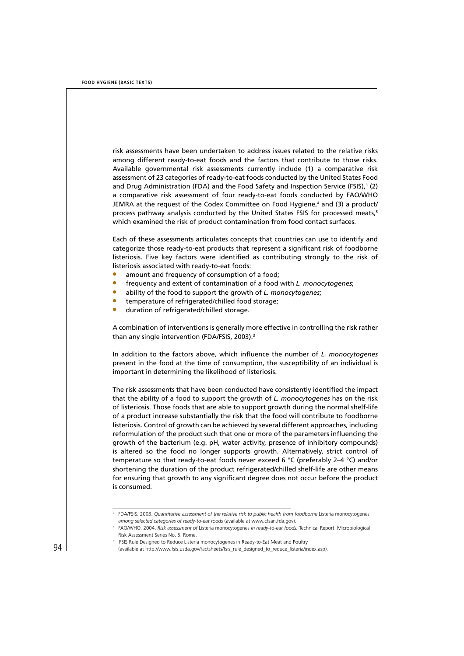risk assessments have been undertaken to address issues related to the relative risks among different ready-to-eat foods and the factors that contribute to those risks. Available governmental risk assessments currently include (1) a comparative risk assessment of 23 categories of ready-to-eat foods conducted by the United States Food and Drug Administration (FDA) and the Food Safety and Inspection Service (FSIS), $3$  (2) a comparative risk assessment of four ready-to-eat foods conducted by FAO/WHO JEMRA at the request of the Codex Committee on Food Hygiene,<sup>4</sup> and (3) a product/ process pathway analysis conducted by the United States FSIS for processed meats,<sup>5</sup> which examined the risk of product contamination from food contact surfaces.

Each of these assessments articulates concepts that countries can use to identify and categorize those ready-to-eat products that represent a significant risk of foodborne listeriosis. Five key factors were identified as contributing strongly to the risk of listeriosis associated with ready-to-eat foods:

- $\bullet$  amount and frequency of consumption of a food;
- frequency and extent of contamination of a food with *L. monocytogenes*;
- ability of the food to support the growth of *L. monocytogenes*;
- temperature of refrigerated/chilled food storage;
- duration of refrigerated/chilled storage.

A combination of interventions is generally more effective in controlling the risk rather than any single intervention (FDA/FSIS, 2003).<sup>3</sup>

In addition to the factors above, which influence the number of *L. monocytogenes* present in the food at the time of consumption, the susceptibility of an individual is important in determining the likelihood of listeriosis.

The risk assessments that have been conducted have consistently identified the impact that the ability of a food to support the growth of *L. monocytogenes* has on the risk of listeriosis. Those foods that are able to support growth during the normal shelf-life of a product increase substantially the risk that the food will contribute to foodborne listeriosis. Control of growth can be achieved by several different approaches, including reformulation of the product such that one or more of the parameters influencing the growth of the bacterium (e.g. pH, water activity, presence of inhibitory compounds) is altered so the food no longer supports growth. Alternatively, strict control of temperature so that ready-to-eat foods never exceed 6 °C (preferably 2–4 °C) and/or shortening the duration of the product refrigerated/chilled shelf-life are other means for ensuring that growth to any significant degree does not occur before the product is consumed.

- 5 FSIS Rule Designed to Reduce Listeria monocytogenes in Ready-to-Eat Meat and Poultry
- (available at http://www.fsis.usda.gov/factsheets/fsis\_rule\_designed\_to\_reduce\_listeria/index.asp).

<sup>&</sup>lt;sup>3</sup> FDA/FSIS. 2003. *Quantitative assessment of the relative risk to public health from foodborne Listeria monocytogenes among selected categories of ready-to-eat foods* (available at www.cfsan.fda.gov).

<sup>4</sup> FAO/WHO. 2004. *Risk assessment of* Listeria monocytogenes *in ready-to-eat foods.* Technical Report. Microbiological Risk Assessment Series No. 5. Rome.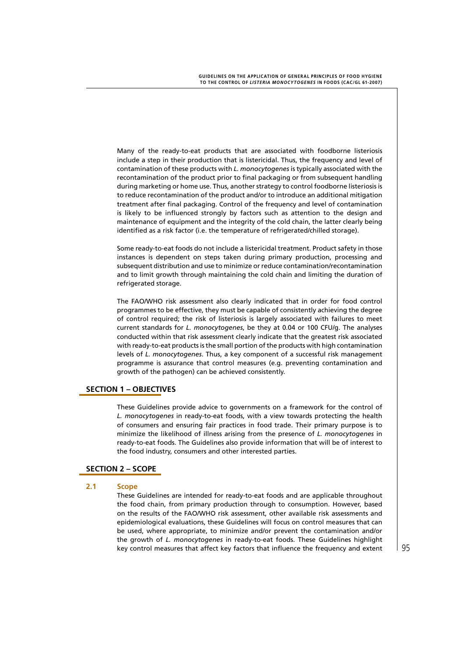Many of the ready-to-eat products that are associated with foodborne listeriosis include a step in their production that is listericidal. Thus, the frequency and level of contamination of these products with *L. monocytogenes* is typically associated with the recontamination of the product prior to final packaging or from subsequent handling during marketing or home use. Thus, another strategy to control foodborne listeriosis is to reduce recontamination of the product and/or to introduce an additional mitigation treatment after final packaging. Control of the frequency and level of contamination is likely to be influenced strongly by factors such as attention to the design and maintenance of equipment and the integrity of the cold chain, the latter clearly being identified as a risk factor (i.e. the temperature of refrigerated/chilled storage).

Some ready-to-eat foods do not include a listericidal treatment. Product safety in those instances is dependent on steps taken during primary production, processing and subsequent distribution and use to minimize or reduce contamination/recontamination and to limit growth through maintaining the cold chain and limiting the duration of refrigerated storage.

The FAO/WHO risk assessment also clearly indicated that in order for food control programmes to be effective, they must be capable of consistently achieving the degree of control required; the risk of listeriosis is largely associated with failures to meet current standards for *L. monocytogenes*, be they at 0.04 or 100 CFU/g. The analyses conducted within that risk assessment clearly indicate that the greatest risk associated with ready-to-eat products is the small portion of the products with high contamination levels of *L. monocytogenes*. Thus, a key component of a successful risk management programme is assurance that control measures (e.g. preventing contamination and growth of the pathogen) can be achieved consistently.

# **SECTION 1 – OBJECTIVES**

These Guidelines provide advice to governments on a framework for the control of *L. monocytogenes* in ready-to-eat foods, with a view towards protecting the health of consumers and ensuring fair practices in food trade. Their primary purpose is to minimize the likelihood of illness arising from the presence of *L. monocytogenes* in ready-to-eat foods. The Guidelines also provide information that will be of interest to the food industry, consumers and other interested parties.

# **SECTION 2 – SCOPE**

# **2.1 Scope**

These Guidelines are intended for ready-to-eat foods and are applicable throughout the food chain, from primary production through to consumption. However, based on the results of the FAO/WHO risk assessment, other available risk assessments and epidemiological evaluations, these Guidelines will focus on control measures that can be used, where appropriate, to minimize and/or prevent the contamination and/or the growth of *L. monocytogenes* in ready-to-eat foods. These Guidelines highlight key control measures that affect key factors that influence the frequency and extent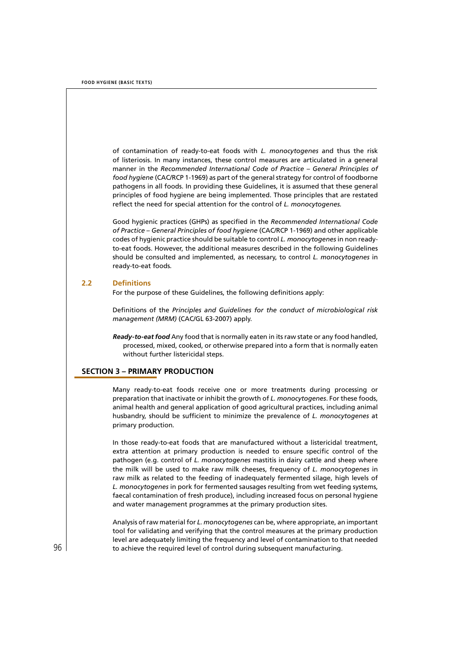of contamination of ready-to-eat foods with *L. monocytogenes* and thus the risk of listeriosis. In many instances, these control measures are articulated in a general manner in the *Recommended International Code of Practice – General Principles of food hygiene* (CAC/RCP 1-1969) as part of the general strategy for control of foodborne pathogens in all foods. In providing these Guidelines, it is assumed that these general principles of food hygiene are being implemented. Those principles that are restated reflect the need for special attention for the control of *L. monocytogenes.*

Good hygienic practices (GHPs) as specified in the *Recommended International Code of Practice – General Principles of food hygiene* (CAC/RCP 1-1969) and other applicable codes of hygienic practice should be suitable to control *L. monocytogenes* in non readyto-eat foods. However, the additional measures described in the following Guidelines should be consulted and implemented, as necessary, to control *L. monocytogenes* in ready-to-eat foods*.*

#### **2.2 Definitions**

For the purpose of these Guidelines, the following definitions apply:

Definitions of the *Principles and Guidelines for the conduct of microbiological risk management (MRM)* (CAC/GL 63-2007) apply.

*Ready-to-eat food* Any food that is normally eaten in its raw state or any food handled, processed, mixed, cooked, or otherwise prepared into a form that is normally eaten without further listericidal steps.

# **SECTION 3 – PRIMARY PRODUCTION**

Many ready-to-eat foods receive one or more treatments during processing or preparation that inactivate or inhibit the growth of *L. monocytogenes*. For these foods, animal health and general application of good agricultural practices, including animal husbandry, should be sufficient to minimize the prevalence of *L. monocytogenes* at primary production*.*

In those ready-to-eat foods that are manufactured without a listericidal treatment, extra attention at primary production is needed to ensure specific control of the pathogen (e.g. control of *L. monocytogenes* mastitis in dairy cattle and sheep where the milk will be used to make raw milk cheeses, frequency of *L. monocytogenes* in raw milk as related to the feeding of inadequately fermented silage, high levels of *L. monocytogenes* in pork for fermented sausages resulting from wet feeding systems, faecal contamination of fresh produce), including increased focus on personal hygiene and water management programmes at the primary production sites.

Analysis of raw material for *L. monocytogenes* can be, where appropriate, an important tool for validating and verifying that the control measures at the primary production level are adequately limiting the frequency and level of contamination to that needed to achieve the required level of control during subsequent manufacturing.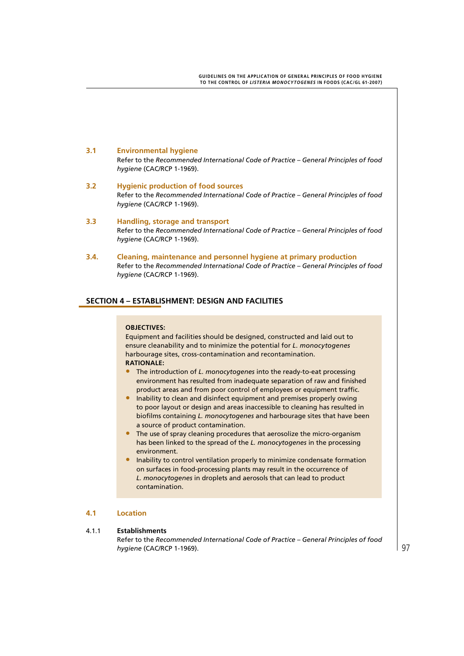# **3.1 Environmental hygiene**

Refer to the *Recommended International Code of Practice – General Principles of food hygiene* (CAC/RCP 1-1969).

# **3.2 Hygienic production of food sources** Refer to the *Recommended International Code of Practice – General Principles of food hygiene* (CAC/RCP 1-1969).

# **3.3 Handling, storage and transport** Refer to the *Recommended International Code of Practice – General Principles of food hygiene* (CAC/RCP 1-1969).

# **3.4. Cleaning, maintenance and personnel hygiene at primary production** Refer to the *Recommended International Code of Practice – General Principles of food hygiene* (CAC/RCP 1-1969).

# **SECTION 4 – ESTABLISHMENT: DESIGN AND FACILITIES**

# **OBJECTIVES:**

Equipment and facilities should be designed, constructed and laid out to ensure cleanability and to minimize the potential for *L. monocytogenes* harbourage sites, cross-contamination and recontamination. **RATIONALE:**

- t The introduction of *L. monocytogenes* into the ready-to-eat processing environment has resulted from inadequate separation of raw and finished product areas and from poor control of employees or equipment traffic.
- Inability to clean and disinfect equipment and premises properly owing to poor layout or design and areas inaccessible to cleaning has resulted in biofilms containing *L. monocytogenes* and harbourage sites that have been a source of product contamination.
- The use of spray cleaning procedures that aerosolize the micro-organism has been linked to the spread of the *L. monocytogenes* in the processing environment.
- Inability to control ventilation properly to minimize condensate formation on surfaces in food-processing plants may result in the occurrence of *L. monocytogenes* in droplets and aerosols that can lead to product contamination.

# **4.1 Location**

# 4.1.1 **Establishments**

Refer to the *Recommended International Code of Practice – General Principles of food hygiene* (CAC/RCP 1-1969).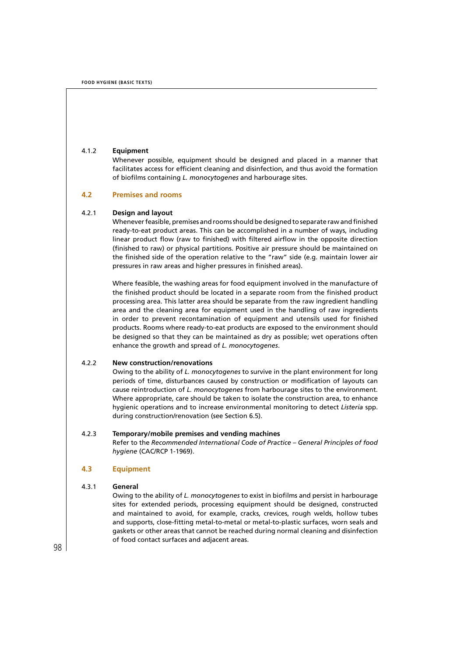# 4.1.2 **Equipment**

Whenever possible, equipment should be designed and placed in a manner that facilitates access for efficient cleaning and disinfection, and thus avoid the formation of biofilms containing *L. monocytogenes* and harbourage sites.

#### **4.2 Premises and rooms**

#### 4.2.1 **Design and layout**

Whenever feasible, premises and rooms should be designed to separate raw and finished ready-to-eat product areas. This can be accomplished in a number of ways, including linear product flow (raw to finished) with filtered airflow in the opposite direction (finished to raw) or physical partitions. Positive air pressure should be maintained on the finished side of the operation relative to the "raw" side (e.g. maintain lower air pressures in raw areas and higher pressures in finished areas).

Where feasible, the washing areas for food equipment involved in the manufacture of the finished product should be located in a separate room from the finished product processing area. This latter area should be separate from the raw ingredient handling area and the cleaning area for equipment used in the handling of raw ingredients in order to prevent recontamination of equipment and utensils used for finished products. Rooms where ready-to-eat products are exposed to the environment should be designed so that they can be maintained as dry as possible; wet operations often enhance the growth and spread of *L. monocytogenes*.

#### 4.2.2 **New construction/renovations**

Owing to the ability of *L. monocytogenes* to survive in the plant environment for long periods of time, disturbances caused by construction or modification of layouts can cause reintroduction of *L. monocytogenes* from harbourage sites to the environment. Where appropriate, care should be taken to isolate the construction area, to enhance hygienic operations and to increase environmental monitoring to detect *Listeria* spp. during construction/renovation (see Section 6.5).

## 4.2.3 **Temporary/mobile premises and vending machines**

Refer to the *Recommended International Code of Practice – General Principles of food hygiene* (CAC/RCP 1-1969).

# **4.3 Equipment**

#### 4.3.1 **General**

Owing to the ability of *L. monocytogenes* to exist in biofilms and persist in harbourage sites for extended periods, processing equipment should be designed, constructed and maintained to avoid, for example, cracks, crevices, rough welds, hollow tubes and supports, close-fitting metal-to-metal or metal-to-plastic surfaces, worn seals and gaskets or other areas that cannot be reached during normal cleaning and disinfection of food contact surfaces and adjacent areas.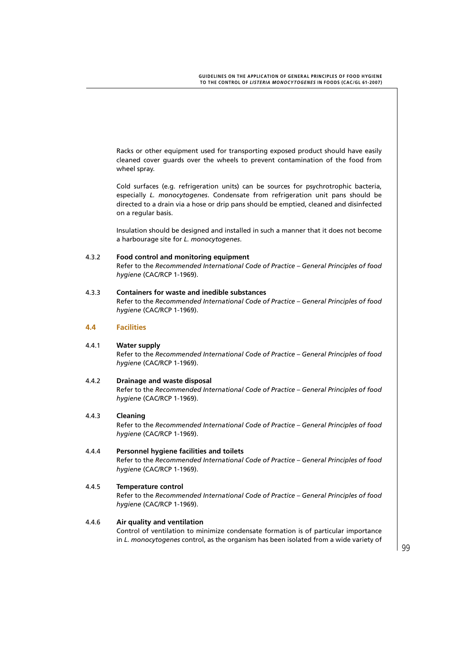Racks or other equipment used for transporting exposed product should have easily cleaned cover guards over the wheels to prevent contamination of the food from wheel spray.

Cold surfaces (e.g. refrigeration units) can be sources for psychrotrophic bacteria, especially *L. monocytogenes*. Condensate from refrigeration unit pans should be directed to a drain via a hose or drip pans should be emptied, cleaned and disinfected on a regular basis.

Insulation should be designed and installed in such a manner that it does not become a harbourage site for *L. monocytogenes*.

# 4.3.2 **Food control and monitoring equipment**

Refer to the *Recommended International Code of Practice – General Principles of food hygiene* (CAC/RCP 1-1969).

# 4.3.3 **Containers for waste and inedible substances**

Refer to the *Recommended International Code of Practice – General Principles of food hygiene* (CAC/RCP 1-1969).

# **4.4 Facilities**

# 4.4.1 **Water supply**

Refer to the *Recommended International Code of Practice – General Principles of food hygiene* (CAC/RCP 1-1969).

# 4.4.2 **Drainage and waste disposal**

Refer to the *Recommended International Code of Practice – General Principles of food hygiene* (CAC/RCP 1-1969).

# 4.4.3 **Cleaning**

Refer to the *Recommended International Code of Practice – General Principles of food hygiene* (CAC/RCP 1-1969).

# 4.4.4 **Personnel hygiene facilities and toilets** Refer to the *Recommended International Code of Practice – General Principles of food hygiene* (CAC/RCP 1-1969).

# 4.4.5 **Temperature control**

Refer to the *Recommended International Code of Practice – General Principles of food hygiene* (CAC/RCP 1-1969).

# 4.4.6 **Air quality and ventilation**

Control of ventilation to minimize condensate formation is of particular importance in *L. monocytogenes* control, as the organism has been isolated from a wide variety of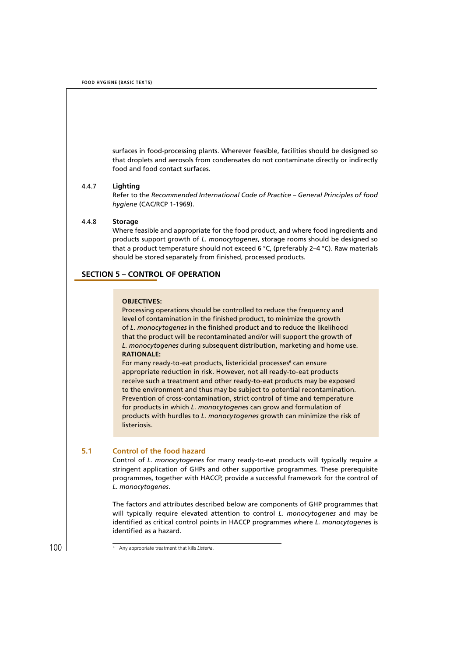surfaces in food-processing plants. Wherever feasible, facilities should be designed so that droplets and aerosols from condensates do not contaminate directly or indirectly food and food contact surfaces.

# 4.4.7 **Lighting**

Refer to the *Recommended International Code of Practice – General Principles of food hygiene* (CAC/RCP 1-1969).

#### 4.4.8 **Storage**

Where feasible and appropriate for the food product, and where food ingredients and products support growth of *L. monocytogenes*, storage rooms should be designed so that a product temperature should not exceed 6 °C, (preferably 2–4 °C). Raw materials should be stored separately from finished, processed products.

# **SECTION 5 – CONTROL OF OPERATION**

#### **OBJECTIVES:**

Processing operations should be controlled to reduce the frequency and level of contamination in the finished product, to minimize the growth of *L. monocytogenes* in the finished product and to reduce the likelihood that the product will be recontaminated and/or will support the growth of *L. monocytogenes* during subsequent distribution, marketing and home use. **RATIONALE:**

For many ready-to-eat products, listericidal processes<sup>6</sup> can ensure appropriate reduction in risk. However, not all ready-to-eat products receive such a treatment and other ready-to-eat products may be exposed to the environment and thus may be subject to potential recontamination. Prevention of cross-contamination, strict control of time and temperature for products in which *L. monocytogenes* can grow and formulation of products with hurdles to *L. monocytogenes* growth can minimize the risk of listeriosis.

# **5.1 Control of the food hazard**

Control of *L. monocytogenes* for many ready-to-eat products will typically require a stringent application of GHPs and other supportive programmes. These prerequisite programmes, together with HACCP, provide a successful framework for the control of *L. monocytogenes*.

The factors and attributes described below are components of GHP programmes that will typically require elevated attention to control *L. monocytogenes* and may be identified as critical control points in HACCP programmes where *L. monocytogenes* is identified as a hazard.

6 Any appropriate treatment that kills *Listeria*.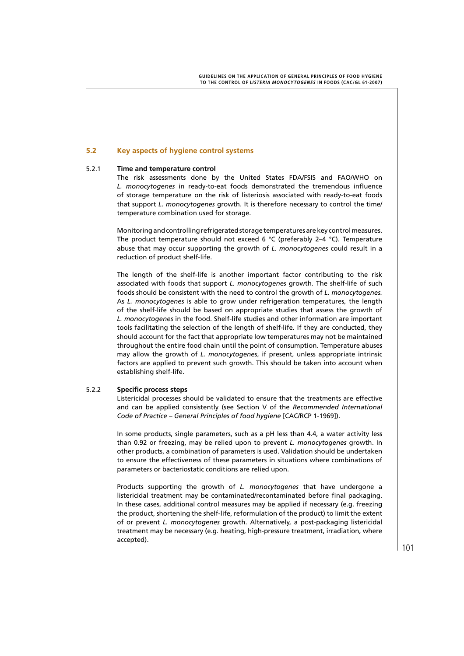#### **5.2 Key aspects of hygiene control systems**

#### 5.2.1 **Time and temperature control**

The risk assessments done by the United States FDA/FSIS and FAO/WHO on *L. monocytogenes* in ready-to-eat foods demonstrated the tremendous influence of storage temperature on the risk of listeriosis associated with ready-to-eat foods that support *L. monocytogenes* growth. It is therefore necessary to control the time/ temperature combination used for storage.

Monitoring and controlling refrigerated storage temperatures are key control measures. The product temperature should not exceed 6 °C (preferably 2–4 °C). Temperature abuse that may occur supporting the growth of *L. monocytogenes* could result in a reduction of product shelf-life.

The length of the shelf-life is another important factor contributing to the risk associated with foods that support *L. monocytogenes* growth. The shelf-life of such foods should be consistent with the need to control the growth of *L. monocytogenes.* As *L. monocytogenes* is able to grow under refrigeration temperatures, the length of the shelf-life should be based on appropriate studies that assess the growth of *L. monocytogenes* in the food. Shelf-life studies and other information are important tools facilitating the selection of the length of shelf-life. If they are conducted, they should account for the fact that appropriate low temperatures may not be maintained throughout the entire food chain until the point of consumption. Temperature abuses may allow the growth of *L. monocytogenes*, if present, unless appropriate intrinsic factors are applied to prevent such growth. This should be taken into account when establishing shelf-life.

#### 5.2.2 **Specific process steps**

Listericidal processes should be validated to ensure that the treatments are effective and can be applied consistently (see Section V of the *Recommended International Code of Practice – General Principles of food hygiene* [CAC/RCP 1-1969]).

In some products, single parameters, such as a pH less than 4.4, a water activity less than 0.92 or freezing, may be relied upon to prevent *L. monocytogenes* growth. In other products, a combination of parameters is used. Validation should be undertaken to ensure the effectiveness of these parameters in situations where combinations of parameters or bacteriostatic conditions are relied upon.

Products supporting the growth of *L. monocytogenes* that have undergone a listericidal treatment may be contaminated/recontaminated before final packaging. In these cases, additional control measures may be applied if necessary (e.g. freezing the product, shortening the shelf-life, reformulation of the product) to limit the extent of or prevent *L. monocytogenes* growth. Alternatively, a post-packaging listericidal treatment may be necessary (e.g. heating, high-pressure treatment, irradiation, where accepted).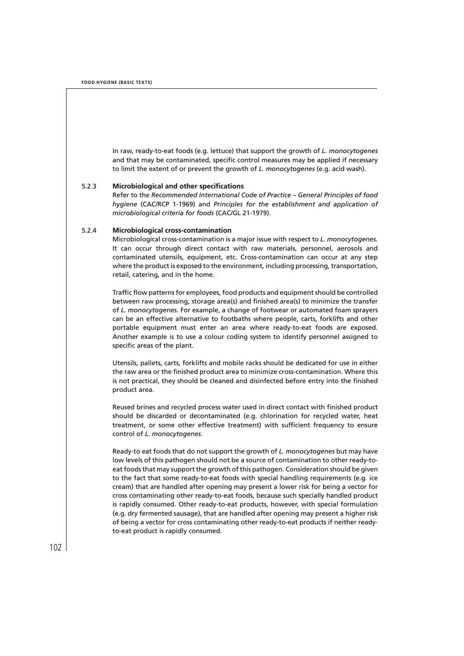In raw, ready-to-eat foods (e.g. lettuce) that support the growth of *L. monocytogenes* and that may be contaminated, specific control measures may be applied if necessary to limit the extent of or prevent the growth of *L. monocytogenes* (e.g. acid wash).

#### 5.2.3 **Microbiological and other specifications**

Refer to the *Recommended International Code of Practice – General Principles of food hygiene* (CAC/RCP 1-1969) and *Principles for the establishment and application of microbiological criteria for foods* (CAC/GL 21-1979).

### 5.2.4 **Microbiological cross-contamination**

Microbiological cross-contamination is a major issue with respect to *L. monocytogenes.* It can occur through direct contact with raw materials, personnel, aerosols and contaminated utensils, equipment, etc. Cross-contamination can occur at any step where the product is exposed to the environment, including processing, transportation, retail, catering, and in the home.

Traffic flow patterns for employees, food products and equipment should be controlled between raw processing, storage area(s) and finished area(s) to minimize the transfer of *L. monocytogenes*. For example, a change of footwear or automated foam sprayers can be an effective alternative to footbaths where people, carts, forklifts and other portable equipment must enter an area where ready-to-eat foods are exposed. Another example is to use a colour coding system to identify personnel assigned to specific areas of the plant.

Utensils, pallets, carts, forklifts and mobile racks should be dedicated for use in either the raw area or the finished product area to minimize cross-contamination. Where this is not practical, they should be cleaned and disinfected before entry into the finished product area.

Reused brines and recycled process water used in direct contact with finished product should be discarded or decontaminated (e.g. chlorination for recycled water, heat treatment, or some other effective treatment) with sufficient frequency to ensure control of *L. monocytogenes*.

Ready-to eat foods that do not support the growth of *L. monocytogenes* but may have low levels of this pathogen should not be a source of contamination to other ready-toeat foods that may support the growth of this pathogen. Consideration should be given to the fact that some ready-to-eat foods with special handling requirements (e.g. ice cream) that are handled after opening may present a lower risk for being a vector for cross contaminating other ready-to-eat foods, because such specially handled product is rapidly consumed. Other ready-to-eat products, however, with special formulation (e.g. dry fermented sausage), that are handled after opening may present a higher risk of being a vector for cross contaminating other ready-to-eat products if neither readyto-eat product is rapidly consumed.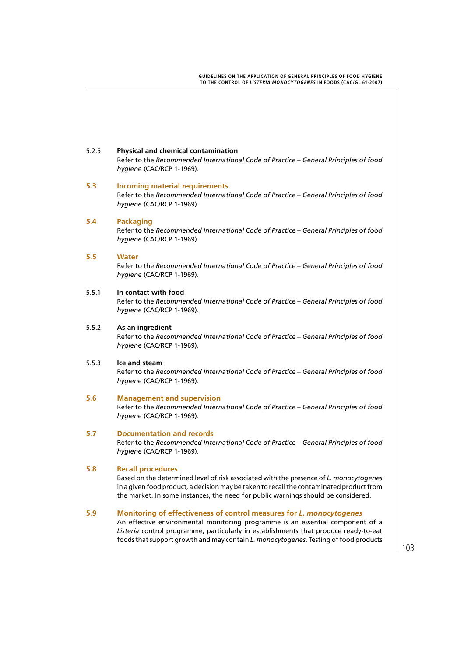## 5.2.5 **Physical and chemical contamination**

Refer to the *Recommended International Code of Practice – General Principles of food hygiene* (CAC/RCP 1-1969).

#### **5.3 Incoming material requirements**

Refer to the *Recommended International Code of Practice – General Principles of food hygiene* (CAC/RCP 1-1969).

#### **5.4 Packaging**

Refer to the *Recommended International Code of Practice – General Principles of food hygiene* (CAC/RCP 1-1969).

#### **5.5 Water**

Refer to the *Recommended International Code of Practice – General Principles of food hygiene* (CAC/RCP 1-1969).

#### 5.5.1 **In contact with food**

Refer to the *Recommended International Code of Practice – General Principles of food hygiene* (CAC/RCP 1-1969).

#### 5.5.2 **As an ingredient**

Refer to the *Recommended International Code of Practice – General Principles of food hygiene* (CAC/RCP 1-1969).

#### 5.5.3 **Ice and steam**

Refer to the *Recommended International Code of Practice – General Principles of food hygiene* (CAC/RCP 1-1969).

#### **5.6 Management and supervision**

Refer to the *Recommended International Code of Practice – General Principles of food hygiene* (CAC/RCP 1-1969).

#### **5.7 Documentation and records**

Refer to the *Recommended International Code of Practice – General Principles of food hygiene* (CAC/RCP 1-1969).

#### **5.8 Recall procedures**

Based on the determined level of risk associated with the presence of *L. monocytogenes* in a given food product, a decision may be taken to recall the contaminated product from the market. In some instances, the need for public warnings should be considered.

#### **5.9 Monitoring of effectiveness of control measures for** *L. monocytogenes*

An effective environmental monitoring programme is an essential component of a *Listeria* control programme, particularly in establishments that produce ready-to-eat foods that support growth and may contain *L. monocytogenes*. Testing of food products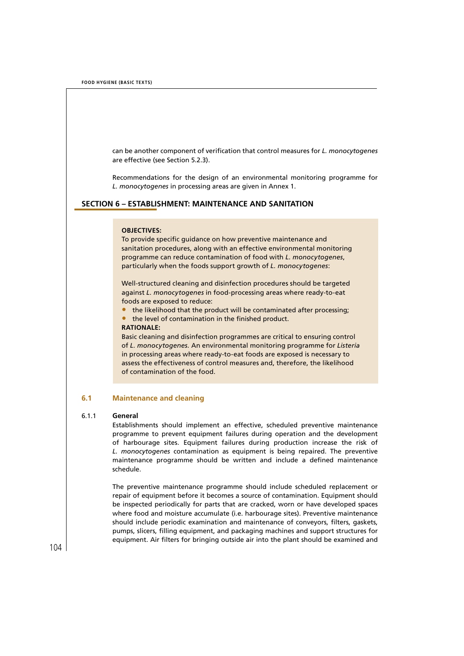can be another component of verification that control measures for *L. monocytogenes* are effective (see Section 5.2.3).

Recommendations for the design of an environmental monitoring programme for *L. monocytogenes* in processing areas are given in Annex 1.

#### **SECTION 6 – ESTABLISHMENT: MAINTENANCE AND SANITATION**

#### **OBJECTIVES:**

To provide specific guidance on how preventive maintenance and sanitation procedures, along with an effective environmental monitoring programme can reduce contamination of food with *L. monocytogenes*, particularly when the foods support growth of *L. monocytogenes*:

Well-structured cleaning and disinfection procedures should be targeted against *L. monocytogenes* in food-processing areas where ready-to-eat foods are exposed to reduce:

- the likelihood that the product will be contaminated after processing;
- the level of contamination in the finished product.
- **RATIONALE:**

Basic cleaning and disinfection programmes are critical to ensuring control of *L. monocytogenes.* An environmental monitoring programme for *Listeria*  in processing areas where ready-to-eat foods are exposed is necessary to assess the effectiveness of control measures and, therefore, the likelihood of contamination of the food.

#### **6.1 Maintenance and cleaning**

#### 6.1.1 **General**

Establishments should implement an effective, scheduled preventive maintenance programme to prevent equipment failures during operation and the development of harbourage sites. Equipment failures during production increase the risk of *L. monocytogenes* contamination as equipment is being repaired. The preventive maintenance programme should be written and include a defined maintenance schedule.

The preventive maintenance programme should include scheduled replacement or repair of equipment before it becomes a source of contamination. Equipment should be inspected periodically for parts that are cracked, worn or have developed spaces where food and moisture accumulate (i.e. harbourage sites). Preventive maintenance should include periodic examination and maintenance of conveyors, filters, gaskets, pumps, slicers, filling equipment, and packaging machines and support structures for equipment. Air filters for bringing outside air into the plant should be examined and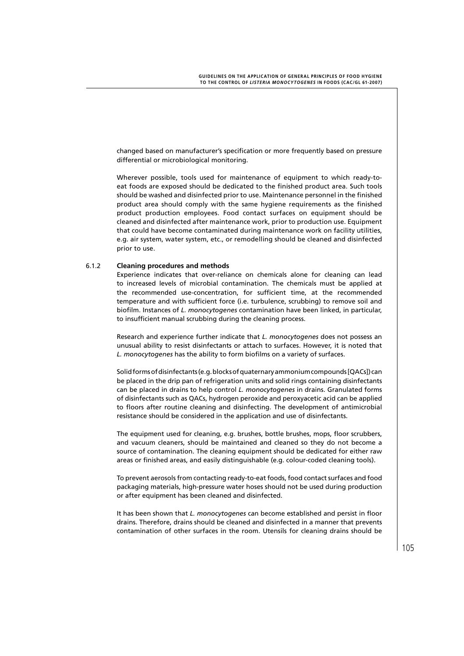changed based on manufacturer's specification or more frequently based on pressure differential or microbiological monitoring.

Wherever possible, tools used for maintenance of equipment to which ready-toeat foods are exposed should be dedicated to the finished product area. Such tools should be washed and disinfected prior to use. Maintenance personnel in the finished product area should comply with the same hygiene requirements as the finished product production employees. Food contact surfaces on equipment should be cleaned and disinfected after maintenance work, prior to production use. Equipment that could have become contaminated during maintenance work on facility utilities, e.g. air system, water system, etc., or remodelling should be cleaned and disinfected prior to use.

#### 6.1.2 **Cleaning procedures and methods**

Experience indicates that over-reliance on chemicals alone for cleaning can lead to increased levels of microbial contamination. The chemicals must be applied at the recommended use-concentration, for sufficient time, at the recommended temperature and with sufficient force (i.e. turbulence, scrubbing) to remove soil and biofilm. Instances of *L. monocytogenes* contamination have been linked, in particular, to insufficient manual scrubbing during the cleaning process.

Research and experience further indicate that *L. monocytogenes* does not possess an unusual ability to resist disinfectants or attach to surfaces. However, it is noted that *L. monocytogenes* has the ability to form biofilms on a variety of surfaces.

Solid forms of disinfectants (e.g. blocks of quaternary ammonium compounds [QACs]) can be placed in the drip pan of refrigeration units and solid rings containing disinfectants can be placed in drains to help control *L. monocytogenes* in drains. Granulated forms of disinfectants such as QACs, hydrogen peroxide and peroxyacetic acid can be applied to floors after routine cleaning and disinfecting. The development of antimicrobial resistance should be considered in the application and use of disinfectants.

The equipment used for cleaning, e.g. brushes, bottle brushes, mops, floor scrubbers, and vacuum cleaners, should be maintained and cleaned so they do not become a source of contamination. The cleaning equipment should be dedicated for either raw areas or finished areas, and easily distinguishable (e.g. colour-coded cleaning tools).

To prevent aerosols from contacting ready-to-eat foods, food contact surfaces and food packaging materials, high-pressure water hoses should not be used during production or after equipment has been cleaned and disinfected.

It has been shown that *L. monocytogenes* can become established and persist in floor drains. Therefore, drains should be cleaned and disinfected in a manner that prevents contamination of other surfaces in the room. Utensils for cleaning drains should be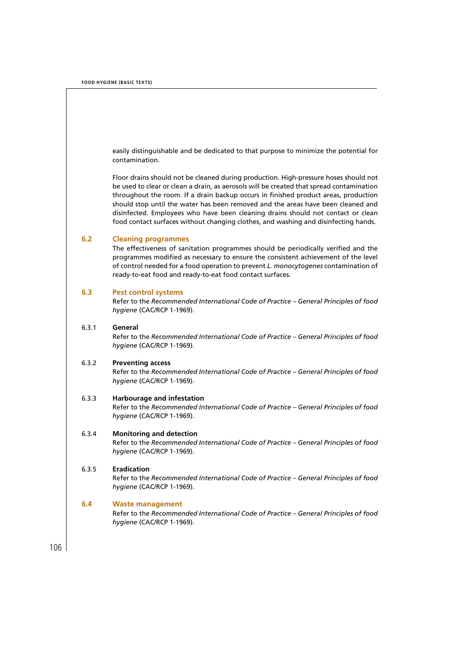easily distinguishable and be dedicated to that purpose to minimize the potential for contamination.

Floor drains should not be cleaned during production. High-pressure hoses should not be used to clear or clean a drain, as aerosols will be created that spread contamination throughout the room. If a drain backup occurs in finished product areas, production should stop until the water has been removed and the areas have been cleaned and disinfected. Employees who have been cleaning drains should not contact or clean food contact surfaces without changing clothes, and washing and disinfecting hands.

#### **6.2 Cleaning programmes**

The effectiveness of sanitation programmes should be periodically verified and the programmes modified as necessary to ensure the consistent achievement of the level of control needed for a food operation to prevent *L. monocytogenes* contamination of ready-to-eat food and ready-to-eat food contact surfaces.

#### **6.3 Pest control systems**

Refer to the *Recommended International Code of Practice – General Principles of food hygiene* (CAC/RCP 1-1969).

#### 6.3.1 **General**

Refer to the *Recommended International Code of Practice – General Principles of food hygiene* (CAC/RCP 1-1969).

#### 6.3.2 **Preventing access**

Refer to the *Recommended International Code of Practice – General Principles of food hygiene* (CAC/RCP 1-1969).

#### 6.3.3 **Harbourage and infestation**

Refer to the *Recommended International Code of Practice – General Principles of food hygiene* (CAC/RCP 1-1969).

#### 6.3.4 **Monitoring and detection**

Refer to the *Recommended International Code of Practice – General Principles of food hygiene* (CAC/RCP 1-1969).

#### 6.3.5 **Eradication**

Refer to the *Recommended International Code of Practice – General Principles of food hygiene* (CAC/RCP 1-1969).

#### **6.4 Waste management**

Refer to the *Recommended International Code of Practice – General Principles of food hygiene* (CAC/RCP 1-1969).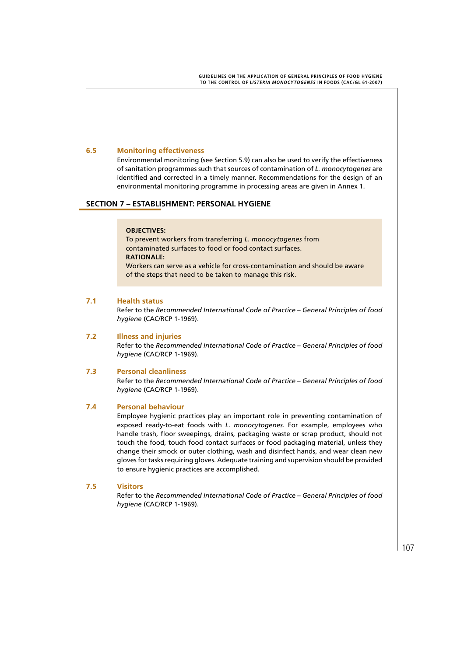#### **6.5 Monitoring effectiveness**

Environmental monitoring (see Section 5.9) can also be used to verify the effectiveness of sanitation programmes such that sources of contamination of *L. monocytogenes* are identified and corrected in a timely manner. Recommendations for the design of an environmental monitoring programme in processing areas are given in Annex 1.

#### **SECTION 7 – ESTABLISHMENT: PERSONAL HYGIENE**

#### **OBJECTIVES:**

To prevent workers from transferring *L. monocytogenes* from contaminated surfaces to food or food contact surfaces. **RATIONALE:** Workers can serve as a vehicle for cross-contamination and should be aware of the steps that need to be taken to manage this risk.

#### **7.1 Health status**

Refer to the *Recommended International Code of Practice – General Principles of food hygiene* (CAC/RCP 1-1969).

## **7.2 Illness and injuries**

Refer to the *Recommended International Code of Practice – General Principles of food hygiene* (CAC/RCP 1-1969).

#### **7.3 Personal cleanliness**

Refer to the *Recommended International Code of Practice – General Principles of food hygiene* (CAC/RCP 1-1969).

#### **7.4 Personal behaviour**

Employee hygienic practices play an important role in preventing contamination of exposed ready-to-eat foods with *L. monocytogenes*. For example, employees who handle trash, floor sweepings, drains, packaging waste or scrap product, should not touch the food, touch food contact surfaces or food packaging material, unless they change their smock or outer clothing, wash and disinfect hands, and wear clean new gloves for tasks requiring gloves. Adequate training and supervision should be provided to ensure hygienic practices are accomplished.

#### **7.5 Visitors**

Refer to the *Recommended International Code of Practice – General Principles of food hygiene* (CAC/RCP 1-1969).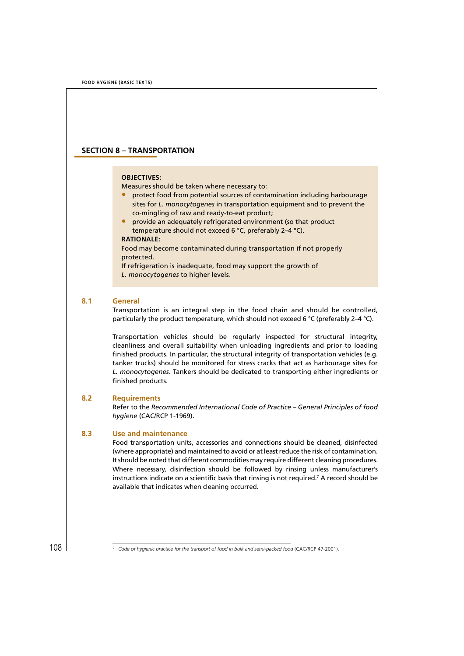# **SECTION 8 – TRANSPORTATION**

#### **OBJECTIVES:**

Measures should be taken where necessary to:

- protect food from potential sources of contamination including harbourage sites for *L. monocytogenes* in transportation equipment and to prevent the co-mingling of raw and ready-to-eat product;
- provide an adequately refrigerated environment (so that product temperature should not exceed 6 °C, preferably 2–4 °C).

#### **RATIONALE:**

Food may become contaminated during transportation if not properly protected.

If refrigeration is inadequate, food may support the growth of *L. monocytogenes* to higher levels.

#### **8.1 General**

Transportation is an integral step in the food chain and should be controlled, particularly the product temperature, which should not exceed 6 °C (preferably 2–4 °C).

Transportation vehicles should be regularly inspected for structural integrity, cleanliness and overall suitability when unloading ingredients and prior to loading finished products. In particular, the structural integrity of transportation vehicles (e.g. tanker trucks) should be monitored for stress cracks that act as harbourage sites for *L. monocytogenes*. Tankers should be dedicated to transporting either ingredients or finished products.

#### **8.2 Requirements**

Refer to the *Recommended International Code of Practice – General Principles of food hygiene* (CAC/RCP 1-1969).

#### **8.3 Use and maintenance**

Food transportation units, accessories and connections should be cleaned, disinfected (where appropriate) and maintained to avoid or at least reduce the risk of contamination. It should be noted that different commodities may require different cleaning procedures. Where necessary, disinfection should be followed by rinsing unless manufacturer's instructions indicate on a scientific basis that rinsing is not required.<sup>7</sup> A record should be available that indicates when cleaning occurred.

<sup>7</sup> *Code of hygienic practice for the transport of food in bulk and semi-packed food* (CAC/RCP 47-2001).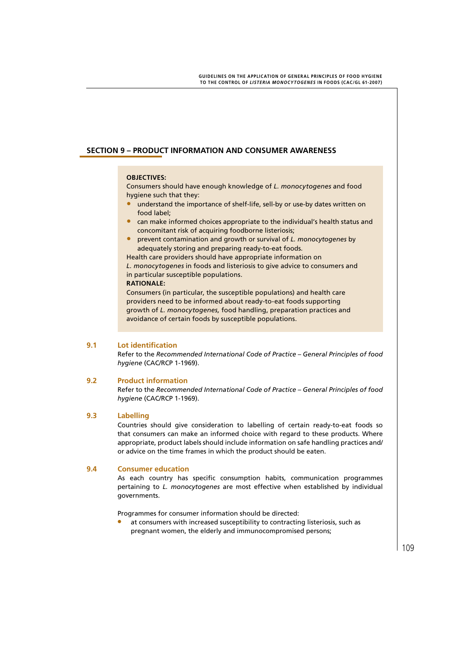## **SECTION 9 – PRODUCT INFORMATION AND CONSUMER AWARENESS**

#### **OBJECTIVES:**

Consumers should have enough knowledge of *L. monocytogenes* and food hygiene such that they:

- understand the importance of shelf-life, sell-by or use-by dates written on food label;
- can make informed choices appropriate to the individual's health status and concomitant risk of acquiring foodborne listeriosis;
- t prevent contamination and growth or survival of *L. monocytogenes* by adequately storing and preparing ready-to-eat foods.
- Health care providers should have appropriate information on

*L. monocytogenes* in foods and listeriosis to give advice to consumers and in particular susceptible populations.

#### **RATIONALE:**

Consumers (in particular, the susceptible populations) and health care providers need to be informed about ready-to-eat foods supporting growth of *L. monocytogenes,* food handling, preparation practices and avoidance of certain foods by susceptible populations.

# **9.1 Lot identification**

Refer to the *Recommended International Code of Practice – General Principles of food hygiene* (CAC/RCP 1-1969).

#### **9.2 Product information**

Refer to the *Recommended International Code of Practice – General Principles of food hygiene* (CAC/RCP 1-1969).

#### **9.3 Labelling**

Countries should give consideration to labelling of certain ready-to-eat foods so that consumers can make an informed choice with regard to these products. Where appropriate, product labels should include information on safe handling practices and/ or advice on the time frames in which the product should be eaten.

#### **9.4 Consumer education**

As each country has specific consumption habits, communication programmes pertaining to *L. monocytogenes* are most effective when established by individual governments.

Programmes for consumer information should be directed:

at consumers with increased susceptibility to contracting listeriosis, such as pregnant women, the elderly and immunocompromised persons;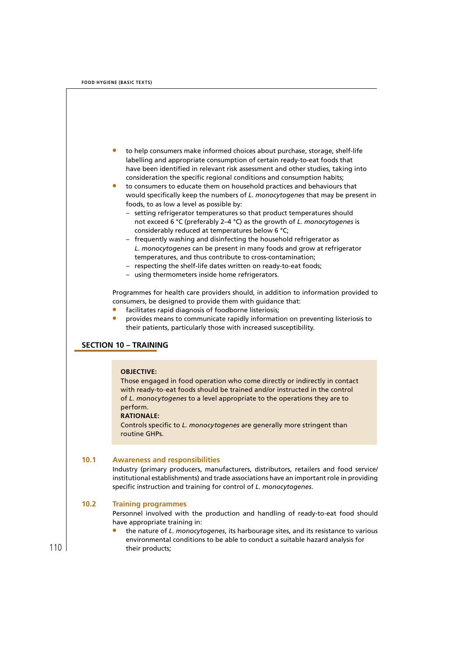|      | to help consumers make informed choices about purchase, storage, shelf-life<br>$\bullet$<br>labelling and appropriate consumption of certain ready-to-eat foods that<br>have been identified in relevant risk assessment and other studies, taking into<br>consideration the specific regional conditions and consumption habits;<br>to consumers to educate them on household practices and behaviours that<br>$\bullet$<br>would specifically keep the numbers of L. monocytogenes that may be present in<br>foods, to as low a level as possible by:<br>- setting refrigerator temperatures so that product temperatures should<br>not exceed 6 °C (preferably 2–4 °C) as the growth of L. monocytogenes is<br>considerably reduced at temperatures below 6 °C;<br>- frequently washing and disinfecting the household refrigerator as<br>L. monocytogenes can be present in many foods and grow at refrigerator<br>temperatures, and thus contribute to cross-contamination;<br>- respecting the shelf-life dates written on ready-to-eat foods;<br>- using thermometers inside home refrigerators.<br>Programmes for health care providers should, in addition to information provided to |
|------|------------------------------------------------------------------------------------------------------------------------------------------------------------------------------------------------------------------------------------------------------------------------------------------------------------------------------------------------------------------------------------------------------------------------------------------------------------------------------------------------------------------------------------------------------------------------------------------------------------------------------------------------------------------------------------------------------------------------------------------------------------------------------------------------------------------------------------------------------------------------------------------------------------------------------------------------------------------------------------------------------------------------------------------------------------------------------------------------------------------------------------------------------------------------------------------------|
|      | consumers, be designed to provide them with guidance that:<br>facilitates rapid diagnosis of foodborne listeriosis;<br>provides means to communicate rapidly information on preventing listeriosis to<br>$\bullet$<br>their patients, particularly those with increased susceptibility.                                                                                                                                                                                                                                                                                                                                                                                                                                                                                                                                                                                                                                                                                                                                                                                                                                                                                                        |
|      | <b>SECTION 10 - TRAINING</b>                                                                                                                                                                                                                                                                                                                                                                                                                                                                                                                                                                                                                                                                                                                                                                                                                                                                                                                                                                                                                                                                                                                                                                   |
|      | <b>OBJECTIVE:</b><br>Those engaged in food operation who come directly or indirectly in contact<br>with ready-to-eat foods should be trained and/or instructed in the control<br>of L. monocytogenes to a level appropriate to the operations they are to<br>perform.<br><b>RATIONALE:</b><br>Controls specific to L. monocytogenes are generally more stringent than<br>routine GHPs.                                                                                                                                                                                                                                                                                                                                                                                                                                                                                                                                                                                                                                                                                                                                                                                                         |
| 10.1 | <b>Awareness and responsibilities</b><br>Industry (primary producers, manufacturers, distributors, retailers and food service/<br>institutional establishments) and trade associations have an important role in providing<br>specific instruction and training for control of L. monocytogenes.                                                                                                                                                                                                                                                                                                                                                                                                                                                                                                                                                                                                                                                                                                                                                                                                                                                                                               |
| 10.2 | <b>Training programmes</b><br>Personnel involved with the production and handling of ready-to-eat food should<br>have appropriate training in:<br>the nature of L. monocytogenes, its harbourage sites, and its resistance to various<br>environmental conditions to be able to conduct a suitable hazard analysis for<br>their products;                                                                                                                                                                                                                                                                                                                                                                                                                                                                                                                                                                                                                                                                                                                                                                                                                                                      |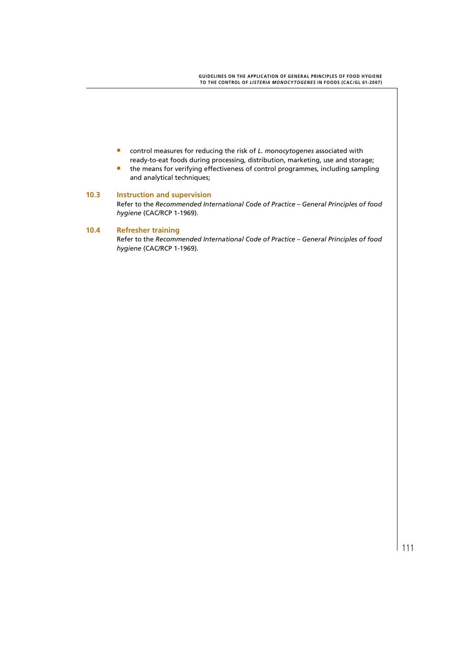- **•** control measures for reducing the risk of *L. monocytogenes* associated with ready-to-eat foods during processing, distribution, marketing, use and storage;
- $\bullet$  the means for verifying effectiveness of control programmes, including sampling and analytical techniques;

#### **10.3 Instruction and supervision**

Refer to the *Recommended International Code of Practice – General Principles of food hygiene* (CAC/RCP 1-1969).

## **10.4 Refresher training**

Refer to the *Recommended International Code of Practice – General Principles of food hygiene* (CAC/RCP 1-1969).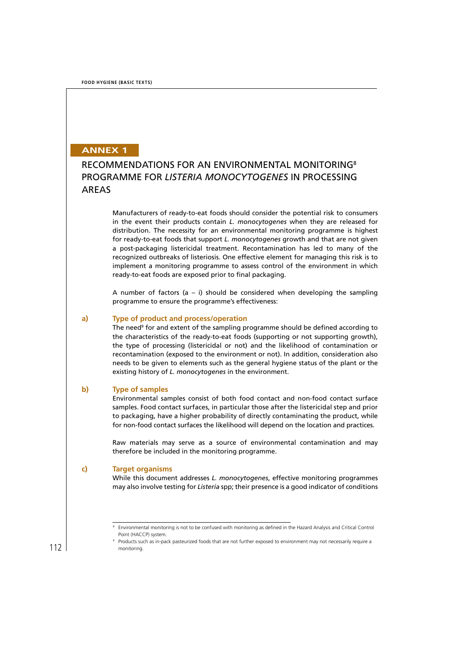# **ANNEX 1**

# RECOMMENDATIONS FOR AN ENVIRONMENTAL MONITORING8 PROGRAMME FOR *LISTERIA MONOCYTOGENES* IN PROCESSING AREAS

Manufacturers of ready-to-eat foods should consider the potential risk to consumers in the event their products contain *L. monocytogenes* when they are released for distribution. The necessity for an environmental monitoring programme is highest for ready-to-eat foods that support *L. monocytogenes* growth and that are not given a post-packaging listericidal treatment. Recontamination has led to many of the recognized outbreaks of listeriosis. One effective element for managing this risk is to implement a monitoring programme to assess control of the environment in which ready-to-eat foods are exposed prior to final packaging.

A number of factors (a  $-$  i) should be considered when developing the sampling programme to ensure the programme's effectiveness:

#### **a) Type of product and process/operation**

The need<sup>9</sup> for and extent of the sampling programme should be defined according to the characteristics of the ready-to-eat foods (supporting or not supporting growth), the type of processing (listericidal or not) and the likelihood of contamination or recontamination (exposed to the environment or not). In addition, consideration also needs to be given to elements such as the general hygiene status of the plant or the existing history of *L. monocytogenes* in the environment.

#### **b) Type of samples**

Environmental samples consist of both food contact and non-food contact surface samples. Food contact surfaces, in particular those after the listericidal step and prior to packaging, have a higher probability of directly contaminating the product, while for non-food contact surfaces the likelihood will depend on the location and practices.

Raw materials may serve as a source of environmental contamination and may therefore be included in the monitoring programme.

#### **c) Target organisms**

While this document addresses *L. monocytogenes*, effective monitoring programmes may also involve testing for *Listeria* spp; their presence is a good indicator of conditions

<sup>8</sup> Environmental monitoring is not to be confused with monitoring as defined in the Hazard Analysis and Critical Control Point (HACCP) system.

<sup>9</sup> Products such as in-pack pasteurized foods that are not further exposed to environment may not necessarily require a monitoring.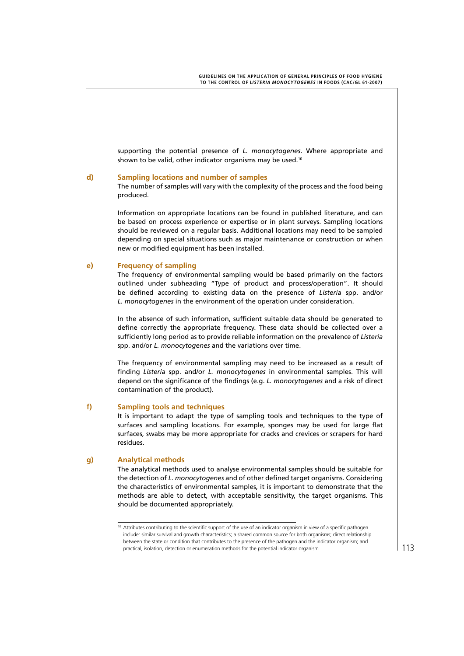supporting the potential presence of *L. monocytogenes*. Where appropriate and shown to be valid, other indicator organisms may be used.<sup>10</sup>

#### **d) Sampling locations and number of samples**

The number of samples will vary with the complexity of the process and the food being produced.

Information on appropriate locations can be found in published literature, and can be based on process experience or expertise or in plant surveys. Sampling locations should be reviewed on a regular basis. Additional locations may need to be sampled depending on special situations such as major maintenance or construction or when new or modified equipment has been installed.

#### **e) Frequency of sampling**

The frequency of environmental sampling would be based primarily on the factors outlined under subheading "Type of product and process/operation". It should be defined according to existing data on the presence of *Listeria* spp. and/or *L. monocytogenes* in the environment of the operation under consideration.

In the absence of such information, sufficient suitable data should be generated to define correctly the appropriate frequency. These data should be collected over a sufficiently long period as to provide reliable information on the prevalence of *Listeria*  spp. and/or *L. monocytogenes* and the variations over time.

The frequency of environmental sampling may need to be increased as a result of finding *Listeria* spp. and/or *L. monocytogenes* in environmental samples. This will depend on the significance of the findings (e.g. *L. monocytogenes* and a risk of direct contamination of the product).

#### **f) Sampling tools and techniques**

It is important to adapt the type of sampling tools and techniques to the type of surfaces and sampling locations. For example, sponges may be used for large flat surfaces, swabs may be more appropriate for cracks and crevices or scrapers for hard residues.

#### **g) Analytical methods**

The analytical methods used to analyse environmental samples should be suitable for the detection of *L. monocytogenes* and of other defined target organisms. Considering the characteristics of environmental samples, it is important to demonstrate that the methods are able to detect, with acceptable sensitivity, the target organisms. This should be documented appropriately.

<sup>&</sup>lt;sup>10</sup> Attributes contributing to the scientific support of the use of an indicator organism in view of a specific pathogen include: similar survival and growth characteristics; a shared common source for both organisms; direct relationship between the state or condition that contributes to the presence of the pathogen and the indicator organism; and practical, isolation, detection or enumeration methods for the potential indicator organism.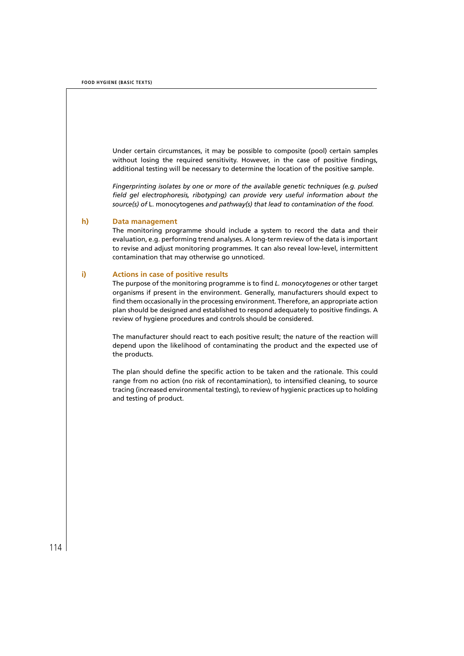Under certain circumstances, it may be possible to composite (pool) certain samples without losing the required sensitivity. However, in the case of positive findings, additional testing will be necessary to determine the location of the positive sample.

*Fingerprinting isolates by one or more of the available genetic techniques (e.g. pulsed field gel electrophoresis, ribotyping) can provide very useful information about the source(s) of* L. monocytogenes *and pathway(s) that lead to contamination of the food.*

#### **h) Data management**

The monitoring programme should include a system to record the data and their evaluation, e.g. performing trend analyses. A long-term review of the data is important to revise and adjust monitoring programmes. It can also reveal low-level, intermittent contamination that may otherwise go unnoticed.

#### **i) Actions in case of positive results**

The purpose of the monitoring programme is to find *L. monocytogenes* or other target organisms if present in the environment. Generally, manufacturers should expect to find them occasionally in the processing environment. Therefore, an appropriate action plan should be designed and established to respond adequately to positive findings. A review of hygiene procedures and controls should be considered.

The manufacturer should react to each positive result; the nature of the reaction will depend upon the likelihood of contaminating the product and the expected use of the products.

The plan should define the specific action to be taken and the rationale. This could range from no action (no risk of recontamination), to intensified cleaning, to source tracing (increased environmental testing), to review of hygienic practices up to holding and testing of product.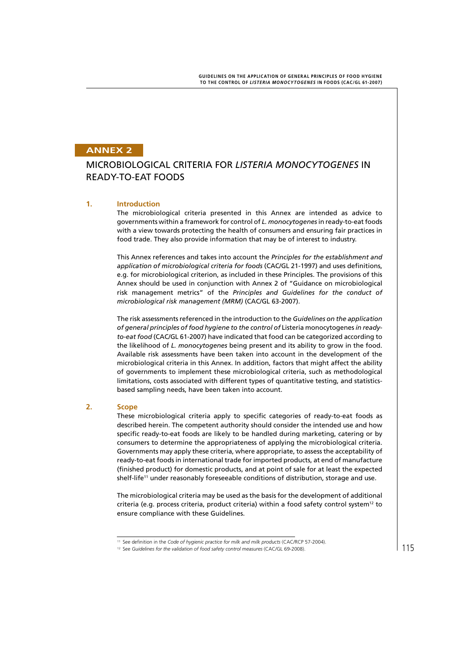# **ANNEX 2**

# MICROBIOLOGICAL CRITERIA FOR *LISTERIA MONOCYTOGENES* IN READY-TO-EAT FOODS

#### **1. Introduction**

The microbiological criteria presented in this Annex are intended as advice to governments within a framework for control of *L. monocytogenes* in ready-to-eat foods with a view towards protecting the health of consumers and ensuring fair practices in food trade. They also provide information that may be of interest to industry.

This Annex references and takes into account the *Principles for the establishment and application of microbiological criteria for foods* (CAC/GL 21-1997) and uses definitions, e.g. for microbiological criterion, as included in these Principles. The provisions of this Annex should be used in conjunction with Annex 2 of "Guidance on microbiological risk management metrics" of the *Principles and Guidelines for the conduct of microbiological risk management (MRM)* (CAC/GL 63-2007).

The risk assessments referenced in the introduction to the *Guidelines on the application*  of general principles of food hygiene to the control of Listeria monocytogenes in ready*to-eat food* (CAC/GL 61-2007) have indicated that food can be categorized according to the likelihood of *L. monocytogenes* being present and its ability to grow in the food. Available risk assessments have been taken into account in the development of the microbiological criteria in this Annex. In addition, factors that might affect the ability of governments to implement these microbiological criteria, such as methodological limitations, costs associated with different types of quantitative testing, and statisticsbased sampling needs, have been taken into account.

#### **2. Scope**

These microbiological criteria apply to specific categories of ready-to-eat foods as described herein. The competent authority should consider the intended use and how specific ready-to-eat foods are likely to be handled during marketing, catering or by consumers to determine the appropriateness of applying the microbiological criteria. Governments may apply these criteria, where appropriate, to assess the acceptability of ready-to-eat foods in international trade for imported products, at end of manufacture (finished product) for domestic products, and at point of sale for at least the expected shelf-life11 under reasonably foreseeable conditions of distribution, storage and use.

The microbiological criteria may be used as the basis for the development of additional criteria (e.g. process criteria, product criteria) within a food safety control system<sup>12</sup> to ensure compliance with these Guidelines.

<sup>&</sup>lt;sup>11</sup> See definition in the *Code of hygienic practice for milk and milk products* (CAC/RCP 57-2004).

<sup>12</sup> See *Guidelines for the validation of food safety control measures* (CAC/GL 69-2008).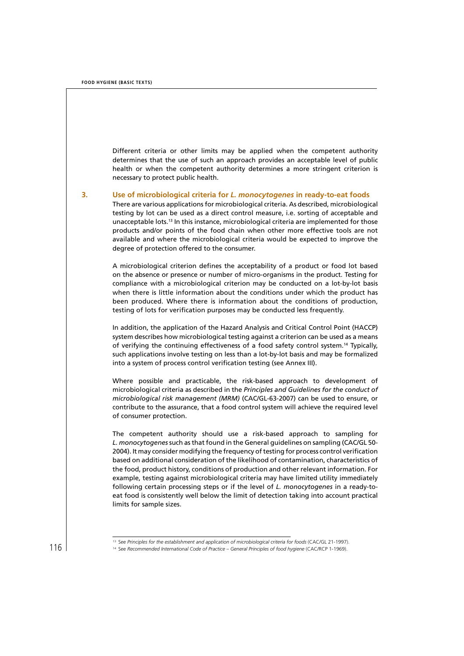Different criteria or other limits may be applied when the competent authority determines that the use of such an approach provides an acceptable level of public health or when the competent authority determines a more stringent criterion is necessary to protect public health.

#### **3. Use of microbiological criteria for** *L. monocytogenes* **in ready-to-eat foods**

There are various applications for microbiological criteria. As described, microbiological testing by lot can be used as a direct control measure, i.e. sorting of acceptable and unacceptable lots.13 In this instance, microbiological criteria are implemented for those products and/or points of the food chain when other more effective tools are not available and where the microbiological criteria would be expected to improve the degree of protection offered to the consumer.

A microbiological criterion defines the acceptability of a product or food lot based on the absence or presence or number of micro-organisms in the product. Testing for compliance with a microbiological criterion may be conducted on a lot-by-lot basis when there is little information about the conditions under which the product has been produced. Where there is information about the conditions of production, testing of lots for verification purposes may be conducted less frequently.

In addition, the application of the Hazard Analysis and Critical Control Point (HACCP) system describes how microbiological testing against a criterion can be used as a means of verifying the continuing effectiveness of a food safety control system.14 Typically, such applications involve testing on less than a lot-by-lot basis and may be formalized into a system of process control verification testing (see Annex III).

Where possible and practicable, the risk-based approach to development of microbiological criteria as described in the *Principles and Guidelines for the conduct of microbiological risk management (MRM)* (CAC/GL-63-2007) can be used to ensure, or contribute to the assurance, that a food control system will achieve the required level of consumer protection.

The competent authority should use a risk-based approach to sampling for *L. monocytogenes* such as that found in the General guidelines on sampling (CAC/GL 50- 2004). It may consider modifying the frequency of testing for process control verification based on additional consideration of the likelihood of contamination, characteristics of the food, product history, conditions of production and other relevant information. For example, testing against microbiological criteria may have limited utility immediately following certain processing steps or if the level of *L. monocytogenes* in a ready-toeat food is consistently well below the limit of detection taking into account practical limits for sample sizes.

<sup>&</sup>lt;sup>13</sup> See *Principles for the establishment and application of microbiological criteria for foods (CAC/GL 21-1997).* 

<sup>&</sup>lt;sup>14</sup> See Recommended International Code of Practice – General Principles of food hygiene (CAC/RCP 1-1969).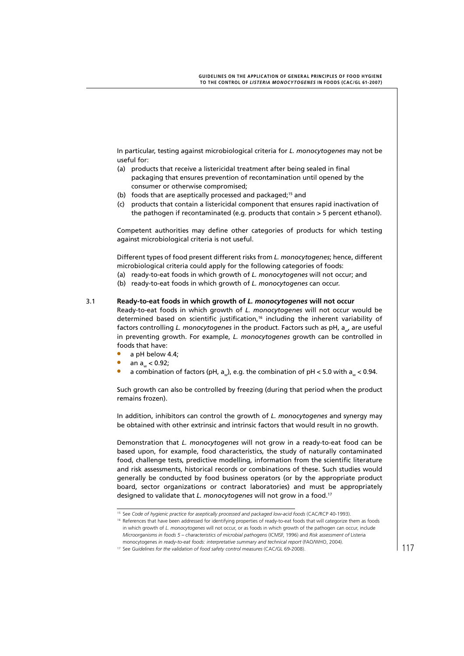In particular, testing against microbiological criteria for *L. monocytogenes* may not be useful for:

- (a) products that receive a listericidal treatment after being sealed in final packaging that ensures prevention of recontamination until opened by the consumer or otherwise compromised;
- (b) foods that are aseptically processed and packaged;15 and
- (c) products that contain a listericidal component that ensures rapid inactivation of the pathogen if recontaminated (e.g. products that contain > 5 percent ethanol).

Competent authorities may define other categories of products for which testing against microbiological criteria is not useful.

Different types of food present different risks from *L. monocytogenes*; hence, different microbiological criteria could apply for the following categories of foods:

- (a) ready-to-eat foods in which growth of *L. monocytogenes* will not occur; and
- (b) ready-to-eat foods in which growth of *L. monocytogenes* can occur.

#### 3.1 **Ready-to-eat foods in which growth of** *L. monocytogenes* **will not occur**

Ready-to-eat foods in which growth of *L. monocytogenes* will not occur would be determined based on scientific justification,<sup>16</sup> including the inherent variability of factors controlling *L. monocytogenes* in the product. Factors such as pH, a<sub>w</sub> are useful in preventing growth. For example, *L. monocytogenes* growth can be controlled in foods that have:

- a pH below 4.4;
- an  $a_{\nu}$  < 0.92;
- a combination of factors (pH, a<sub>w</sub>), e.g. the combination of pH < 5.0 with a<sub>w</sub> < 0.94.

Such growth can also be controlled by freezing (during that period when the product remains frozen).

In addition, inhibitors can control the growth of *L. monocytogenes* and synergy may be obtained with other extrinsic and intrinsic factors that would result in no growth.

Demonstration that *L. monocytogenes* will not grow in a ready-to-eat food can be based upon, for example, food characteristics, the study of naturally contaminated food, challenge tests, predictive modelling, information from the scientific literature and risk assessments, historical records or combinations of these. Such studies would generally be conducted by food business operators (or by the appropriate product board, sector organizations or contract laboratories) and must be appropriately designed to validate that *L. monocytogenes* will not grow in a food.17

<sup>15</sup> See *Code of hygienic practice for aseptically processed and packaged low-acid foods* (CAC/RCP 40-1993).

<sup>16</sup> References that have been addressed for identifying properties of ready-to-eat foods that will categorize them as foods in which growth of *L. monocytogenes* will not occur, or as foods in which growth of the pathogen can occur, include *Microorganisms in foods 5 – characteristics of microbial pathogens* (ICMSF, 1996) and *Risk assessment of* Listeria monocytogenes *in ready-to-eat foods: interpretative summary and technical report* (FAO/WHO, 2004).

<sup>17</sup> See *Guidelines for the validation of food safety control measures* (CAC/GL 69-2008).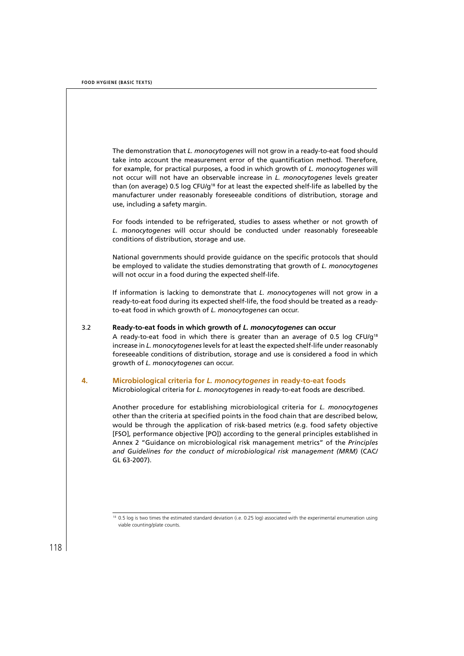The demonstration that *L. monocytogenes* will not grow in a ready-to-eat food should take into account the measurement error of the quantification method. Therefore, for example, for practical purposes, a food in which growth of *L. monocytogenes* will not occur will not have an observable increase in *L. monocytogenes* levels greater than (on average) 0.5 log CFU/g<sup>18</sup> for at least the expected shelf-life as labelled by the manufacturer under reasonably foreseeable conditions of distribution, storage and use, including a safety margin.

For foods intended to be refrigerated, studies to assess whether or not growth of *L. monocytogenes* will occur should be conducted under reasonably foreseeable conditions of distribution, storage and use.

National governments should provide guidance on the specific protocols that should be employed to validate the studies demonstrating that growth of *L. monocytogenes* will not occur in a food during the expected shelf-life.

If information is lacking to demonstrate that *L. monocytogenes* will not grow in a ready-to-eat food during its expected shelf-life, the food should be treated as a readyto-eat food in which growth of *L. monocytogenes* can occur.

#### 3.2 **Ready-to-eat foods in which growth of** *L. monocytogenes* **can occur**

A ready-to-eat food in which there is greater than an average of 0.5 log CFU/g18 increase in *L. monocytogenes* levels for at least the expected shelf-life under reasonably foreseeable conditions of distribution, storage and use is considered a food in which growth of *L. monocytogenes* can occur.

# **4. Microbiological criteria for** *L. monocytogenes* **in ready-to-eat foods**

Microbiological criteria for *L. monocytogenes* in ready-to-eat foods are described.

Another procedure for establishing microbiological criteria for *L. monocytogenes* other than the criteria at specified points in the food chain that are described below, would be through the application of risk-based metrics (e.g. food safety objective [FSO], performance objective [PO]) according to the general principles established in Annex 2 "Guidance on microbiological risk management metrics" of the *Principles*  and Guidelines for the conduct of microbiological risk management (MRM) (CAC/ GL 63-2007).

<sup>18 0.5</sup> log is two times the estimated standard deviation (i.e. 0.25 log) associated with the experimental enumeration using viable counting/plate counts.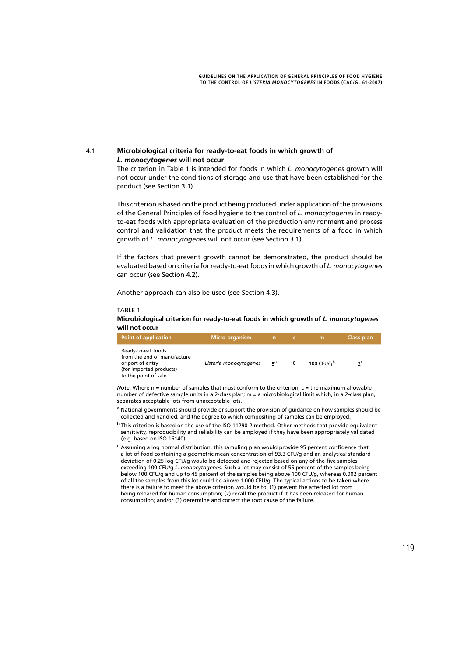#### 4.1 **Microbiological criteria for ready-to-eat foods in which growth of**  *L. monocytogenes* **will not occur**

The criterion in Table 1 is intended for foods in which *L. monocytogenes* growth will not occur under the conditions of storage and use that have been established for the product (see Section 3.1).

This criterion is based on the product being produced under application of the provisions of the General Principles of food hygiene to the control of *L. monocytogenes* in readyto-eat foods with appropriate evaluation of the production environment and process control and validation that the product meets the requirements of a food in which growth of *L. monocytogenes* will not occur (see Section 3.1).

If the factors that prevent growth cannot be demonstrated, the product should be evaluated based on criteria for ready-to-eat foods in which growth of *L. monocytogenes*  can occur (see Section 4.2).

Another approach can also be used (see Section 4.3).

#### TABLE 1

#### **Microbiological criterion for ready-to-eat foods in which growth of** *L. monocytogenes* **will not occur**

| <b>Point of application</b>                                                                                              | Micro-organism         | n     | <b>THE ORDER</b> | m            | Class plan     |
|--------------------------------------------------------------------------------------------------------------------------|------------------------|-------|------------------|--------------|----------------|
| Ready-to-eat foods<br>from the end of manufacture<br>or port of entry<br>(for imported products)<br>to the point of sale | Listeria monocytogenes | $5^a$ | $\mathbf{0}$     | 100 $CFU/ab$ | ን <sup>ር</sup> |

*Note*: Where n = number of samples that must conform to the criterion; c = the maximum allowable number of defective sample units in a 2-class plan; m = a microbiological limit which, in a 2-class plan, separates acceptable lots from unacceptable lots.

- <sup>a</sup> National governments should provide or support the provision of guidance on how samples should be collected and handled, and the degree to which compositing of samples can be employed.
- <sup>b</sup> This criterion is based on the use of the ISO 11290-2 method. Other methods that provide equivalent sensitivity, reproducibility and reliability can be employed if they have been appropriately validated (e.g. based on ISO 16140).
- <sup>c</sup> Assuming a log normal distribution, this sampling plan would provide 95 percent confidence that a lot of food containing a geometric mean concentration of 93.3 CFU/g and an analytical standard deviation of 0.25 log CFU/g would be detected and rejected based on any of the five samples exceeding 100 CFU/g *L. monocytogenes.* Such a lot may consist of 55 percent of the samples being below 100 CFU/g and up to 45 percent of the samples being above 100 CFU/g, whereas 0.002 percent of all the samples from this lot could be above 1 000 CFU/g. The typical actions to be taken where there is a failure to meet the above criterion would be to: (1) prevent the affected lot from being released for human consumption; (2) recall the product if it has been released for human consumption; and/or (3) determine and correct the root cause of the failure.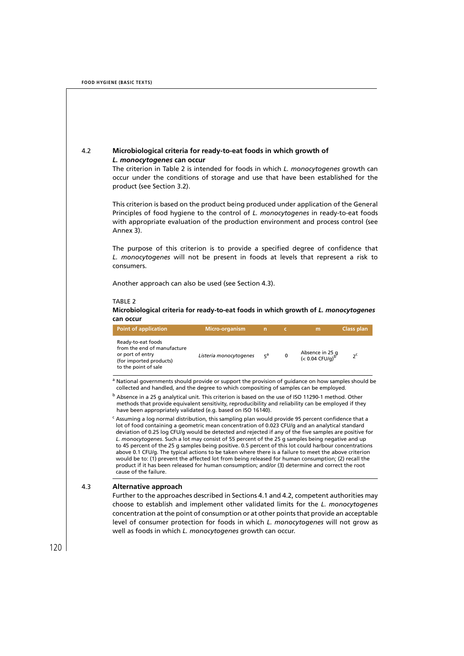#### 4.2 **Microbiological criteria for ready-to-eat foods in which growth of**  *L. monocytogenes* **can occur**

The criterion in Table 2 is intended for foods in which *L. monocytogenes* growth can occur under the conditions of storage and use that have been established for the product (see Section 3.2).

This criterion is based on the product being produced under application of the General Principles of food hygiene to the control of *L. monocytogenes* in ready-to-eat foods with appropriate evaluation of the production environment and process control (see Annex 3).

The purpose of this criterion is to provide a specified degree of confidence that *L. monocytogenes* will not be present in foods at levels that represent a risk to consumers.

Another approach can also be used (see Section 4.3).

#### TABLE 2

**Microbiological criteria for ready-to-eat foods in which growth of** *L. monocytogenes* **can occur**

| <b>Point of application</b>                                                                                              | <b>Micro-organism</b>  | n     | - 61 | m                                                | Class plan     |
|--------------------------------------------------------------------------------------------------------------------------|------------------------|-------|------|--------------------------------------------------|----------------|
| Ready-to-eat foods<br>from the end of manufacture<br>or port of entry<br>(for imported products)<br>to the point of sale | Listeria monocytogenes | $5^a$ | 0    | Absence in 25 g<br>(< $0.04$ CFU/g) <sup>b</sup> | 2 <sup>c</sup> |

<sup>a</sup> National governments should provide or support the provision of guidance on how samples should be collected and handled, and the degree to which compositing of samples can be employed.

<sup>c</sup> Assuming a log normal distribution, this sampling plan would provide 95 percent confidence that a lot of food containing a geometric mean concentration of 0.023 CFU/g and an analytical standard deviation of 0.25 log CFU/g would be detected and rejected if any of the five samples are positive for *L. monocytogenes*. Such a lot may consist of 55 percent of the 25 g samples being negative and up to 45 percent of the 25 g samples being positive. 0.5 percent of this lot could harbour concentrations above 0.1 CFU/g. The typical actions to be taken where there is a failure to meet the above criterion would be to: (1) prevent the affected lot from being released for human consumption; (2) recall the product if it has been released for human consumption; and/or (3) determine and correct the root cause of the failure.

#### 4.3 **Alternative approach**

Further to the approaches described in Sections 4.1 and 4.2, competent authorities may choose to establish and implement other validated limits for the *L. monocytogenes* concentration at the point of consumption or at other points that provide an acceptable level of consumer protection for foods in which *L. monocytogenes* will not grow as well as foods in which *L. monocytogenes* growth can occur.

<sup>&</sup>lt;sup>b</sup> Absence in a 25 g analytical unit. This criterion is based on the use of ISO 11290-1 method. Other methods that provide equivalent sensitivity, reproducibility and reliability can be employed if they have been appropriately validated (e.g. based on ISO 16140).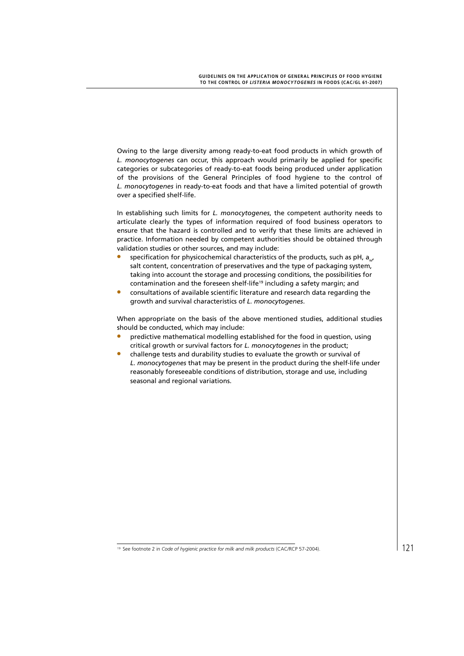Owing to the large diversity among ready-to-eat food products in which growth of *L. monocytogenes* can occur, this approach would primarily be applied for specific categories or subcategories of ready-to-eat foods being produced under application of the provisions of the General Principles of food hygiene to the control of *L. monocytogenes* in ready-to-eat foods and that have a limited potential of growth over a specified shelf-life.

In establishing such limits for *L. monocytogenes*, the competent authority needs to articulate clearly the types of information required of food business operators to ensure that the hazard is controlled and to verify that these limits are achieved in practice. Information needed by competent authorities should be obtained through validation studies or other sources, and may include:

- specification for physicochemical characteristics of the products, such as pH,  $a_{1}$ , salt content, concentration of preservatives and the type of packaging system, taking into account the storage and processing conditions, the possibilities for contamination and the foreseen shelf-life<sup>19</sup> including a safety margin; and
- consultations of available scientific literature and research data regarding the growth and survival characteristics of *L. monocytogenes*.

When appropriate on the basis of the above mentioned studies, additional studies should be conducted, which may include:

- predictive mathematical modelling established for the food in question, using critical growth or survival factors for *L. monocytogenes* in the product;
- t challenge tests and durability studies to evaluate the growth or survival of *L. monocytogenes* that may be present in the product during the shelf-life under reasonably foreseeable conditions of distribution, storage and use, including seasonal and regional variations.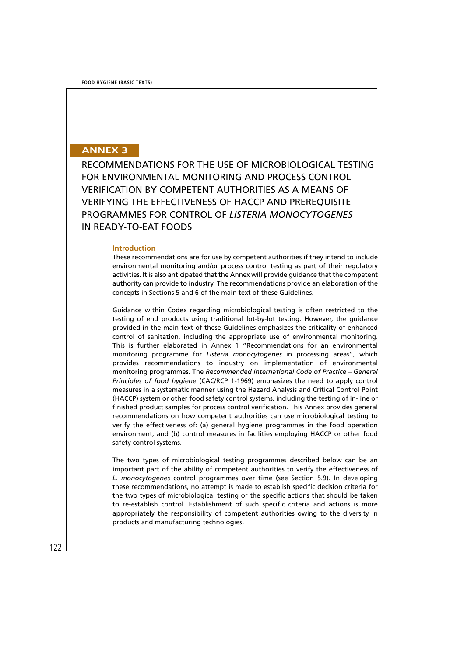# **ANNEX 3**

RECOMMENDATIONS FOR THE USE OF MICROBIOLOGICAL TESTING FOR ENVIRONMENTAL MONITORING AND PROCESS CONTROL VERIFICATION BY COMPETENT AUTHORITIES AS A MEANS OF VERIFYING THE EFFECTIVENESS OF HACCP AND PREREQUISITE PROGRAMMES FOR CONTROL OF *LISTERIA MONOCYTOGENES* IN READY-TO-EAT FOODS

#### **Introduction**

These recommendations are for use by competent authorities if they intend to include environmental monitoring and/or process control testing as part of their regulatory activities. It is also anticipated that the Annex will provide guidance that the competent authority can provide to industry. The recommendations provide an elaboration of the concepts in Sections 5 and 6 of the main text of these Guidelines.

Guidance within Codex regarding microbiological testing is often restricted to the testing of end products using traditional lot-by-lot testing. However, the guidance provided in the main text of these Guidelines emphasizes the criticality of enhanced control of sanitation, including the appropriate use of environmental monitoring. This is further elaborated in Annex 1 "Recommendations for an environmental monitoring programme for *Listeria monocytogenes* in processing areas", which provides recommendations to industry on implementation of environmental monitoring programmes. The *Recommended International Code of Practice – General Principles of food hygiene* (CAC/RCP 1-1969) emphasizes the need to apply control measures in a systematic manner using the Hazard Analysis and Critical Control Point (HACCP) system or other food safety control systems, including the testing of in-line or finished product samples for process control verification. This Annex provides general recommendations on how competent authorities can use microbiological testing to verify the effectiveness of: (a) general hygiene programmes in the food operation environment; and (b) control measures in facilities employing HACCP or other food safety control systems.

The two types of microbiological testing programmes described below can be an important part of the ability of competent authorities to verify the effectiveness of *L. monocytogenes* control programmes over time (see Section 5.9). In developing these recommendations, no attempt is made to establish specific decision criteria for the two types of microbiological testing or the specific actions that should be taken to re-establish control. Establishment of such specific criteria and actions is more appropriately the responsibility of competent authorities owing to the diversity in products and manufacturing technologies.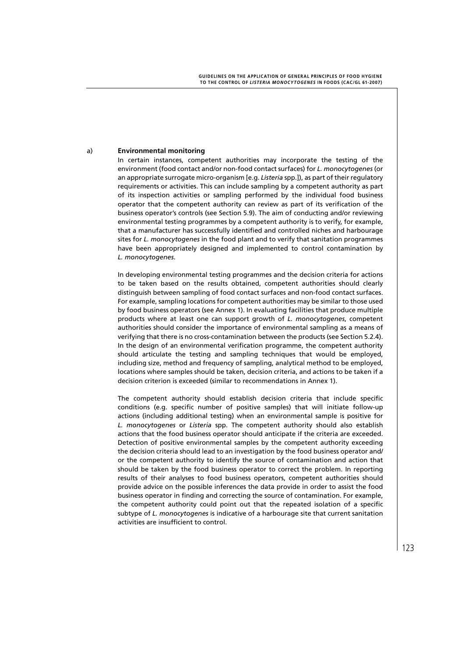#### a) **Environmental monitoring**

In certain instances, competent authorities may incorporate the testing of the environment (food contact and/or non-food contact surfaces) for *L. monocytogenes* (or an appropriate surrogate micro-organism [e.g. *Listeria* spp.]), as part of their regulatory requirements or activities. This can include sampling by a competent authority as part of its inspection activities or sampling performed by the individual food business operator that the competent authority can review as part of its verification of the business operator's controls (see Section 5.9). The aim of conducting and/or reviewing environmental testing programmes by a competent authority is to verify, for example, that a manufacturer has successfully identified and controlled niches and harbourage sites for *L. monocytogenes* in the food plant and to verify that sanitation programmes have been appropriately designed and implemented to control contamination by *L. monocytogenes*.

In developing environmental testing programmes and the decision criteria for actions to be taken based on the results obtained, competent authorities should clearly distinguish between sampling of food contact surfaces and non-food contact surfaces. For example, sampling locations for competent authorities may be similar to those used by food business operators (see Annex 1). In evaluating facilities that produce multiple products where at least one can support growth of *L. monocytogenes*, competent authorities should consider the importance of environmental sampling as a means of verifying that there is no cross-contamination between the products (see Section 5.2.4). In the design of an environmental verification programme, the competent authority should articulate the testing and sampling techniques that would be employed, including size, method and frequency of sampling, analytical method to be employed, locations where samples should be taken, decision criteria, and actions to be taken if a decision criterion is exceeded (similar to recommendations in Annex 1).

The competent authority should establish decision criteria that include specific conditions (e.g. specific number of positive samples) that will initiate follow-up actions (including additional testing) when an environmental sample is positive for *L. monocytogenes* or *Listeria* spp. The competent authority should also establish actions that the food business operator should anticipate if the criteria are exceeded. Detection of positive environmental samples by the competent authority exceeding the decision criteria should lead to an investigation by the food business operator and/ or the competent authority to identify the source of contamination and action that should be taken by the food business operator to correct the problem. In reporting results of their analyses to food business operators, competent authorities should provide advice on the possible inferences the data provide in order to assist the food business operator in finding and correcting the source of contamination. For example, the competent authority could point out that the repeated isolation of a specific subtype of *L. monocytogenes* is indicative of a harbourage site that current sanitation activities are insufficient to control.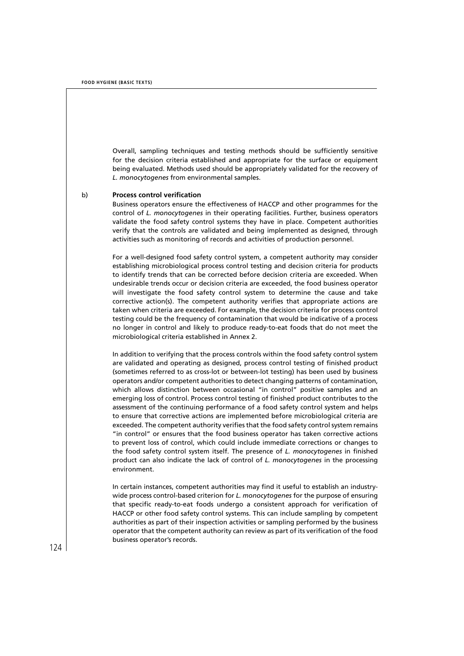Overall, sampling techniques and testing methods should be sufficiently sensitive for the decision criteria established and appropriate for the surface or equipment being evaluated. Methods used should be appropriately validated for the recovery of *L. monocytogenes* from environmental samples.

#### b) **Process control verification**

Business operators ensure the effectiveness of HACCP and other programmes for the control of *L. monocytogenes* in their operating facilities. Further, business operators validate the food safety control systems they have in place. Competent authorities verify that the controls are validated and being implemented as designed, through activities such as monitoring of records and activities of production personnel.

For a well-designed food safety control system, a competent authority may consider establishing microbiological process control testing and decision criteria for products to identify trends that can be corrected before decision criteria are exceeded. When undesirable trends occur or decision criteria are exceeded, the food business operator will investigate the food safety control system to determine the cause and take corrective action(s). The competent authority verifies that appropriate actions are taken when criteria are exceeded. For example, the decision criteria for process control testing could be the frequency of contamination that would be indicative of a process no longer in control and likely to produce ready-to-eat foods that do not meet the microbiological criteria established in Annex 2.

In addition to verifying that the process controls within the food safety control system are validated and operating as designed, process control testing of finished product (sometimes referred to as cross-lot or between-lot testing) has been used by business operators and/or competent authorities to detect changing patterns of contamination, which allows distinction between occasional "in control" positive samples and an emerging loss of control. Process control testing of finished product contributes to the assessment of the continuing performance of a food safety control system and helps to ensure that corrective actions are implemented before microbiological criteria are exceeded. The competent authority verifies that the food safety control system remains "in control" or ensures that the food business operator has taken corrective actions to prevent loss of control, which could include immediate corrections or changes to the food safety control system itself. The presence of *L. monocytogenes* in finished product can also indicate the lack of control of *L. monocytogenes* in the processing environment.

In certain instances, competent authorities may find it useful to establish an industrywide process control-based criterion for *L. monocytogenes* for the purpose of ensuring that specific ready-to-eat foods undergo a consistent approach for verification of HACCP or other food safety control systems. This can include sampling by competent authorities as part of their inspection activities or sampling performed by the business operator that the competent authority can review as part of its verification of the food business operator's records.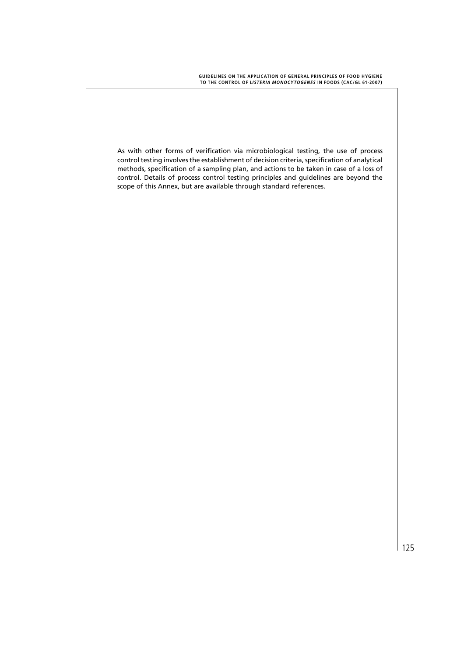As with other forms of verification via microbiological testing, the use of process control testing involves the establishment of decision criteria, specification of analytical methods, specification of a sampling plan, and actions to be taken in case of a loss of control. Details of process control testing principles and guidelines are beyond the scope of this Annex, but are available through standard references.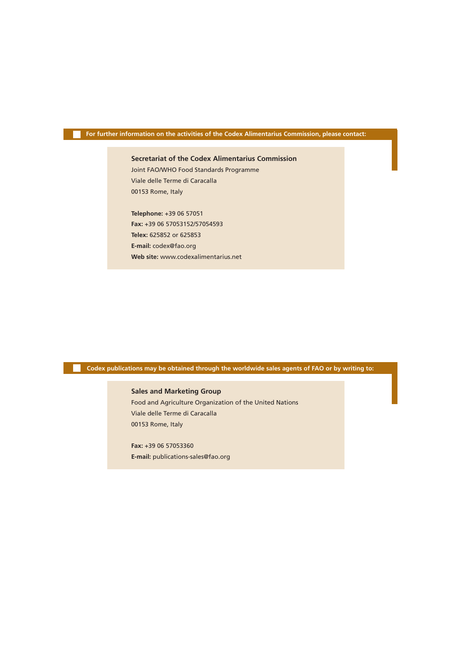#### **For further information on the activities of the Codex Alimentarius Commission, please contact:**

**Secretariat of the Codex Alimentarius Commission** Joint FAO/WHO Food Standards Programme Viale delle Terme di Caracalla 00153 Rome, Italy

**Telephone:** +39 06 57051 **Fax:** +39 06 57053152/57054593 **Telex:** 625852 or 625853 **E-mail:** codex@fao.org **Web site:** www.codexalimentarius.net

**Codex publications may be obtained through the worldwide sales agents of FAO or by writing to:**

## **Sales and Marketing Group**

Food and Agriculture Organization of the United Nations Viale delle Terme di Caracalla 00153 Rome, Italy

**Fax:** +39 06 57053360 **E-mail:** publications-sales@fao.org